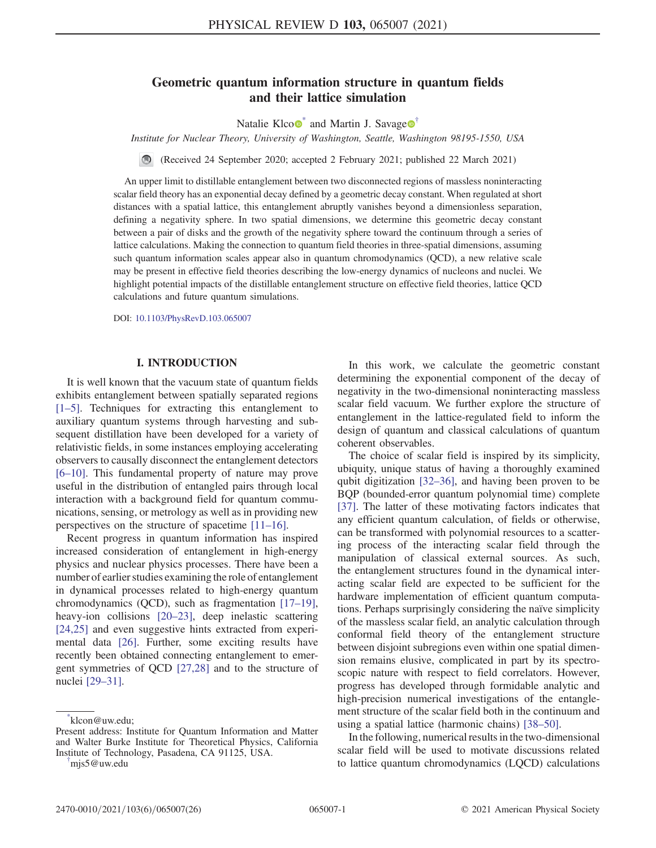## Geometric quantum information structure in quantum fields and their lattice simulation

Natalie Klco $\bullet$ <sup>[\\*](#page-0-0)</sup> and Martin J. Savage $\bullet$ <sup>[†](#page-0-1)</sup>

<span id="page-0-2"></span>Institute for Nuclear Theory, University of Washington, Seattle, Washington 98195-1550, USA

(Received 24 September 2020; accepted 2 February 2021; published 22 March 2021)  $\bigcirc$ 

An upper limit to distillable entanglement between two disconnected regions of massless noninteracting scalar field theory has an exponential decay defined by a geometric decay constant. When regulated at short distances with a spatial lattice, this entanglement abruptly vanishes beyond a dimensionless separation, defining a negativity sphere. In two spatial dimensions, we determine this geometric decay constant between a pair of disks and the growth of the negativity sphere toward the continuum through a series of lattice calculations. Making the connection to quantum field theories in three-spatial dimensions, assuming such quantum information scales appear also in quantum chromodynamics (QCD), a new relative scale may be present in effective field theories describing the low-energy dynamics of nucleons and nuclei. We highlight potential impacts of the distillable entanglement structure on effective field theories, lattice QCD calculations and future quantum simulations.

DOI: [10.1103/PhysRevD.103.065007](https://doi.org/10.1103/PhysRevD.103.065007)

#### I. INTRODUCTION

It is well known that the vacuum state of quantum fields exhibits entanglement between spatially separated regions [\[1](#page-23-0)–5]. Techniques for extracting this entanglement to auxiliary quantum systems through harvesting and subsequent distillation have been developed for a variety of relativistic fields, in some instances employing accelerating observers to causally disconnect the entanglement detectors [6–[10\].](#page-24-0) This fundamental property of nature may prove useful in the distribution of entangled pairs through local interaction with a background field for quantum communications, sensing, or metrology as well as in providing new perspectives on the structure of spacetime [\[11](#page-24-1)–16].

Recent progress in quantum information has inspired increased consideration of entanglement in high-energy physics and nuclear physics processes. There have been a number of earlier studies examining the role of entanglement in dynamical processes related to high-energy quantum chromodynamics (QCD), such as fragmentation [\[17](#page-24-2)–19], heavy-ion collisions [20–[23\],](#page-24-3) deep inelastic scattering [\[24,25\]](#page-24-4) and even suggestive hints extracted from experimental data [\[26\].](#page-24-5) Further, some exciting results have recently been obtained connecting entanglement to emergent symmetries of QCD [\[27,28\]](#page-24-6) and to the structure of nuclei [29–[31\]](#page-24-7).

In this work, we calculate the geometric constant determining the exponential component of the decay of negativity in the two-dimensional noninteracting massless scalar field vacuum. We further explore the structure of entanglement in the lattice-regulated field to inform the design of quantum and classical calculations of quantum coherent observables.

The choice of scalar field is inspired by its simplicity, ubiquity, unique status of having a thoroughly examined qubit digitization [\[32](#page-24-8)–36], and having been proven to be BQP (bounded-error quantum polynomial time) complete [\[37\]](#page-24-9). The latter of these motivating factors indicates that any efficient quantum calculation, of fields or otherwise, can be transformed with polynomial resources to a scattering process of the interacting scalar field through the manipulation of classical external sources. As such, the entanglement structures found in the dynamical interacting scalar field are expected to be sufficient for the hardware implementation of efficient quantum computations. Perhaps surprisingly considering the naïve simplicity of the massless scalar field, an analytic calculation through conformal field theory of the entanglement structure between disjoint subregions even within one spatial dimension remains elusive, complicated in part by its spectroscopic nature with respect to field correlators. However, progress has developed through formidable analytic and high-precision numerical investigations of the entanglement structure of the scalar field both in the continuum and using a spatial lattice (harmonic chains) [38–[50\].](#page-24-10)

In the following, numerical results in the two-dimensional scalar field will be used to motivate discussions related to lattice quantum chromodynamics (LQCD) calculations

<span id="page-0-0"></span>[<sup>\\*</sup>](#page-0-2) klcon@uw.edu;

Present address: Institute for Quantum Information and Matter and Walter Burke Institute for Theoretical Physics, California Institute of Technology, Pasadena, CA 91125, USA. [†](#page-0-2)

<span id="page-0-1"></span>mjs5@uw.edu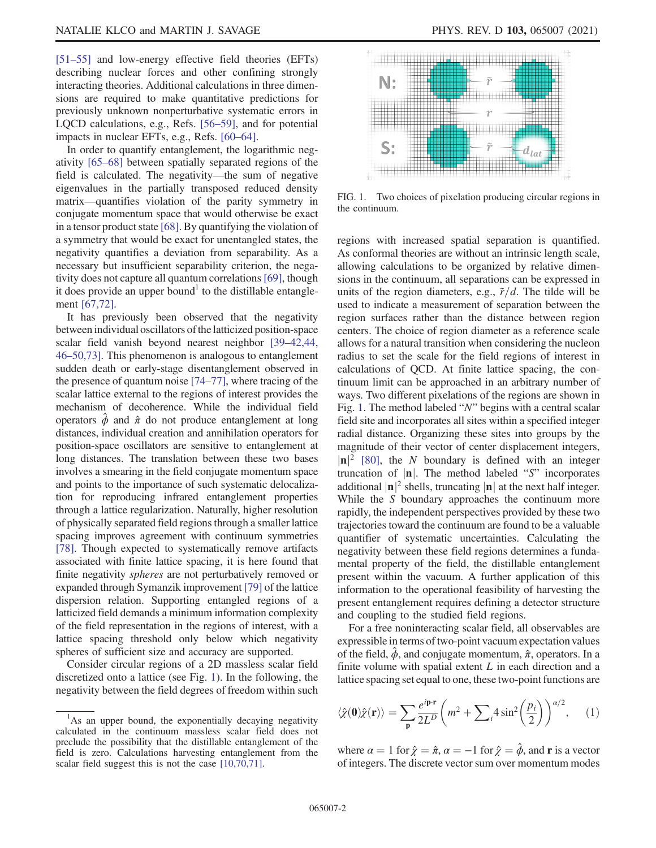[\[51](#page-24-11)–55] and low-energy effective field theories (EFTs) describing nuclear forces and other confining strongly interacting theories. Additional calculations in three dimensions are required to make quantitative predictions for previously unknown nonperturbative systematic errors in LQCD calculations, e.g., Refs. [56–[59\],](#page-24-12) and for potential impacts in nuclear EFTs, e.g., Refs. [\[60](#page-24-13)–64].

In order to quantify entanglement, the logarithmic negativity [65–[68\]](#page-24-14) between spatially separated regions of the field is calculated. The negativity—the sum of negative eigenvalues in the partially transposed reduced density matrix—quantifies violation of the parity symmetry in conjugate momentum space that would otherwise be exact in a tensor product state [\[68\]](#page-24-15). By quantifying the violation of a symmetry that would be exact for unentangled states, the negativity quantifies a deviation from separability. As a necessary but insufficient separability criterion, the negativity does not capture all quantum correlations[\[69\]](#page-25-0), though it does provide an upper bound<sup> $\perp$ </sup> to the distillable entanglement [\[67,72\]](#page-24-16).

It has previously been observed that the negativity between individual oscillators of the latticized position-space scalar field vanish beyond nearest neighbor [39–[42,44,](#page-24-17) 46–[50,73\]](#page-24-17). This phenomenon is analogous to entanglement sudden death or early-stage disentanglement observed in the presence of quantum noise [74–[77\],](#page-25-1) where tracing of the scalar lattice external to the regions of interest provides the mechanism of decoherence. While the individual field operators  $\hat{\phi}$  and  $\hat{\pi}$  do not produce entanglement at long distances, individual creation and annihilation operators for position-space oscillators are sensitive to entanglement at long distances. The translation between these two bases involves a smearing in the field conjugate momentum space and points to the importance of such systematic delocalization for reproducing infrared entanglement properties through a lattice regularization. Naturally, higher resolution of physically separated field regions through a smaller lattice spacing improves agreement with continuum symmetries [\[78\]](#page-25-2). Though expected to systematically remove artifacts associated with finite lattice spacing, it is here found that finite negativity spheres are not perturbatively removed or expanded through Symanzik improvement [\[79\]](#page-25-3) of the lattice dispersion relation. Supporting entangled regions of a latticized field demands a minimum information complexity of the field representation in the regions of interest, with a lattice spacing threshold only below which negativity spheres of sufficient size and accuracy are supported.

Consider circular regions of a 2D massless scalar field discretized onto a lattice (see Fig. [1\)](#page-1-0). In the following, the negativity between the field degrees of freedom within such

<span id="page-1-0"></span>

FIG. 1. Two choices of pixelation producing circular regions in the continuum.

regions with increased spatial separation is quantified. As conformal theories are without an intrinsic length scale, allowing calculations to be organized by relative dimensions in the continuum, all separations can be expressed in units of the region diameters, e.g.,  $\tilde{r}/d$ . The tilde will be used to indicate a measurement of separation between the region surfaces rather than the distance between region centers. The choice of region diameter as a reference scale allows for a natural transition when considering the nucleon radius to set the scale for the field regions of interest in calculations of QCD. At finite lattice spacing, the continuum limit can be approached in an arbitrary number of ways. Two different pixelations of the regions are shown in Fig. [1](#page-1-0). The method labeled "N" begins with a central scalar field site and incorporates all sites within a specified integer radial distance. Organizing these sites into groups by the magnitude of their vector of center displacement integers,  $|\mathbf{n}|^2$  [\[80\]](#page-25-4), the N boundary is defined with an integer truncation of  $|n|$ . The method labeled "S" incorporates additional  $|\mathbf{n}|^2$  shells, truncating  $|\mathbf{n}|$  at the next half integer. While the S boundary approaches the continuum more rapidly, the independent perspectives provided by these two trajectories toward the continuum are found to be a valuable quantifier of systematic uncertainties. Calculating the negativity between these field regions determines a fundamental property of the field, the distillable entanglement present within the vacuum. A further application of this information to the operational feasibility of harvesting the present entanglement requires defining a detector structure and coupling to the studied field regions.

For a free noninteracting scalar field, all observables are expressible in terms of two-point vacuum expectation values of the field,  $\dot{\phi}$ , and conjugate momentum,  $\hat{\pi}$ , operators. In a finite volume with spatial extent  $L$  in each direction and a lattice spacing set equal to one, these two-point functions are

$$
\langle \hat{\chi}(\mathbf{0})\hat{\chi}(\mathbf{r})\rangle = \sum_{\mathbf{p}} \frac{e^{i\mathbf{p}\cdot\mathbf{r}}}{2L^D} \left(m^2 + \sum_{i} 4\sin^2\left(\frac{p_i}{2}\right)\right)^{\alpha/2},\qquad(1)
$$

where  $\alpha = 1$  for  $\hat{\chi} = \hat{\pi}, \alpha = -1$  for  $\hat{\chi} = \hat{\phi}$ , and **r** is a vector of integers. The discrete vector sum over momentum modes

<sup>&</sup>lt;sup>1</sup>As an upper bound, the exponentially decaying negativity calculated in the continuum massless scalar field does not preclude the possibility that the distillable entanglement of the field is zero. Calculations harvesting entanglement from the scalar field suggest this is not the case [\[10,70,71\].](#page-24-18)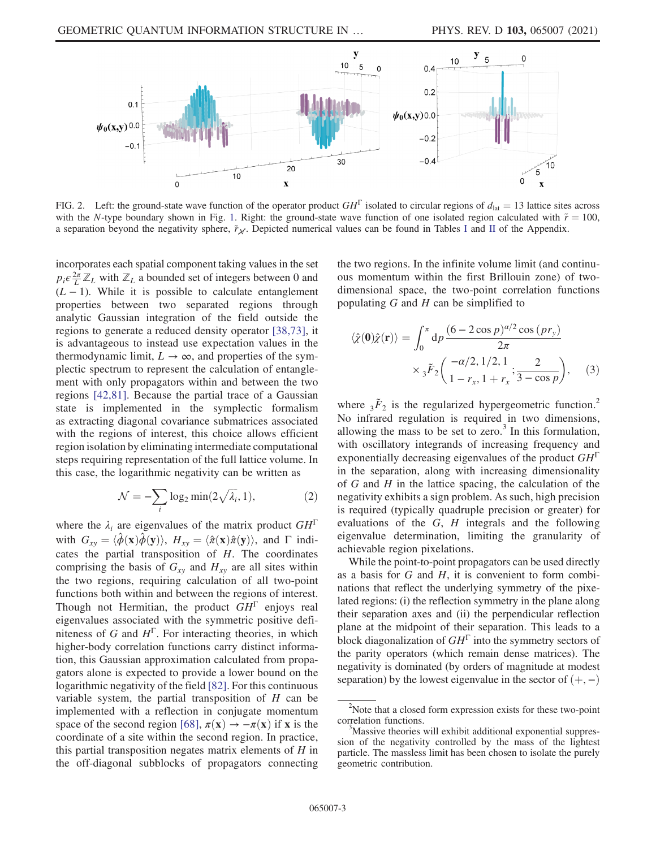<span id="page-2-0"></span>

FIG. 2. Left: the ground-state wave function of the operator product  $GH^{\Gamma}$  isolated to circular regions of  $d_{\text{lat}} = 13$  lattice sites across with the N-type boundary shown in Fig. [1](#page-1-0). Right: the ground-state wave function of one isolated region calculated with  $\tilde{r} = 100$ , a separation beyond the negativity sphere,  $\tilde{r}_{\mathcal{N}}$ . Depicted numerical values can be found in Tables [I](#page-6-0) and [II](#page-8-0) of the Appendix.

incorporates each spatial component taking values in the set  $p_i \epsilon \frac{2\pi}{L} \mathbb{Z}_L$  with  $\mathbb{Z}_L$  a bounded set of integers between 0 and  $(L - 1)$ . While it is possible to calculate entanglement properties between two separated regions through analytic Gaussian integration of the field outside the regions to generate a reduced density operator [\[38,73\]](#page-24-10), it is advantageous to instead use expectation values in the thermodynamic limit,  $L \rightarrow \infty$ , and properties of the symplectic spectrum to represent the calculation of entanglement with only propagators within and between the two regions [\[42,81\]](#page-24-19). Because the partial trace of a Gaussian state is implemented in the symplectic formalism as extracting diagonal covariance submatrices associated with the regions of interest, this choice allows efficient region isolation by eliminating intermediate computational steps requiring representation of the full lattice volume. In this case, the logarithmic negativity can be written as

$$
\mathcal{N} = -\sum_{i} \log_2 \min(2\sqrt{\lambda_i}, 1),\tag{2}
$$

where the  $\lambda_i$  are eigenvalues of the matrix product  $GH<sup>1</sup>$ with  $G_{xy} = \langle \phi(\mathbf{x})\phi(\mathbf{y})\rangle$ ,  $H_{xy} = \langle \hat{\pi}(\mathbf{x})\hat{\pi}(\mathbf{y})\rangle$ , and  $\Gamma$  indicates the partial transposition of  $H$ . The coordinates comprising the basis of  $G_{xy}$  and  $H_{xy}$  are all sites within the two regions, requiring calculation of all two-point functions both within and between the regions of interest. Though not Hermitian, the product  $GH^{\Gamma}$  enjoys real eigenvalues associated with the symmetric positive definiteness of G and  $H^{\Gamma}$ . For interacting theories, in which higher-body correlation functions carry distinct information, this Gaussian approximation calculated from propagators alone is expected to provide a lower bound on the logarithmic negativity of the field [\[82\].](#page-25-5) For this continuous variable system, the partial transposition of  $H$  can be implemented with a reflection in conjugate momentum space of the second region [\[68\],](#page-24-15)  $\pi(\mathbf{x}) \rightarrow -\pi(\mathbf{x})$  if x is the coordinate of a site within the second region. In practice, this partial transposition negates matrix elements of  $H$  in the off-diagonal subblocks of propagators connecting the two regions. In the infinite volume limit (and continuous momentum within the first Brillouin zone) of twodimensional space, the two-point correlation functions populating  $G$  and  $H$  can be simplified to

$$
\langle \hat{\chi}(\mathbf{0})\hat{\chi}(\mathbf{r})\rangle = \int_0^{\pi} dp \frac{(6 - 2\cos p)^{\alpha/2} \cos (pr_y)}{2\pi}
$$

$$
\times {}_3\tilde{F}_2\left(\frac{-\alpha/2, 1/2, 1}{1 - r_x, 1 + r_x}; \frac{2}{3 - \cos p}\right), \quad (3)
$$

where  $3\tilde{F}_2$  is the regularized hypergeometric function.<sup>2</sup> No infrared regulation is required in two dimensions, allowing the mass to be set to zero.<sup>3</sup> In this formulation, with oscillatory integrands of increasing frequency and exponentially decreasing eigenvalues of the product  $GH^{\Gamma}$ in the separation, along with increasing dimensionality of  $G$  and  $H$  in the lattice spacing, the calculation of the negativity exhibits a sign problem. As such, high precision is required (typically quadruple precision or greater) for evaluations of the  $G$ ,  $H$  integrals and the following eigenvalue determination, limiting the granularity of achievable region pixelations.

While the point-to-point propagators can be used directly as a basis for  $G$  and  $H$ , it is convenient to form combinations that reflect the underlying symmetry of the pixelated regions: (i) the reflection symmetry in the plane along their separation axes and (ii) the perpendicular reflection plane at the midpoint of their separation. This leads to a block diagonalization of  $GH^{\Gamma}$  into the symmetry sectors of the parity operators (which remain dense matrices). The negativity is dominated (by orders of magnitude at modest separation) by the lowest eigenvalue in the sector of  $(+, -)$ 

 $2^2$ Note that a closed form expression exists for these two-point correlation functions.

<sup>&</sup>lt;sup>3</sup>Massive theories will exhibit additional exponential suppression of the negativity controlled by the mass of the lightest particle. The massless limit has been chosen to isolate the purely geometric contribution.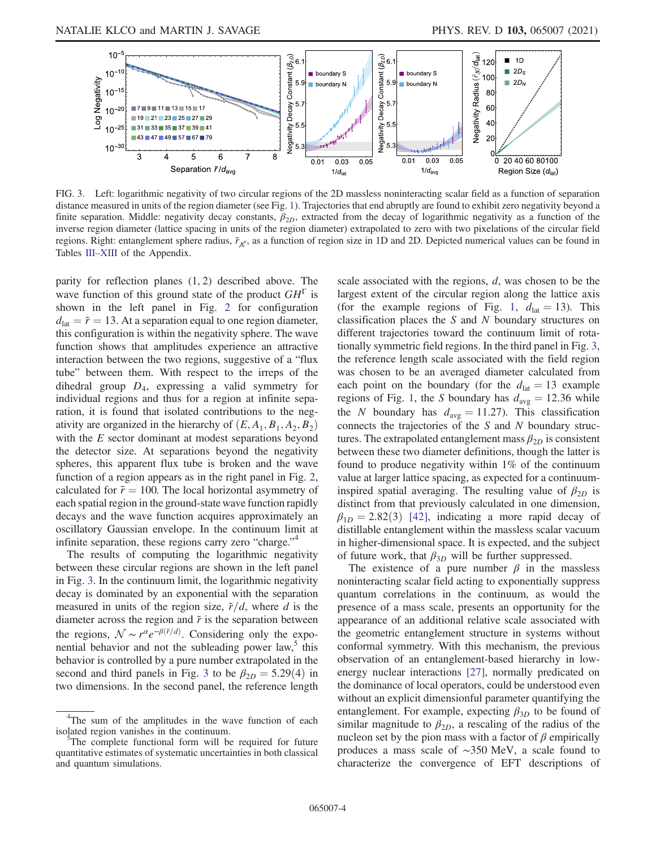<span id="page-3-0"></span>

FIG. 3. Left: logarithmic negativity of two circular regions of the 2D massless noninteracting scalar field as a function of separation distance measured in units of the region diameter (see Fig. [1](#page-1-0)). Trajectories that end abruptly are found to exhibit zero negativity beyond a finite separation. Middle: negativity decay constants,  $\beta_{2D}$ , extracted from the decay of logarithmic negativity as a function of the inverse region diameter (lattice spacing in units of the region diameter) extrapolated to zero with two pixelations of the circular field regions. Right: entanglement sphere radius,  $\tilde{r}_{\chi f}$ , as a function of region size in 1D and 2D. Depicted numerical values can be found in Tables III–[XIII](#page-9-0) of the Appendix.

parity for reflection planes  $(1, 2)$  described above. The wave function of this ground state of the product  $GH^{\Gamma}$  is shown in the left panel in Fig. [2](#page-2-0) for configuration  $d_{\text{lat}} = \tilde{r} = 13$ . At a separation equal to one region diameter, this configuration is within the negativity sphere. The wave function shows that amplitudes experience an attractive interaction between the two regions, suggestive of a "flux tube" between them. With respect to the irreps of the dihedral group  $D_4$ , expressing a valid symmetry for individual regions and thus for a region at infinite separation, it is found that isolated contributions to the negativity are organized in the hierarchy of  $(E, A_1, B_1, A_2, B_2)$ with the E sector dominant at modest separations beyond the detector size. At separations beyond the negativity spheres, this apparent flux tube is broken and the wave function of a region appears as in the right panel in Fig. [2](#page-2-0), calculated for  $\tilde{r} = 100$ . The local horizontal asymmetry of each spatial region in the ground-state wave function rapidly decays and the wave function acquires approximately an oscillatory Gaussian envelope. In the continuum limit at infinite separation, these regions carry zero "charge."<sup>4</sup>

The results of computing the logarithmic negativity between these circular regions are shown in the left panel in Fig. [3.](#page-3-0) In the continuum limit, the logarithmic negativity decay is dominated by an exponential with the separation measured in units of the region size,  $\tilde{r}/d$ , where d is the diameter across the region and  $\tilde{r}$  is the separation between the regions,  $\mathcal{N} \sim r^{\alpha} e^{-\beta(\tilde{r}/d)}$ . Considering only the exponential behavior and not the subleading power law, $5$  this behavior is controlled by a pure number extrapolated in the second and third panels in Fig. [3](#page-3-0) to be  $\beta_{2D} = 5.29(4)$  in two dimensions. In the second panel, the reference length scale associated with the regions, d, was chosen to be the largest extent of the circular region along the lattice axis (for the example regions of Fig. [1](#page-1-0),  $d_{\text{lat}} = 13$ ). This classification places the  $S$  and  $N$  boundary structures on different trajectories toward the continuum limit of rotationally symmetric field regions. In the third panel in Fig. [3](#page-3-0), the reference length scale associated with the field region was chosen to be an averaged diameter calculated from each point on the boundary (for the  $d_{\text{lat}} = 13$  example regions of Fig. [1,](#page-1-0) the S boundary has  $d_{\text{avg}} = 12.36$  while the N boundary has  $d_{avg} = 11.27$ . This classification connects the trajectories of the S and N boundary structures. The extrapolated entanglement mass  $\beta_{2D}$  is consistent between these two diameter definitions, though the latter is found to produce negativity within  $1\%$  of the continuum value at larger lattice spacing, as expected for a continuuminspired spatial averaging. The resulting value of  $\beta_{2D}$  is distinct from that previously calculated in one dimension,  $\beta_{1D} = 2.82(3)$  [\[42\]](#page-24-19), indicating a more rapid decay of distillable entanglement within the massless scalar vacuum in higher-dimensional space. It is expected, and the subject of future work, that  $\beta_{3D}$  will be further suppressed.

The existence of a pure number  $\beta$  in the massless noninteracting scalar field acting to exponentially suppress quantum correlations in the continuum, as would the presence of a mass scale, presents an opportunity for the appearance of an additional relative scale associated with the geometric entanglement structure in systems without conformal symmetry. With this mechanism, the previous observation of an entanglement-based hierarchy in lowenergy nuclear interactions [\[27\],](#page-24-6) normally predicated on the dominance of local operators, could be understood even without an explicit dimensionful parameter quantifying the entanglement. For example, expecting  $\beta_{3D}$  to be found of similar magnitude to  $\beta_{2D}$ , a rescaling of the radius of the nucleon set by the pion mass with a factor of  $\beta$  empirically produces a mass scale of ∼350 MeV, a scale found to characterize the convergence of EFT descriptions of

<sup>&</sup>lt;sup>4</sup>The sum of the amplitudes in the wave function of each isolated region vanishes in the continuum.

The complete functional form will be required for future quantitative estimates of systematic uncertainties in both classical and quantum simulations.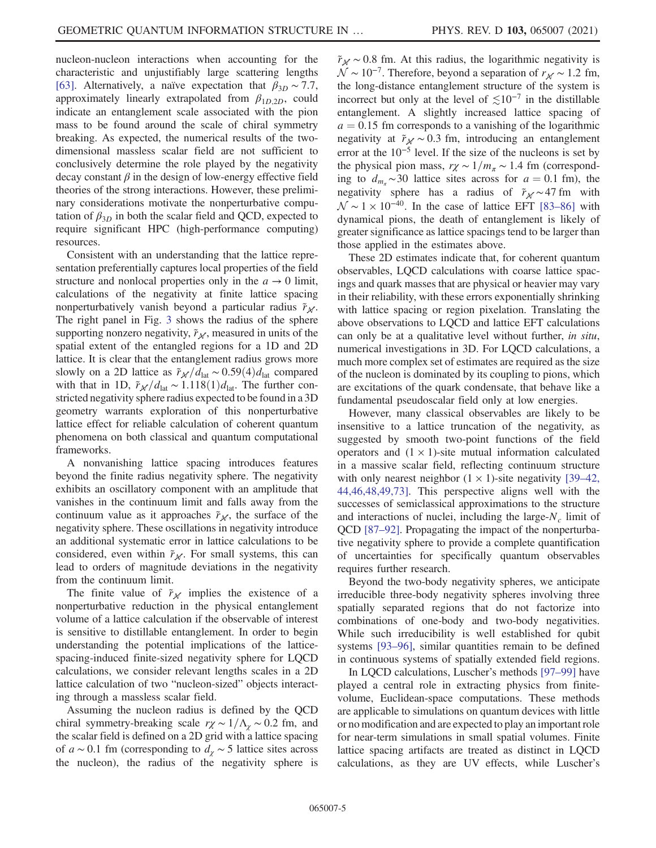nucleon-nucleon interactions when accounting for the characteristic and unjustifiably large scattering lengths [\[63\]](#page-24-20). Alternatively, a naïve expectation that  $\beta_{3D} \sim 7.7$ , approximately linearly extrapolated from  $\beta_{1D,2D}$ , could indicate an entanglement scale associated with the pion mass to be found around the scale of chiral symmetry breaking. As expected, the numerical results of the twodimensional massless scalar field are not sufficient to conclusively determine the role played by the negativity decay constant  $\beta$  in the design of low-energy effective field theories of the strong interactions. However, these preliminary considerations motivate the nonperturbative computation of  $\beta_{3D}$  in both the scalar field and QCD, expected to require significant HPC (high-performance computing) resources.

Consistent with an understanding that the lattice representation preferentially captures local properties of the field structure and nonlocal properties only in the  $a \rightarrow 0$  limit, calculations of the negativity at finite lattice spacing nonperturbatively vanish beyond a particular radius  $\tilde{r}_{\mathcal{M}}$ . The right panel in Fig. [3](#page-3-0) shows the radius of the sphere supporting nonzero negativity,  $\tilde{r}_{\mathcal{N}}$ , measured in units of the spatial extent of the entangled regions for a 1D and 2D lattice. It is clear that the entanglement radius grows more slowly on a 2D lattice as  $\frac{\tilde{r}_N}{d_{\text{lat}}}$  ~ 0.59 $(4)d_{\text{lat}}$  compared with that in 1D,  $\tilde{r}_{\mathcal{N}}/d_{\text{lat}} \sim 1.118(1)d_{\text{lat}}$ . The further constricted negativity sphere radius expected to be found in a 3D geometry warrants exploration of this nonperturbative lattice effect for reliable calculation of coherent quantum phenomena on both classical and quantum computational frameworks.

A nonvanishing lattice spacing introduces features beyond the finite radius negativity sphere. The negativity exhibits an oscillatory component with an amplitude that vanishes in the continuum limit and falls away from the continuum value as it approaches  $\tilde{r}_{\mathcal{N}}$ , the surface of the negativity sphere. These oscillations in negativity introduce an additional systematic error in lattice calculations to be considered, even within  $\tilde{r}_{\mathcal{N}}$ . For small systems, this can lead to orders of magnitude deviations in the negativity from the continuum limit.

The finite value of  $\tilde{r}_{\mathcal{N}}$  implies the existence of a nonperturbative reduction in the physical entanglement volume of a lattice calculation if the observable of interest is sensitive to distillable entanglement. In order to begin understanding the potential implications of the latticespacing-induced finite-sized negativity sphere for LQCD calculations, we consider relevant lengths scales in a 2D lattice calculation of two "nucleon-sized" objects interacting through a massless scalar field.

Assuming the nucleon radius is defined by the QCD chiral symmetry-breaking scale  $r\chi \sim 1/\Lambda_{\chi} \sim 0.2$  fm, and the scalar field is defined on a 2D grid with a lattice spacing of  $a \sim 0.1$  fm (corresponding to  $d<sub>x</sub> \sim 5$  lattice sites across the nucleon), the radius of the negativity sphere is  $\tilde{r}_{\mathcal{N}}$  ~ 0.8 fm. At this radius, the logarithmic negativity is  $\mathcal{N}$  ~ 10<sup>-7</sup>. Therefore, beyond a separation of  $r_{\mathcal{N}}$  ~ 1.2 fm, the long-distance entanglement structure of the system is incorrect but only at the level of  $\leq 10^{-7}$  in the distillable entanglement. A slightly increased lattice spacing of  $a = 0.15$  fm corresponds to a vanishing of the logarithmic negativity at  $\tilde{r}_{\mathcal{N}}$  ~ 0.3 fm, introducing an entanglement error at the 10<sup>−</sup><sup>5</sup> level. If the size of the nucleons is set by the physical pion mass,  $r\chi \sim 1/m_\pi \sim 1.4$  fm (corresponding to  $d_{m_{\tau}} \sim 30$  lattice sites across for  $a = 0.1$  fm), the negativity sphere has a radius of  $\tilde{r}_{\mathcal{N}} \sim 47$  fm with  $\mathcal{N} \sim 1 \times 10^{-40}$ . In the case of lattice EFT [83–[86\]](#page-25-6) with dynamical pions, the death of entanglement is likely of greater significance as lattice spacings tend to be larger than those applied in the estimates above.

These 2D estimates indicate that, for coherent quantum observables, LQCD calculations with coarse lattice spacings and quark masses that are physical or heavier may vary in their reliability, with these errors exponentially shrinking with lattice spacing or region pixelation. Translating the above observations to LQCD and lattice EFT calculations can only be at a qualitative level without further, in situ, numerical investigations in 3D. For LQCD calculations, a much more complex set of estimates are required as the size of the nucleon is dominated by its coupling to pions, which are excitations of the quark condensate, that behave like a fundamental pseudoscalar field only at low energies.

However, many classical observables are likely to be insensitive to a lattice truncation of the negativity, as suggested by smooth two-point functions of the field operators and  $(1 \times 1)$ -site mutual information calculated in a massive scalar field, reflecting continuum structure with only nearest neighbor  $(1 \times 1)$ -site negativity [\[39](#page-24-17)–42, [44,46,48,49,73\]](#page-24-17). This perspective aligns well with the successes of semiclassical approximations to the structure and interactions of nuclei, including the large- $N_c$  limit of QCD [\[87](#page-25-7)–92]. Propagating the impact of the nonperturbative negativity sphere to provide a complete quantification of uncertainties for specifically quantum observables requires further research.

Beyond the two-body negativity spheres, we anticipate irreducible three-body negativity spheres involving three spatially separated regions that do not factorize into combinations of one-body and two-body negativities. While such irreducibility is well established for qubit systems [\[93](#page-25-8)–96], similar quantities remain to be defined in continuous systems of spatially extended field regions.

In LQCD calculations, Luscher's methods [97–[99\]](#page-25-9) have played a central role in extracting physics from finitevolume, Euclidean-space computations. These methods are applicable to simulations on quantum devices with little or no modification and are expected to play an important role for near-term simulations in small spatial volumes. Finite lattice spacing artifacts are treated as distinct in LQCD calculations, as they are UV effects, while Luscher's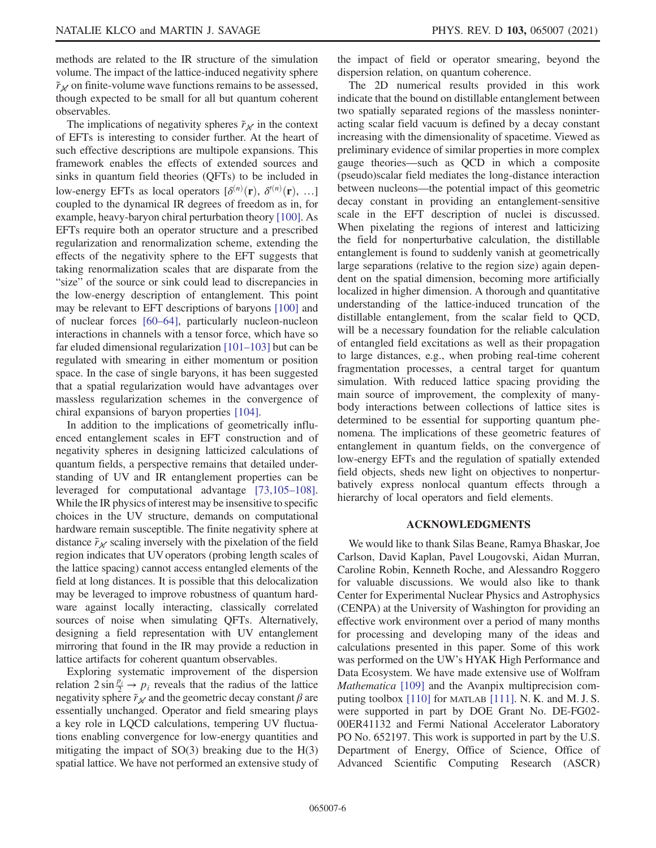methods are related to the IR structure of the simulation volume. The impact of the lattice-induced negativity sphere  $\tilde{r}_M$  on finite-volume wave functions remains to be assessed, though expected to be small for all but quantum coherent observables.

The implications of negativity spheres  $\tilde{r}_M$  in the context of EFTs is interesting to consider further. At the heart of such effective descriptions are multipole expansions. This framework enables the effects of extended sources and sinks in quantum field theories (QFTs) to be included in low-energy EFTs as local operators  $\lbrack \delta^{(n)}(\mathbf{r}), \delta^{(n)}(\mathbf{r}), \ldots \rbrack$ coupled to the dynamical IR degrees of freedom as in, for example, heavy-baryon chiral perturbation theory [\[100\].](#page-25-10) As EFTs require both an operator structure and a prescribed regularization and renormalization scheme, extending the effects of the negativity sphere to the EFT suggests that taking renormalization scales that are disparate from the "size" of the source or sink could lead to discrepancies in the low-energy description of entanglement. This point may be relevant to EFT descriptions of baryons [\[100\]](#page-25-10) and of nuclear forces [\[60](#page-24-13)–64], particularly nucleon-nucleon interactions in channels with a tensor force, which have so far eluded dimensional regularization [\[101](#page-25-11)–103] but can be regulated with smearing in either momentum or position space. In the case of single baryons, it has been suggested that a spatial regularization would have advantages over massless regularization schemes in the convergence of chiral expansions of baryon properties [\[104\]](#page-25-12).

In addition to the implications of geometrically influenced entanglement scales in EFT construction and of negativity spheres in designing latticized calculations of quantum fields, a perspective remains that detailed understanding of UV and IR entanglement properties can be leveraged for computational advantage [\[73,105](#page-25-13)–108]. While the IR physics of interest may be insensitive to specific choices in the UV structure, demands on computational hardware remain susceptible. The finite negativity sphere at distance  $\tilde{r}_M$  scaling inversely with the pixelation of the field region indicates that UV operators (probing length scales of the lattice spacing) cannot access entangled elements of the field at long distances. It is possible that this delocalization may be leveraged to improve robustness of quantum hardware against locally interacting, classically correlated sources of noise when simulating QFTs. Alternatively, designing a field representation with UV entanglement mirroring that found in the IR may provide a reduction in lattice artifacts for coherent quantum observables.

Exploring systematic improvement of the dispersion relation  $2 \sin \frac{p_i}{2} \rightarrow p_i$  reveals that the radius of the lattice negativity sphere  $\tilde{r}_M$  and the geometric decay constant  $\beta$  are essentially unchanged. Operator and field smearing plays a key role in LQCD calculations, tempering UV fluctuations enabling convergence for low-energy quantities and mitigating the impact of  $SO(3)$  breaking due to the  $H(3)$ spatial lattice. We have not performed an extensive study of the impact of field or operator smearing, beyond the dispersion relation, on quantum coherence.

The 2D numerical results provided in this work indicate that the bound on distillable entanglement between two spatially separated regions of the massless noninteracting scalar field vacuum is defined by a decay constant increasing with the dimensionality of spacetime. Viewed as preliminary evidence of similar properties in more complex gauge theories—such as QCD in which a composite (pseudo)scalar field mediates the long-distance interaction between nucleons—the potential impact of this geometric decay constant in providing an entanglement-sensitive scale in the EFT description of nuclei is discussed. When pixelating the regions of interest and latticizing the field for nonperturbative calculation, the distillable entanglement is found to suddenly vanish at geometrically large separations (relative to the region size) again dependent on the spatial dimension, becoming more artificially localized in higher dimension. A thorough and quantitative understanding of the lattice-induced truncation of the distillable entanglement, from the scalar field to QCD, will be a necessary foundation for the reliable calculation of entangled field excitations as well as their propagation to large distances, e.g., when probing real-time coherent fragmentation processes, a central target for quantum simulation. With reduced lattice spacing providing the main source of improvement, the complexity of manybody interactions between collections of lattice sites is determined to be essential for supporting quantum phenomena. The implications of these geometric features of entanglement in quantum fields, on the convergence of low-energy EFTs and the regulation of spatially extended field objects, sheds new light on objectives to nonperturbatively express nonlocal quantum effects through a hierarchy of local operators and field elements.

#### ACKNOWLEDGMENTS

We would like to thank Silas Beane, Ramya Bhaskar, Joe Carlson, David Kaplan, Pavel Lougovski, Aidan Murran, Caroline Robin, Kenneth Roche, and Alessandro Roggero for valuable discussions. We would also like to thank Center for Experimental Nuclear Physics and Astrophysics (CENPA) at the University of Washington for providing an effective work environment over a period of many months for processing and developing many of the ideas and calculations presented in this paper. Some of this work was performed on the UW's HYAK High Performance and Data Ecosystem. We have made extensive use of Wolfram Mathematica [\[109\]](#page-25-14) and the Avanpix multiprecision computing toolbox [\[110\]](#page-25-15) for MATLAB [\[111\].](#page-25-16) N. K. and M. J. S. were supported in part by DOE Grant No. DE-FG02- 00ER41132 and Fermi National Accelerator Laboratory PO No. 652197. This work is supported in part by the U.S. Department of Energy, Office of Science, Office of Advanced Scientific Computing Research (ASCR)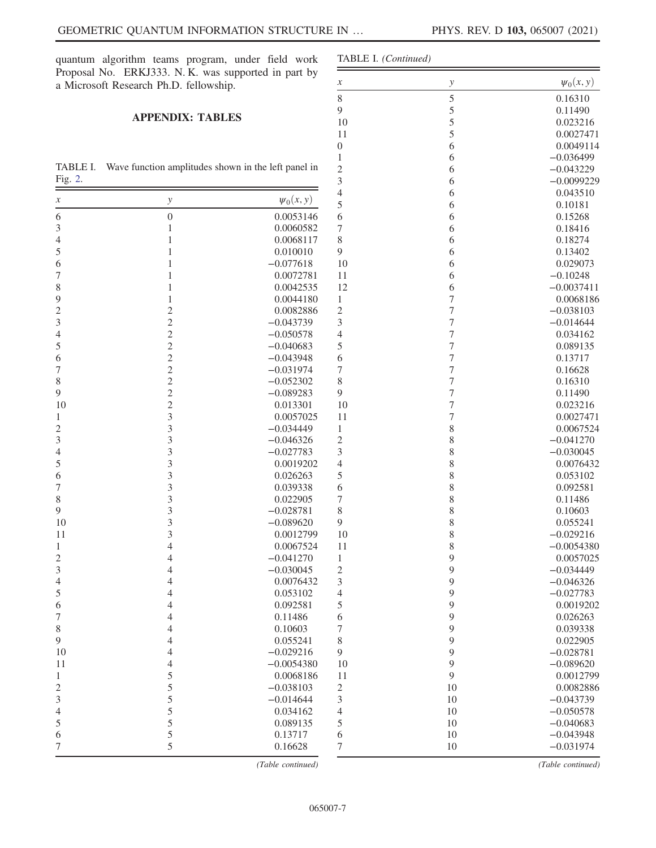quantum algorithm teams program, under field work Proposal No. ERKJ333. N. K. was supported in a Microsoft Research Ph.D. fellowship.

### APPENDIX: TABLES

<span id="page-6-0"></span>TABLE I. Wave function amplitudes shown in the left Fig. [2](#page-2-0).

|                            |                         |                | $\overline{4}$   | 6                |
|----------------------------|-------------------------|----------------|------------------|------------------|
| $\boldsymbol{\mathcal{X}}$ | $\mathcal{Y}$           | $\psi_0(x, y)$ | 5                | 6                |
| 6                          | $\boldsymbol{0}$        | 0.0053146      | 6                | 6                |
| $\mathfrak 3$              | $\mathbf{1}$            | 0.0060582      | $\boldsymbol{7}$ | 6                |
| 4                          | $\mathbf{1}$            | 0.0068117      | $\,$ 8 $\,$      | 6                |
| 5                          | $\mathbf{1}$            | 0.010010       | $\boldsymbol{9}$ | 6                |
| 6                          | $\mathbf{1}$            | $-0.077618$    | 10               | 6                |
| $\overline{7}$             | $\mathbf{1}$            | 0.0072781      | 11               | 6                |
| $\,$ $\,$                  | $\,1$                   | 0.0042535      | 12               | 6                |
| $\overline{9}$             | $\mathbf{1}$            | 0.0044180      | $\mathbf{1}$     | $\boldsymbol{7}$ |
| $\sqrt{2}$                 | $\overline{c}$          | 0.0082886      | $\sqrt{2}$       | $\boldsymbol{7}$ |
| 3                          | $\overline{c}$          | $-0.043739$    | 3                | $\boldsymbol{7}$ |
| $\overline{4}$             | $\overline{c}$          | $-0.050578$    | $\overline{4}$   | $\boldsymbol{7}$ |
| 5                          | $\overline{c}$          | $-0.040683$    | 5                | $\boldsymbol{7}$ |
| 6                          | $\overline{c}$          | $-0.043948$    | 6                | $\boldsymbol{7}$ |
| $\boldsymbol{7}$           | $\overline{c}$          | $-0.031974$    | $\boldsymbol{7}$ | $\boldsymbol{7}$ |
| $\,$ $\,$                  | $\overline{c}$          | $-0.052302$    | $\,$ 8 $\,$      | $\boldsymbol{7}$ |
| $\mathbf{9}$               | $\overline{c}$          | $-0.089283$    | 9                | $\boldsymbol{7}$ |
| 10                         | $\overline{c}$          | 0.013301       | 10               | $\tau$           |
| 1                          | $\overline{\mathbf{3}}$ | 0.0057025      | 11               | $\boldsymbol{7}$ |
| $\sqrt{2}$                 | $\overline{\mathbf{3}}$ | $-0.034449$    | $\mathbf{1}$     | $\,8\,$          |
| 3                          | 3                       | $-0.046326$    | $\sqrt{2}$       | 8                |
| 4                          | 3                       | $-0.027783$    | $\mathfrak{Z}$   | $\,$ $\,$        |
| 5                          | 3                       | 0.0019202      | $\overline{4}$   | $8\,$            |
| 6                          | $\overline{3}$          | 0.026263       | 5                | $\,$ 8 $\,$      |
| $\sqrt{ }$                 | $\overline{\mathbf{3}}$ | 0.039338       | 6                | $\,$ $\,$        |
| $\,$ $\,$                  | 3                       | 0.022905       | $\boldsymbol{7}$ | $\,$ $\,$        |
| 9                          | 3                       | $-0.028781$    | $\,$ 8 $\,$      | 8                |
| 10                         | 3                       | $-0.089620$    | $\mathbf{9}$     | $\,$ $\,$        |
| 11                         | 3                       | 0.0012799      | 10               | $\,$ $\,$        |
| $\mathbf{1}$               | $\overline{4}$          | 0.0067524      | 11               | $\,$ 8 $\,$      |
| $\sqrt{2}$                 | $\overline{4}$          | $-0.041270$    | $\mathbf{1}$     | $\mathfrak{g}$   |
| $\mathfrak{Z}$             | $\overline{4}$          | $-0.030045$    | $\sqrt{2}$       | $\boldsymbol{9}$ |
| $\overline{4}$             | $\overline{4}$          | 0.0076432      | $\mathfrak{Z}$   | $\boldsymbol{9}$ |
| $\mathfrak s$              | $\overline{4}$          | 0.053102       | $\overline{4}$   | $\overline{9}$   |
| 6                          | $\overline{4}$          | 0.092581       | 5                | $\overline{9}$   |
| $\boldsymbol{7}$           | $\overline{4}$          | 0.11486        | 6                | $\mathbf{9}$     |
| $\,$ $\,$                  | 4                       | 0.10603        | $\boldsymbol{7}$ | $\overline{9}$   |
| $\mathbf{9}$               | $\overline{4}$          | 0.055241       | $\,$ 8 $\,$      | $\boldsymbol{9}$ |
| 10                         | $\overline{4}$          | $-0.029216$    | $\mathbf{9}$     | 9                |
| 11                         | $\overline{4}$          | $-0.0054380$   | 10               | 9                |
| 1                          | 5                       | 0.0068186      | 11               | $\overline{9}$   |
| $\sqrt{2}$                 | 5                       | $-0.038103$    | $\mathbf{2}$     | 10               |
| $\overline{3}$             | 5                       | $-0.014644$    | $\mathfrak{Z}$   | 10               |
| $\overline{4}$             | 5                       | 0.034162       | $\overline{4}$   | 10               |
| 5                          | 5                       | 0.089135       | 5                | 10               |
| 6                          | 5                       | 0.13717        | 6                | $10\,$           |
|                            |                         |                |                  |                  |
| $\tau$                     | 5                       | 0.16628        | $\boldsymbol{7}$ | 10               |

(Table continued)

| ld work        |                            | TABLE I. (Continued) |                          |  |  |
|----------------|----------------------------|----------------------|--------------------------|--|--|
| part by        | $\boldsymbol{\mathcal{X}}$ | $\mathcal{Y}$        | $\psi_0(x, y)$           |  |  |
|                | 8                          | 5                    | 0.16310                  |  |  |
|                | 9                          | 5                    | 0.11490                  |  |  |
|                | 10                         | 5                    | 0.023216                 |  |  |
|                | 11                         | 5                    | 0.0027471                |  |  |
|                | $\boldsymbol{0}$           | 6                    | 0.0049114                |  |  |
|                | 1                          | 6                    | $-0.036499$              |  |  |
| t panel in     | $\overline{c}$             | 6                    | $-0.043229$              |  |  |
|                | 3                          | 6                    | $-0.0099229$             |  |  |
|                | $\overline{4}$             | 6                    | 0.043510                 |  |  |
| $\psi_0(x, y)$ | 5                          | 6                    | 0.10181                  |  |  |
| .0053146       | 6                          | 6                    | 0.15268                  |  |  |
| .0060582       | 7                          | 6                    | 0.18416                  |  |  |
| .0068117       | 8                          | 6                    | 0.18274                  |  |  |
| .010010        | 9                          | 6                    | 0.13402                  |  |  |
| .077618        | 10                         | 6                    | 0.029073                 |  |  |
| .0072781       | 11                         | 6                    | $-0.10248$               |  |  |
| .0042535       | 12                         | 6                    | $-0.0037411$             |  |  |
| .0044180       | 1                          | 7                    | 0.0068186                |  |  |
| .0082886       | $\overline{c}$             | 7                    | $-0.038103$              |  |  |
| .043739        | 3                          | 7                    | $-0.014644$              |  |  |
| .050578        | 4                          | $\overline{7}$       | 0.034162                 |  |  |
| .040683        | 5                          | $\sqrt{ }$           | 0.089135                 |  |  |
| .043948        | 6                          | $\boldsymbol{7}$     | 0.13717                  |  |  |
| .031974        | 7                          | 7                    | 0.16628                  |  |  |
| .052302        | 8                          | 7                    | 0.16310                  |  |  |
| .089283        | 9                          | $\sqrt{ }$           | 0.11490                  |  |  |
| .013301        | 10                         | $\overline{7}$       | 0.023216                 |  |  |
| .0057025       | 11                         | 7                    | 0.0027471                |  |  |
| .034449        | $\mathbf{1}$               | 8                    |                          |  |  |
| .046326        | $\overline{c}$             | 8                    | 0.0067524<br>$-0.041270$ |  |  |
|                | 3                          |                      |                          |  |  |
| .027783        |                            | 8                    | $-0.030045$              |  |  |
| .0019202       | 4<br>5                     | 8                    | 0.0076432                |  |  |
| .026263        |                            | 8                    | 0.053102                 |  |  |
| .039338        | 6                          | 8                    | 0.092581                 |  |  |
| .022905        | 7                          | 8                    | 0.11486                  |  |  |
| .028781        | 8                          | 8                    | 0.10603                  |  |  |
| .089620        | 9                          | 8                    | 0.055241                 |  |  |
| .0012799       | 10                         | 8                    | $-0.029216$              |  |  |
| .0067524       | 11                         | 8                    | $-0.0054380$             |  |  |
| .041270        | $\mathbf{1}$               | 9                    | 0.0057025                |  |  |
| .030045        | $\overline{c}$             | 9                    | $-0.034449$              |  |  |
| .0076432       | 3                          | 9                    | $-0.046326$              |  |  |
| .053102        | $\overline{4}$             | 9                    | $-0.027783$              |  |  |
| .092581        | 5                          | 9                    | 0.0019202                |  |  |
| .11486         | 6                          | 9                    | 0.026263                 |  |  |
| .10603         | 7                          | 9                    | 0.039338                 |  |  |
| .055241        | 8                          | 9                    | 0.022905                 |  |  |
| .029216        | 9                          | 9                    | $-0.028781$              |  |  |
| 0054380        | 10                         | 9                    | $-0.089620$              |  |  |
| .0068186       | 11                         | 9                    | 0.0012799                |  |  |
| .038103        | $\overline{c}$             | 10                   | 0.0082886                |  |  |
| .014644        | 3                          | 10                   | $-0.043739$              |  |  |
| .034162        | 4                          | 10                   | $-0.050578$              |  |  |
| .089135        | 5                          | 10                   | $-0.040683$              |  |  |
| .13717         | 6                          | 10                   | $-0.043948$              |  |  |
| .16628         | 7                          | 10                   | $-0.031974$              |  |  |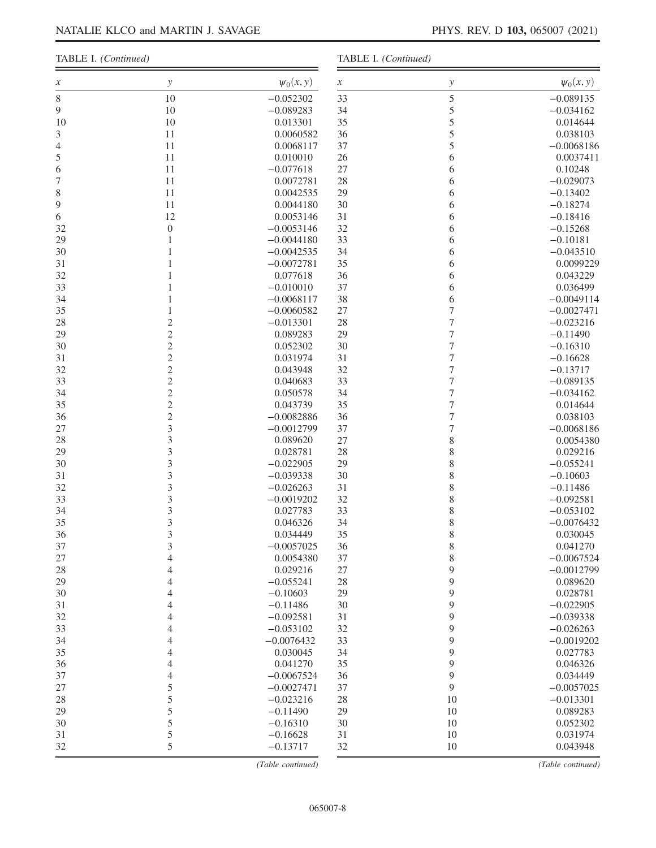#### TABLE I. (Continued)

TABLE I. (Continued)

| х                | у                | $\psi_0(x, y)$               | $\boldsymbol{\mathcal{X}}$ | у                | $\psi_0(x, y)$           |
|------------------|------------------|------------------------------|----------------------------|------------------|--------------------------|
| $\,$ 8 $\,$      | 10               | $-0.052302$                  | 33                         | 5                | $-0.089135$              |
| 9                | 10               | $-0.089283$                  | 34                         | 5                | $-0.034162$              |
| 10               | 10               | 0.013301                     | 35                         | 5                | 0.014644                 |
| 3                | 11               | 0.0060582                    | 36                         | 5                | 0.038103                 |
| $\overline{4}$   | 11               | 0.0068117                    | 37                         | 5                | $-0.0068186$             |
| 5                | 11               | 0.010010                     | 26                         | 6                | 0.0037411                |
| 6                | 11               | $-0.077618$                  | 27                         | 6                | 0.10248                  |
| $\boldsymbol{7}$ | 11               | 0.0072781                    | 28                         | 6                | $-0.029073$              |
| $\,$ $\,$        | 11               | 0.0042535                    | 29                         | 6                | $-0.13402$               |
| 9                | 11               | 0.0044180                    | 30                         | 6                | $-0.18274$               |
| 6                | 12               | 0.0053146                    | 31                         | 6                | $-0.18416$               |
| 32               | $\boldsymbol{0}$ | $-0.0053146$                 | 32                         | 6                | $-0.15268$               |
| 29               | $\mathbf{1}$     | $-0.0044180$                 | 33                         | 6                | $-0.10181$               |
| 30               | 1                | $-0.0042535$                 | 34                         | 6                | $-0.043510$              |
| 31               |                  | $-0.0072781$                 | 35                         | 6                | 0.0099229                |
| 32               | 1                | 0.077618                     | 36                         | 6                | 0.043229                 |
| 33               |                  | $-0.010010$                  | 37                         | 6                | 0.036499                 |
| 34               | 1                | $-0.0068117$                 | 38                         | 6                | $-0.0049114$             |
| 35               |                  | $-0.0060582$                 | 27                         | $\boldsymbol{7}$ | $-0.0027471$             |
| 28               | $\overline{c}$   | $-0.013301$                  | 28                         | $\boldsymbol{7}$ | $-0.023216$              |
| 29               | $\overline{c}$   | 0.089283                     | 29                         | $\boldsymbol{7}$ | $-0.11490$               |
| 30               | $\overline{c}$   | 0.052302                     | 30                         | $\boldsymbol{7}$ | $-0.16310$               |
| 31               | $\overline{c}$   | 0.031974                     | 31                         | $\overline{7}$   | $-0.16628$               |
| 32               | $\overline{c}$   | 0.043948                     | 32                         | $\overline{7}$   | $-0.13717$               |
| 33               | $\overline{c}$   | 0.040683                     | 33                         | $\boldsymbol{7}$ | $-0.089135$              |
| 34               | $\overline{c}$   | 0.050578                     | 34                         | $\overline{7}$   | $-0.034162$              |
| 35               | $\overline{c}$   | 0.043739                     | 35                         | $\boldsymbol{7}$ | 0.014644                 |
| 36               | $\overline{c}$   | $-0.0082886$                 | 36                         | $\overline{7}$   | 0.038103                 |
| $27\,$           | 3                | $-0.0012799$                 | 37                         | $\overline{7}$   | $-0.0068186$             |
| 28               | 3                | 0.089620                     | 27                         | 8                | 0.0054380                |
| 29               | 3                | 0.028781                     | 28                         | 8                | 0.029216                 |
| 30               | 3                | $-0.022905$                  | 29                         | 8                | $-0.055241$              |
| 31               | 3                | $-0.039338$                  | 30                         | 8                | $-0.10603$               |
| 32               | 3                | $-0.026263$                  | 31                         | 8                | $-0.11486$               |
| 33               | 3                | $-0.0019202$                 | 32                         | 8                | $-0.092581$              |
| 34               | 3                | 0.027783                     | 33                         | 8                | $-0.053102$              |
| 35               | 3                | 0.046326                     | 34                         | 8                | $-0.0076432$             |
| 36               | 3                | 0.034449                     | 35                         | 8                | 0.030045                 |
| 37               | 3                | $-0.0057025$                 | 36                         | 8                | 0.041270                 |
| 27               | 4                | 0.0054380                    | 37                         | $\,$ $\,$        | $-0.0067524$             |
| 28               | 4                | 0.029216                     | $27\,$                     | 9                | $-0.0012799$             |
| 29               | 4                | $-0.055241$                  | 28                         | 9                | 0.089620                 |
| 30               | 4                | $-0.10603$                   | 29                         | 9                | 0.028781                 |
| 31               | 4                | $-0.11486$                   | 30                         | 9                | $-0.022905$              |
| 32               | 4                | $-0.092581$                  | 31                         | $\mathbf{9}$     | $-0.039338$              |
| 33               | 4                | $-0.053102$                  | 32                         | 9                | $-0.026263$              |
| 34               | 4                | $-0.0076432$<br>0.030045     | 33                         | 9                | $-0.0019202$             |
| 35               | 4                |                              | 34                         | 9                | 0.027783                 |
| 36               | 4                | 0.041270                     | 35                         | 9<br>9           | 0.046326                 |
| 37<br>$27\,$     | 4<br>5           | $-0.0067524$<br>$-0.0027471$ | 36<br>37                   | 9                | 0.034449<br>$-0.0057025$ |
| 28               | 5                | $-0.023216$                  | 28                         | 10               | $-0.013301$              |
| 29               | 5                | $-0.11490$                   | 29                         | 10               | 0.089283                 |
| 30               | 5                | $-0.16310$                   | 30                         | 10               | 0.052302                 |
| 31               | 5                | $-0.16628$                   | 31                         | 10               | 0.031974                 |
| 32               | 5                | $-0.13717$                   | 32                         | $10\,$           | 0.043948                 |
|                  |                  |                              |                            |                  |                          |

(Table continued)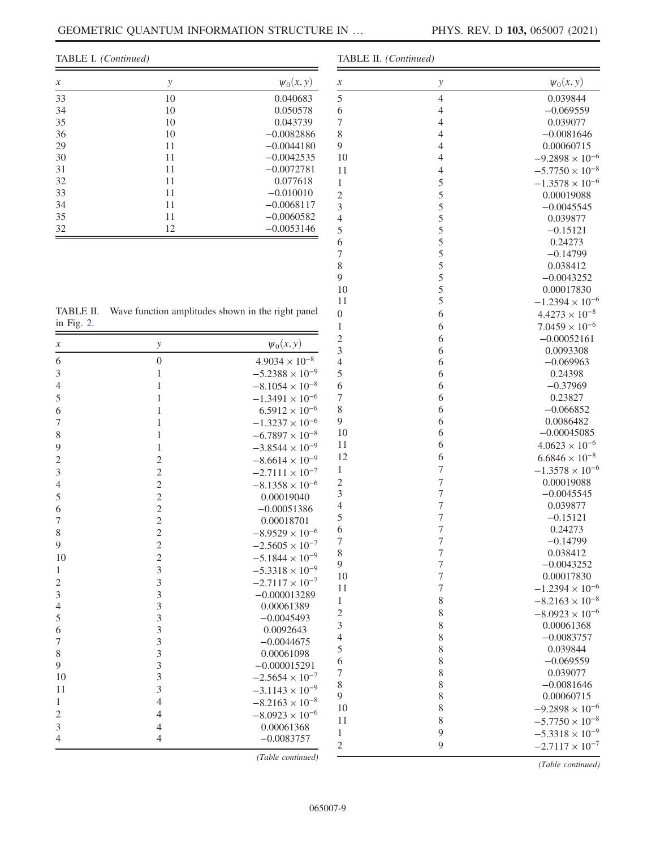TABLE I. (Continued)

| $\mathcal{X}$ | у  | $\psi_0(x, y)$ |
|---------------|----|----------------|
| 33            | 10 | 0.040683       |
| 34            | 10 | 0.050578       |
| 35            | 10 | 0.043739       |
| 36            | 10 | $-0.0082886$   |
| 29            | 11 | $-0.0044180$   |
| 30            | 11 | $-0.0042535$   |
| 31            | 11 | $-0.0072781$   |
| 32            | 11 | 0.077618       |
| 33            | 11 | $-0.010010$    |
| 34            | 11 | $-0.0068117$   |
| 35            | 11 | $-0.0060582$   |
| 32            | 12 | $-0.0053146$   |

<span id="page-8-0"></span>

|               | TABLE II. Wave function amplitudes shown in the right panel |
|---------------|-------------------------------------------------------------|
| in Fig. $2$ . |                                                             |

| $\frac{111}{16}$ .      |                  |                          | $\mathbf{I}$                   |
|-------------------------|------------------|--------------------------|--------------------------------|
| $\boldsymbol{x}$        | $\mathcal{Y}$    | $\psi_0(x, y)$           | $\overline{c}$<br>3            |
| 6                       | $\boldsymbol{0}$ | $4.9034 \times 10^{-8}$  | $\overline{4}$                 |
| 3                       | $\mathbf{1}$     | $-5.2388 \times 10^{-9}$ | 5                              |
| $\overline{4}$          | $\mathbf{1}$     | $-8.1054 \times 10^{-8}$ | 6                              |
| 5                       | $\,1$            | $-1.3491 \times 10^{-6}$ | $\overline{7}$                 |
| 6                       | $\mathbf{1}$     | $6.5912 \times 10^{-6}$  | 8                              |
| $\overline{7}$          | $\mathbf{1}$     | $-1.3237 \times 10^{-6}$ | 9                              |
| 8                       | 1                | $-6.7897 \times 10^{-8}$ | 10                             |
| 9                       | $\mathbf{1}$     | $-3.8544 \times 10^{-9}$ | 11                             |
| $\overline{c}$          | $\overline{c}$   | $-8.6614 \times 10^{-9}$ | 12                             |
| 3                       | $\overline{c}$   | $-2.7111 \times 10^{-7}$ | $\,1\,$                        |
| $\overline{4}$          | $\overline{c}$   | $-8.1358 \times 10^{-6}$ | $\overline{c}$                 |
| 5                       | $\overline{c}$   | 0.00019040               | 3                              |
| 6                       | $\overline{c}$   | $-0.00051386$            | $\overline{4}$                 |
| $\overline{7}$          | $\overline{c}$   | 0.00018701               | 5                              |
| 8                       | $\overline{c}$   | $-8.9529 \times 10^{-6}$ | 6                              |
| 9                       | $\overline{c}$   | $-2.5605 \times 10^{-7}$ | $\overline{7}$                 |
| 10                      | $\overline{c}$   | $-5.1844 \times 10^{-9}$ | 8                              |
| $\mathbf{1}$            | $\overline{3}$   | $-5.3318 \times 10^{-9}$ | 9                              |
| $\overline{c}$          | $\overline{3}$   | $-2.7117 \times 10^{-7}$ | 10                             |
| 3                       | 3                | $-0.000013289$           | 11                             |
| $\overline{4}$          | 3                | 0.00061389               | $\mathbf{1}$                   |
| 5                       | 3                | $-0.0045493$             | $\overline{c}$                 |
| 6                       | 3                | 0.0092643                | 3                              |
| $\overline{7}$          | $\overline{3}$   | $-0.0044675$             | $\overline{4}$                 |
| 8                       | 3                | 0.00061098               | 5                              |
| 9                       | 3                | $-0.000015291$           | 6<br>$\sqrt{ }$                |
| 10                      | 3                | $-2.5654 \times 10^{-7}$ | 8                              |
| 11                      | 3                | $-3.1143 \times 10^{-9}$ | 9                              |
| $\mathbf{1}$            | $\overline{4}$   | $-8.2163 \times 10^{-8}$ | 10                             |
| $\overline{\mathbf{c}}$ | $\overline{4}$   | $-8.0923 \times 10^{-6}$ | 11                             |
| 3                       | $\overline{4}$   | 0.00061368               |                                |
| 4                       | 4                | $-0.0083757$             | $\mathbf{1}$<br>$\overline{2}$ |

| TABLE II. (Continued) |                |                          |
|-----------------------|----------------|--------------------------|
| $\boldsymbol{\chi}$   | $\mathcal{Y}$  | $\psi_0(x, y)$           |
| 5                     | $\overline{4}$ | 0.039844                 |
| 6                     | $\overline{4}$ | $-0.069559$              |
| $\overline{7}$        | $\overline{4}$ | 0.039077                 |
| 8                     | $\overline{4}$ | $-0.0081646$             |
| 9                     | $\overline{4}$ | 0.00060715               |
| 10                    | $\overline{4}$ | $-9.2898 \times 10^{-6}$ |
| 11                    | $\overline{4}$ | $-5.7750 \times 10^{-8}$ |
| $\mathbf{1}$          | 5              | $-1.3578 \times 10^{-6}$ |
| $\overline{c}$        | 5              | 0.00019088               |
| 3                     | 5              | $-0.0045545$             |
| $\overline{4}$        | 5              | 0.039877                 |
| 5                     | 5              | $-0.15121$               |
| 6                     | 5              | 0.24273                  |
| $\overline{7}$        | 5              | $-0.14799$               |
| 8                     | 5              | 0.038412                 |
| 9                     | 5              | $-0.0043252$             |
| 10                    | 5              | 0.00017830               |
| 11                    | 5              | $-1.2394 \times 10^{-6}$ |
| $\boldsymbol{0}$      | 6              | $4.4273 \times 10^{-8}$  |
| $\mathbf{1}$          | 6              | $7.0459 \times 10^{-6}$  |
| $\overline{c}$        | 6              | $-0.00052161$            |
| 3                     | 6              | 0.0093308                |
| $\overline{4}$        | 6              | $-0.069963$              |
| 5                     | 6              | 0.24398                  |
| 6                     | 6              | $-0.37969$               |
| 7                     | 6              | 0.23827                  |
| 8                     | 6              | $-0.066852$              |
| 9                     | 6              | 0.0086482                |
| 10                    | 6              | $-0.00045085$            |
| 11                    | 6              | $4.0623 \times 10^{-6}$  |
| 12                    | 6              | $6.6846 \times 10^{-8}$  |
| $\mathbf{1}$          | 7              | $-1.3578 \times 10^{-6}$ |
| $\overline{c}$        | $\overline{7}$ | 0.00019088               |
| 3                     | $\sqrt{ }$     | $-0.0045545$             |
| $\overline{4}$        | $\sqrt{ }$     | 0.039877                 |
| 5                     | $\overline{7}$ | $-0.15121$               |
| 6                     | $\overline{7}$ | 0.24273                  |
| 7                     | $\sqrt{ }$     | $-0.14799$               |
| 8                     | 7              | 0.038412                 |
| 9                     | $\sqrt{ }$     | $-0.0043252$             |
| 10                    | 7              | 0.00017830               |
| 11                    | 7              | $-1.2394 \times 10^{-6}$ |
| $\mathbf{1}$          | 8              | $-8.2163 \times 10^{-8}$ |
| $\overline{c}$        | 8              | $-8.0923 \times 10^{-6}$ |
| 3                     | 8              | 0.00061368               |
| $\overline{4}$        | 8              | $-0.0083757$             |
| 5                     | 8              | 0.039844                 |
| 6                     | 8              | $-0.069559$              |
| $\sqrt{ }$            | 8              | 0.039077                 |
| 8                     | 8              | $-0.0081646$             |
| 9                     | 8              | 0.00060715               |
| 10                    | 8              | $-9.2898 \times 10^{-6}$ |
| 11                    | 8              | $-5.7750 \times 10^{-8}$ |

 $-2.7117 \times 10^{-7}$ (Table continued)

8  $-5.7750 \times 10^{-8}$ <br>9  $-5.3318 \times 10^{-9}$ 9  $-5.3318 \times 10^{-9}$ <br>9  $-2.7117 \times 10^{-7}$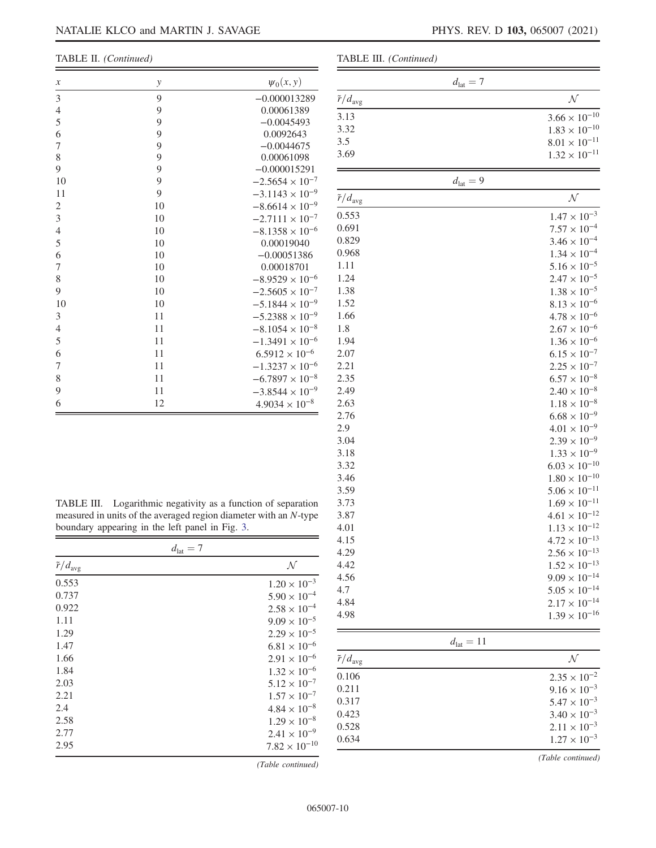| $\boldsymbol{x}$ | $\mathcal{Y}$ | $\psi_0(x, y)$           |
|------------------|---------------|--------------------------|
| 3                | 9             | $-0.000013289$           |
| 4                | 9             | 0.00061389               |
| 5                | 9             | $-0.0045493$             |
| 6                | 9             | 0.0092643                |
| 7                | 9             | $-0.0044675$             |
| 8                | 9             | 0.00061098               |
| 9                | 9             | $-0.000015291$           |
| 10               | 9             | $-2.5654 \times 10^{-7}$ |
| 11               | 9             | $-3.1143 \times 10^{-9}$ |
| 2                | 10            | $-8.6614 \times 10^{-9}$ |
| 3                | 10            | $-2.7111 \times 10^{-7}$ |
| 4                | 10            | $-8.1358 \times 10^{-6}$ |
| 5                | 10            | 0.00019040               |
| 6                | 10            | $-0.00051386$            |
| 7                | 10            | 0.00018701               |
| 8                | 10            | $-8.9529 \times 10^{-6}$ |
| 9                | 10            | $-2.5605 \times 10^{-7}$ |
| 10               | 10            | $-5.1844 \times 10^{-9}$ |
| 3                | 11            | $-5.2388 \times 10^{-9}$ |
| 4                | 11            | $-8.1054 \times 10^{-8}$ |
| 5                | 11            | $-1.3491 \times 10^{-6}$ |
| 6                | 11            | $6.5912 \times 10^{-6}$  |
| 7                | 11            | $-1.3237 \times 10^{-6}$ |
| 8                | 11            | $-6.7897 \times 10^{-8}$ |
| 9                | 11            | $-3.8544 \times 10^{-9}$ |
| 6                | 12            | $4.9034 \times 10^{-8}$  |

|  | TABLE III. (Continued) |
|--|------------------------|
|--|------------------------|

| IABLE III. (Continued)     |                       |                        |
|----------------------------|-----------------------|------------------------|
|                            | $d_{\rm lat}=7$       |                        |
| $\tilde{r}/d_{\text{avg}}$ |                       | ${\cal N}$             |
| 3.13                       |                       | $3.66 \times 10^{-10}$ |
| 3.32                       |                       | $1.83 \times 10^{-10}$ |
| 3.5                        |                       | $8.01\times10^{-11}$   |
| 3.69                       |                       | $1.32 \times 10^{-11}$ |
|                            | $d_{\rm lat}=9$       |                        |
| $\tilde{r}/d_{\text{avg}}$ |                       | ${\cal N}$             |
| 0.553                      |                       | $1.47 \times 10^{-3}$  |
| 0.691                      |                       | $7.57 \times 10^{-4}$  |
| 0.829                      |                       | $3.46 \times 10^{-4}$  |
| 0.968                      |                       | $1.34 \times 10^{-4}$  |
| 1.11                       |                       | $5.16 \times 10^{-5}$  |
| 1.24                       |                       | $2.47 \times 10^{-5}$  |
|                            |                       |                        |
| 1.38                       |                       | $1.38 \times 10^{-5}$  |
| 1.52                       |                       | $8.13 \times 10^{-6}$  |
| 1.66                       |                       | $4.78 \times 10^{-6}$  |
| 1.8                        |                       | $2.67 \times 10^{-6}$  |
| 1.94                       |                       | $1.36 \times 10^{-6}$  |
| 2.07                       |                       | $6.15 \times 10^{-7}$  |
| 2.21                       |                       | $2.25 \times 10^{-7}$  |
| 2.35                       |                       | $6.57 \times 10^{-8}$  |
| 2.49                       |                       | $2.40 \times 10^{-8}$  |
| 2.63                       |                       | $1.18 \times 10^{-8}$  |
| 2.76                       |                       | $6.68 \times 10^{-9}$  |
| 2.9                        |                       | $4.01 \times 10^{-9}$  |
| 3.04                       |                       | $2.39 \times 10^{-9}$  |
| 3.18                       |                       | $1.33 \times 10^{-9}$  |
| 3.32                       |                       | $6.03 \times 10^{-10}$ |
| 3.46                       |                       | $1.80 \times 10^{-10}$ |
| 3.59                       |                       | $5.06 \times 10^{-11}$ |
| 3.73                       |                       | $1.69 \times 10^{-11}$ |
| 3.87                       |                       | $4.61 \times 10^{-12}$ |
| 4.01                       |                       | $1.13 \times 10^{-12}$ |
| 4.15                       |                       | $4.72\times10^{-13}$   |
| 4.29                       |                       | $2.56 \times 10^{-13}$ |
| 4.42                       |                       | $1.52 \times 10^{-13}$ |
| 4.56                       |                       | $9.09 \times 10^{-14}$ |
| 4.7                        |                       | $5.05 \times 10^{-14}$ |
| 4.84                       |                       | $2.17 \times 10^{-14}$ |
| 4.98                       |                       |                        |
|                            |                       | $1.39 \times 10^{-16}$ |
|                            | $d_{\text{lat}} = 11$ |                        |
| $\tilde{r}/d_{\text{avg}}$ |                       | $\mathcal N$           |
| 0.106                      |                       | $2.35 \times 10^{-2}$  |
| 0.211                      |                       | $9.16 \times 10^{-3}$  |
| 0.317                      |                       | $5.47 \times 10^{-3}$  |
| 0.423                      |                       | $3.40 \times 10^{-3}$  |
| 0.528                      |                       | $2.11 \times 10^{-3}$  |
| 0.634                      |                       | $1.27 \times 10^{-3}$  |
|                            |                       |                        |

<span id="page-9-0"></span>TABLE III. Logarithmic negativity as a function of separation measured in units of the averaged region diameter with an N-type boundary appearing in the left panel in Fig. [3](#page-3-0).

| $d_{\text{lat}} = 7$       |                        |
|----------------------------|------------------------|
| $\tilde{r}/d_{\text{avg}}$ | $\mathcal N$           |
| 0.553                      | $1.20 \times 10^{-3}$  |
| 0.737                      | $5.90 \times 10^{-4}$  |
| 0.922                      | $2.58 \times 10^{-4}$  |
| 1.11                       | $9.09 \times 10^{-5}$  |
| 1.29                       | $2.29 \times 10^{-5}$  |
| 1.47                       | $6.81 \times 10^{-6}$  |
| 1.66                       | $2.91 \times 10^{-6}$  |
| 1.84                       | $1.32 \times 10^{-6}$  |
| 2.03                       | $5.12 \times 10^{-7}$  |
| 2.21                       | $1.57 \times 10^{-7}$  |
| 2.4                        | $4.84 \times 10^{-8}$  |
| 2.58                       | $1.29 \times 10^{-8}$  |
| 2.77                       | $2.41 \times 10^{-9}$  |
| 2.95                       | $7.82 \times 10^{-10}$ |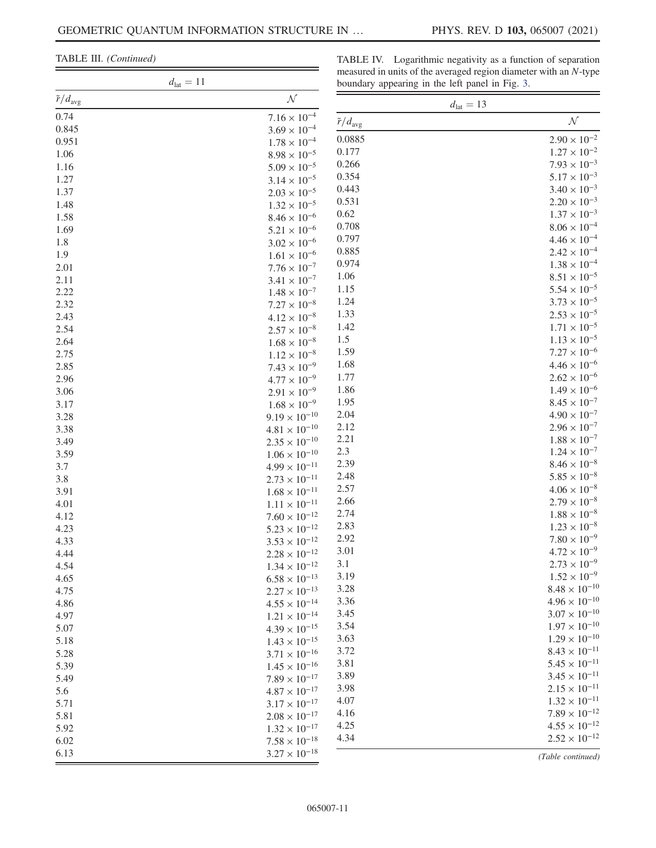TABLE III. (Continued)

TABLE IV. Logarithmic negativity as a function of separation measured in units of the averaged region diameter with an N-type  $\overline{\phantom{a}}$ 

| $d_{\text{lat}} = 11$      |                                              | boundary appearing in the left panel in Fig. 3. |                        |  |
|----------------------------|----------------------------------------------|-------------------------------------------------|------------------------|--|
| $\tilde{r}/d_{\text{avg}}$ | ${\cal N}$                                   |                                                 | $d_{\text{lat}} = 13$  |  |
| 0.74                       | $7.16 \times 10^{-4}$                        | $\tilde{r}/d_{\text{avg}}$                      | ${\cal N}$             |  |
| 0.845                      | $3.69 \times 10^{-4}$                        |                                                 |                        |  |
| 0.951                      | $1.78\times10^{-4}$                          | 0.0885                                          | $2.90 \times 10^{-2}$  |  |
| 1.06                       | $8.98\times10^{-5}$                          | 0.177                                           | $1.27 \times 10^{-2}$  |  |
| 1.16                       | $5.09\times10^{-5}$                          | 0.266                                           | $7.93 \times 10^{-3}$  |  |
| 1.27                       | $3.14\times10^{-5}$                          | 0.354                                           | $5.17 \times 10^{-3}$  |  |
| 1.37                       | $2.03\times10^{-5}$                          | 0.443                                           | $3.40 \times 10^{-3}$  |  |
| 1.48                       | $1.32\times10^{-5}$                          | 0.531                                           | $2.20 \times 10^{-3}$  |  |
| 1.58                       | $8.46 \times 10^{-6}$                        | 0.62                                            | $1.37 \times 10^{-3}$  |  |
| 1.69                       | $5.21\times10^{-6}$                          | 0.708                                           | $8.06 \times 10^{-4}$  |  |
| 1.8                        | $3.02\times10^{-6}$                          | 0.797                                           | $4.46\times10^{-4}$    |  |
| 1.9                        | $1.61\times10^{-6}$                          | 0.885                                           | $2.42\times10^{-4}$    |  |
| 2.01                       | $7.76\times10^{-7}$                          | 0.974                                           | $1.38\times10^{-4}$    |  |
| 2.11                       | $3.41\times10^{-7}$                          | 1.06                                            | $8.51\times10^{-5}$    |  |
| 2.22                       | $1.48\times10^{-7}$                          | 1.15                                            | $5.54 \times 10^{-5}$  |  |
| 2.32                       | $7.27\times10^{-8}$                          | 1.24                                            | $3.73 \times 10^{-5}$  |  |
| 2.43                       | $4.12 \times 10^{-8}$                        | 1.33                                            | $2.53\times10^{-5}$    |  |
| 2.54                       | $2.57\times10^{-8}$                          | 1.42                                            | $1.71 \times 10^{-5}$  |  |
| 2.64                       | $1.68\times10^{-8}$                          | 1.5                                             | $1.13 \times 10^{-5}$  |  |
| 2.75                       | $1.12\times10^{-8}$                          | 1.59                                            | $7.27 \times 10^{-6}$  |  |
| 2.85                       | $7.43 \times 10^{-9}$                        | 1.68                                            | $4.46 \times 10^{-6}$  |  |
| 2.96                       | $4.77 \times 10^{-9}$                        | 1.77                                            | $2.62 \times 10^{-6}$  |  |
| 3.06                       | $2.91\times10^{-9}$                          | 1.86                                            | $1.49 \times 10^{-6}$  |  |
| 3.17                       | $1.68 \times 10^{-9}$                        | 1.95                                            | $8.45 \times 10^{-7}$  |  |
| 3.28                       | $9.19 \times 10^{-10}$                       | 2.04                                            | $4.90 \times 10^{-7}$  |  |
| 3.38                       | $4.81\times10^{-10}$                         | 2.12                                            | $2.96 \times 10^{-7}$  |  |
| 3.49                       | $2.35\times10^{-10}$                         | 2.21                                            | $1.88 \times 10^{-7}$  |  |
| 3.59                       | $1.06\times10^{-10}$                         | 2.3                                             | $1.24 \times 10^{-7}$  |  |
| 3.7                        | $4.99\times10^{-11}$                         | 2.39                                            | $8.46\times10^{-8}$    |  |
| 3.8                        | $2.73\times10^{-11}$                         | 2.48                                            | $5.85 \times 10^{-8}$  |  |
| 3.91                       | $1.68\times10^{-11}$                         | 2.57                                            | $4.06\times10^{-8}$    |  |
| 4.01                       | $1.11\times10^{-11}$                         | 2.66                                            | $2.79 \times 10^{-8}$  |  |
| 4.12                       | $7.60\times10^{-12}$                         | 2.74                                            | $1.88\times10^{-8}$    |  |
| 4.23                       | $5.23\times10^{-12}$                         | 2.83                                            | $1.23 \times 10^{-8}$  |  |
| 4.33                       | $3.53\times10^{-12}$                         | 2.92                                            | $7.80 \times 10^{-9}$  |  |
| 4.44                       | $2.28\times10^{-12}$                         | 3.01                                            | $4.72 \times 10^{-9}$  |  |
| 4.54                       | $1.34\times10^{-12}$                         | 3.1                                             | $2.73 \times 10^{-9}$  |  |
| 4.65                       | $6.58\times10^{-13}$                         | 3.19                                            | $1.52 \times 10^{-9}$  |  |
| 4.75                       | $2.27\times10^{-13}$                         | 3.28                                            | $8.48\times10^{-10}$   |  |
| 4.86                       | $4.55\times10^{-14}$                         | 3.36                                            | $4.96 \times 10^{-10}$ |  |
| 4.97                       | $1.21\times10^{-14}$                         | 3.45                                            | $3.07\times10^{-10}$   |  |
| 5.07                       | $4.39\times10^{-15}$                         | 3.54                                            | $1.97 \times 10^{-10}$ |  |
| 5.18                       | $1.43\times10^{-15}$                         | 3.63                                            | $1.29 \times 10^{-10}$ |  |
|                            |                                              | 3.72                                            | $8.43 \times 10^{-11}$ |  |
| 5.28                       | $3.71\times10^{-16}$<br>$1.45\times10^{-16}$ | 3.81                                            | $5.45\times10^{-11}$   |  |
| 5.39                       |                                              | 3.89                                            | $3.45\times10^{-11}$   |  |
| 5.49                       | $7.89\times10^{-17}$                         | 3.98                                            | $2.15\times10^{-11}$   |  |
| 5.6                        | $4.87\times10^{-17}$                         | 4.07                                            | $1.32\times10^{-11}$   |  |
| 5.71                       | $3.17\times10^{-17}$                         | 4.16                                            | $7.89\times10^{-12}$   |  |
| 5.81                       | $2.08\times10^{-17}$                         | 4.25                                            | $4.55\times10^{-12}$   |  |
| 5.92                       | $1.32\times10^{-17}$                         | 4.34                                            | $2.52 \times 10^{-12}$ |  |
| 6.02                       | $7.58\times10^{-18}$                         |                                                 |                        |  |
| 6.13                       | $3.27 \times 10^{-18}$                       |                                                 | (Table continued)      |  |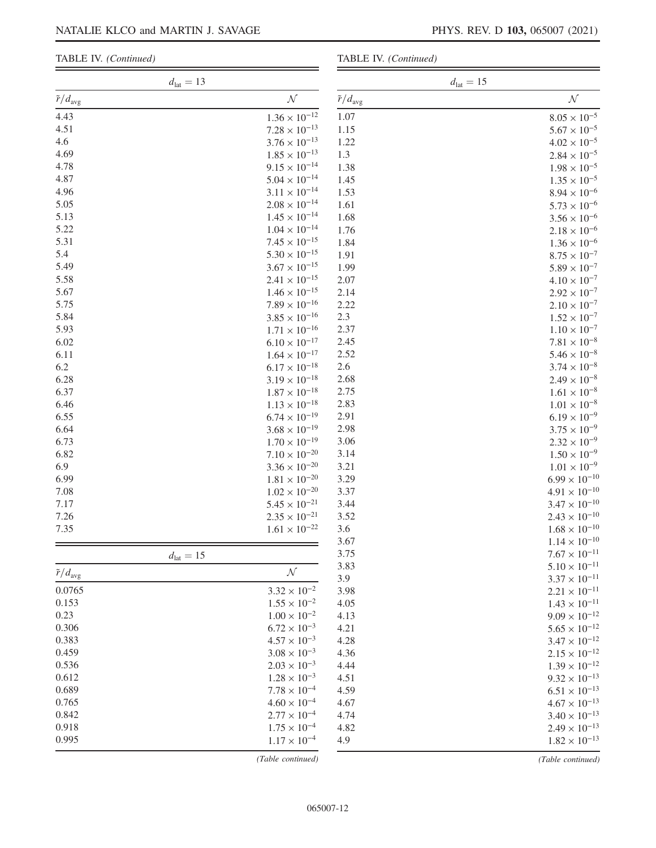### TABLE IV. (Continued)

TABLE IV. (Continued)

|                            | $d_{\rm lat}=13$ |                        |                            | $d_{\text{lat}} = 15$ |                                                |
|----------------------------|------------------|------------------------|----------------------------|-----------------------|------------------------------------------------|
| $\tilde{r}/d_{\text{avg}}$ |                  | ${\cal N}$             | $\tilde{r}/d_{\text{avg}}$ |                       | ${\cal N}$                                     |
| 4.43                       |                  | $1.36 \times 10^{-12}$ | 1.07                       |                       | $8.05 \times 10^{-5}$                          |
| 4.51                       |                  | $7.28 \times 10^{-13}$ | 1.15                       |                       | $5.67 \times 10^{-5}$                          |
| 4.6                        |                  | $3.76 \times 10^{-13}$ | 1.22                       |                       | $4.02 \times 10^{-5}$                          |
| 4.69                       |                  | $1.85 \times 10^{-13}$ | 1.3                        |                       | $2.84 \times 10^{-5}$                          |
| 4.78                       |                  | $9.15 \times 10^{-14}$ | 1.38                       |                       | $1.98 \times 10^{-5}$                          |
| 4.87                       |                  | $5.04 \times 10^{-14}$ | 1.45                       |                       | $1.35 \times 10^{-5}$                          |
| 4.96                       |                  | $3.11 \times 10^{-14}$ | 1.53                       |                       | $8.94 \times 10^{-6}$                          |
| 5.05                       |                  | $2.08 \times 10^{-14}$ | 1.61                       |                       | $5.73 \times 10^{-6}$                          |
| 5.13                       |                  | $1.45 \times 10^{-14}$ | 1.68                       |                       | $3.56 \times 10^{-6}$                          |
| 5.22                       |                  | $1.04 \times 10^{-14}$ | 1.76                       |                       | $2.18 \times 10^{-6}$                          |
| 5.31                       |                  | $7.45 \times 10^{-15}$ | 1.84                       |                       | $1.36 \times 10^{-6}$                          |
| 5.4                        |                  | $5.30 \times 10^{-15}$ | 1.91                       |                       | $8.75 \times 10^{-7}$                          |
| 5.49                       |                  | $3.67 \times 10^{-15}$ | 1.99                       |                       | $5.89 \times 10^{-7}$                          |
| 5.58                       |                  | $2.41 \times 10^{-15}$ | 2.07                       |                       | $4.10 \times 10^{-7}$                          |
| 5.67                       |                  | $1.46 \times 10^{-15}$ | 2.14                       |                       | $2.92\times10^{-7}$                            |
| 5.75                       |                  | $7.89 \times 10^{-16}$ | 2.22                       |                       | $2.10 \times 10^{-7}$                          |
| 5.84                       |                  | $3.85 \times 10^{-16}$ | 2.3                        |                       | $1.52 \times 10^{-7}$                          |
| 5.93                       |                  | $1.71 \times 10^{-16}$ | 2.37                       |                       | $1.10\times10^{-7}$                            |
| 6.02                       |                  | $6.10 \times 10^{-17}$ | 2.45                       |                       | $7.81 \times 10^{-8}$                          |
| 6.11                       |                  | $1.64 \times 10^{-17}$ | 2.52                       |                       | $5.46 \times 10^{-8}$                          |
| 6.2                        |                  | $6.17 \times 10^{-18}$ | 2.6                        |                       | $3.74 \times 10^{-8}$                          |
| 6.28                       |                  | $3.19 \times 10^{-18}$ | 2.68                       |                       | $2.49 \times 10^{-8}$                          |
| 6.37                       |                  | $1.87 \times 10^{-18}$ | 2.75                       |                       | $1.61 \times 10^{-8}$                          |
| 6.46                       |                  | $1.13 \times 10^{-18}$ | 2.83                       |                       | $1.01 \times 10^{-8}$                          |
| 6.55                       |                  | $6.74 \times 10^{-19}$ | 2.91                       |                       | $6.19 \times 10^{-9}$                          |
| 6.64                       |                  | $3.68 \times 10^{-19}$ | 2.98                       |                       | $3.75 \times 10^{-9}$                          |
| 6.73                       |                  | $1.70 \times 10^{-19}$ | 3.06                       |                       | $2.32 \times 10^{-9}$                          |
| 6.82                       |                  | $7.10 \times 10^{-20}$ | 3.14                       |                       | $1.50 \times 10^{-9}$                          |
| 6.9                        |                  | $3.36 \times 10^{-20}$ | 3.21                       |                       | $1.01\times10^{-9}$                            |
| 6.99                       |                  | $1.81\times10^{-20}$   | 3.29                       |                       | $6.99 \times 10^{-10}$                         |
| 7.08                       |                  | $1.02 \times 10^{-20}$ | 3.37                       |                       | $4.91 \times 10^{-10}$                         |
| 7.17                       |                  | $5.45 \times 10^{-21}$ | 3.44                       |                       | $3.47 \times 10^{-10}$                         |
| 7.26                       |                  | $2.35 \times 10^{-21}$ | 3.52                       |                       | $2.43\times10^{-10}$                           |
| 7.35                       |                  | $1.61\times10^{-22}$   | 3.6                        |                       | $1.68\times10^{-10}$                           |
|                            |                  |                        | 3.67                       |                       | $1.14 \times 10^{-10}$                         |
|                            | $d_{\rm lat}=15$ |                        | 3.75<br>3.83               |                       | $7.67 \times 10^{-11}$                         |
| $\tilde{r}/d_{\text{avg}}$ |                  | ${\cal N}$             | 3.9                        |                       | $5.10 \times 10^{-11}$<br>$3.37\times10^{-11}$ |
| 0.0765                     |                  | $3.32 \times 10^{-2}$  | 3.98                       |                       | $2.21 \times 10^{-11}$                         |
| 0.153                      |                  | $1.55 \times 10^{-2}$  | 4.05                       |                       | $1.43 \times 10^{-11}$                         |
| 0.23                       |                  | $1.00 \times 10^{-2}$  | 4.13                       |                       | $9.09 \times 10^{-12}$                         |
| 0.306                      |                  | $6.72 \times 10^{-3}$  | 4.21                       |                       | $5.65 \times 10^{-12}$                         |
| 0.383                      |                  | $4.57 \times 10^{-3}$  | 4.28                       |                       | $3.47 \times 10^{-12}$                         |
| 0.459                      |                  | $3.08 \times 10^{-3}$  | 4.36                       |                       | $2.15 \times 10^{-12}$                         |
| 0.536                      |                  | $2.03 \times 10^{-3}$  | 4.44                       |                       | $1.39\times10^{-12}$                           |
| 0.612                      |                  | $1.28 \times 10^{-3}$  | 4.51                       |                       | $9.32 \times 10^{-13}$                         |
| 0.689                      |                  | $7.78 \times 10^{-4}$  | 4.59                       |                       | $6.51\times10^{-13}$                           |
| 0.765                      |                  | $4.60 \times 10^{-4}$  | 4.67                       |                       | $4.67\times10^{-13}$                           |
| 0.842                      |                  | $2.77 \times 10^{-4}$  | 4.74                       |                       | $3.40 \times 10^{-13}$                         |
| 0.918                      |                  | $1.75 \times 10^{-4}$  | 4.82                       |                       | $2.49\times10^{-13}$                           |
| 0.995                      |                  | $1.17 \times 10^{-4}$  | 4.9                        |                       | $1.82 \times 10^{-13}$                         |
|                            |                  |                        |                            |                       |                                                |

(Table continued)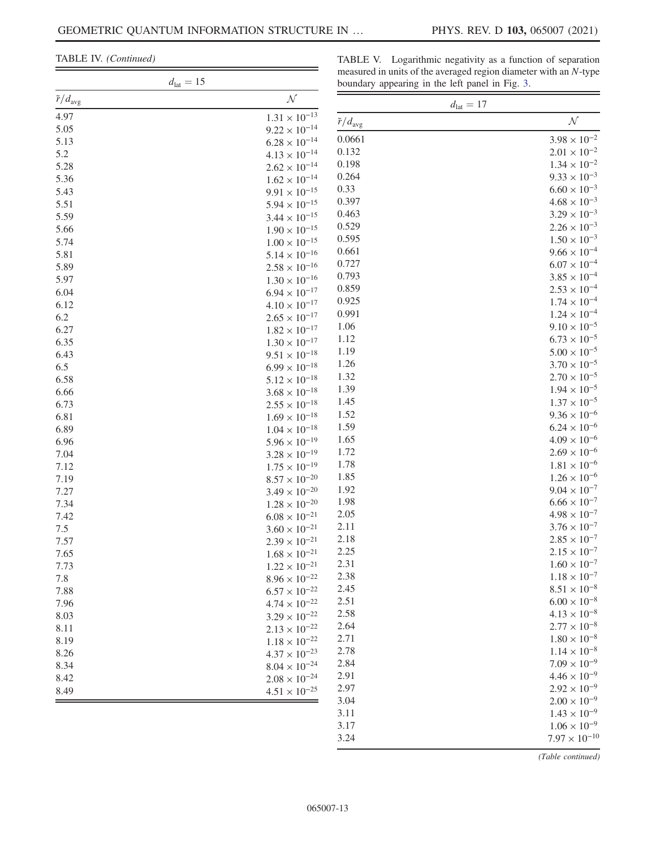TABLE IV. (Continued)

TABLE V. Logarithmic negativity as a function of separation measured in units of the averaged region diameter with an N-type boundary appearing in the left panel in Fig. [3](#page-3-0).  $\overline{\phantom{a}}$ 

|                            | $d_{\rm lat}=15$       |                            | boundary appearing in the left panel in Fig. 3. |  |
|----------------------------|------------------------|----------------------------|-------------------------------------------------|--|
| $\tilde{r}/d_{\text{avg}}$ | ${\cal N}$             |                            | $d_{\text{lat}} = 17$                           |  |
| 4.97                       | $1.31\times10^{-13}$   | $\tilde{r}/d_{\text{avg}}$ | $\cal N$                                        |  |
| 5.05                       | $9.22 \times 10^{-14}$ |                            |                                                 |  |
| 5.13                       | $6.28 \times 10^{-14}$ | 0.0661                     | $3.98 \times 10^{-2}$                           |  |
| 5.2                        | $4.13\times10^{-14}$   | 0.132                      | $2.01 \times 10^{-2}$                           |  |
| 5.28                       | $2.62 \times 10^{-14}$ | 0.198                      | $1.34 \times 10^{-2}$                           |  |
| 5.36                       | $1.62 \times 10^{-14}$ | 0.264                      | $9.33 \times 10^{-3}$                           |  |
| 5.43                       | $9.91 \times 10^{-15}$ | 0.33                       | $6.60 \times 10^{-3}$                           |  |
| 5.51                       | $5.94\times10^{-15}$   | 0.397                      | $4.68 \times 10^{-3}$                           |  |
| 5.59                       | $3.44\times10^{-15}$   | 0.463                      | $3.29 \times 10^{-3}$                           |  |
| 5.66                       | $1.90\times10^{-15}$   | 0.529                      | $2.26 \times 10^{-3}$                           |  |
| 5.74                       | $1.00\times10^{-15}$   | 0.595                      | $1.50 \times 10^{-3}$                           |  |
| 5.81                       | $5.14\times10^{-16}$   | 0.661                      | $9.66 \times 10^{-4}$                           |  |
| 5.89                       | $2.58\times10^{-16}$   | 0.727                      | $6.07 \times 10^{-4}$                           |  |
| 5.97                       | $1.30\times10^{-16}$   | 0.793                      | $3.85\times10^{-4}$                             |  |
| 6.04                       | $6.94\times10^{-17}$   | 0.859                      | $2.53 \times 10^{-4}$                           |  |
| 6.12                       | $4.10\times10^{-17}$   | 0.925                      | $1.74 \times 10^{-4}$                           |  |
| 6.2                        | $2.65 \times 10^{-17}$ | 0.991                      | $1.24 \times 10^{-4}$                           |  |
| 6.27                       | $1.82\times10^{-17}$   | 1.06                       | $9.10 \times 10^{-5}$                           |  |
| 6.35                       | $1.30\times10^{-17}$   | 1.12                       | $6.73 \times 10^{-5}$                           |  |
| 6.43                       | $9.51\times10^{-18}$   | 1.19                       | $5.00\times10^{-5}$                             |  |
| 6.5                        | $6.99\times10^{-18}$   | 1.26                       | $3.70 \times 10^{-5}$                           |  |
| 6.58                       | $5.12\times10^{-18}$   | 1.32                       | $2.70\times10^{-5}$                             |  |
| 6.66                       | $3.68\times10^{-18}$   | 1.39                       | $1.94\times10^{-5}$                             |  |
| 6.73                       | $2.55\times10^{-18}$   | 1.45                       | $1.37 \times 10^{-5}$                           |  |
| 6.81                       | $1.69\times10^{-18}$   | 1.52                       | $9.36 \times 10^{-6}$                           |  |
| 6.89                       | $1.04\times10^{-18}$   | 1.59                       | $6.24\times10^{-6}$                             |  |
| 6.96                       | $5.96 \times 10^{-19}$ | 1.65                       | $4.09 \times 10^{-6}$                           |  |
| 7.04                       | $3.28\times10^{-19}$   | 1.72                       | $2.69 \times 10^{-6}$                           |  |
| 7.12                       | $1.75\times10^{-19}$   | 1.78                       | $1.81 \times 10^{-6}$                           |  |
| 7.19                       | $8.57\times10^{-20}$   | 1.85                       | $1.26\times10^{-6}$                             |  |
| 7.27                       | $3.49 \times 10^{-20}$ | 1.92                       | $9.04 \times 10^{-7}$                           |  |
| 7.34                       | $1.28 \times 10^{-20}$ | 1.98                       | $6.66 \times 10^{-7}$                           |  |
| 7.42                       | $6.08\times10^{-21}$   | 2.05                       | $4.98 \times 10^{-7}$                           |  |
| 7.5                        | $3.60 \times 10^{-21}$ | 2.11                       | $3.76 \times 10^{-7}$                           |  |
| 7.57                       | $2.39 \times 10^{-21}$ | 2.18                       | $2.85 \times 10^{-7}$                           |  |
| 7.65                       | $1.68\times10^{-21}$   | 2.25                       | $2.15 \times 10^{-7}$                           |  |
| 7.73                       | $1.22 \times 10^{-21}$ | 2.31                       | $1.60 \times 10^{-7}$                           |  |
| 7.8                        | $8.96\times10^{-22}$   | 2.38                       | $1.18\times10^{-7}$                             |  |
| 7.88                       | $6.57\times10^{-22}$   | 2.45                       | $8.51 \times 10^{-8}$                           |  |
| 7.96                       | $4.74\times10^{-22}$   | 2.51                       | $6.00\times10^{-8}$                             |  |
| 8.03                       | $3.29\times10^{-22}$   | 2.58                       | $4.13 \times 10^{-8}$                           |  |
| 8.11                       | $2.13 \times 10^{-22}$ | 2.64                       | $2.77\times10^{-8}$                             |  |
| 8.19                       | $1.18 \times 10^{-22}$ | 2.71                       | $1.80 \times 10^{-8}$                           |  |
| 8.26                       | $4.37\times10^{-23}$   | 2.78                       | $1.14\times10^{-8}$                             |  |
| 8.34                       | $8.04\times10^{-24}$   | 2.84                       | $7.09\times10^{-9}$                             |  |
| 8.42                       | $2.08\times10^{-24}$   | 2.91                       | $4.46 \times 10^{-9}$                           |  |
| 8.49                       | $4.51\times10^{-25}$   | 2.97                       | $2.92 \times 10^{-9}$                           |  |
|                            |                        | 3.04                       | $2.00 \times 10^{-9}$                           |  |
|                            |                        | 3.11                       | $1.43 \times 10^{-9}$                           |  |
|                            |                        | 3.17                       | $1.06 \times 10^{-9}$                           |  |
|                            |                        | 3.24                       | $7.97 \times 10^{-10}$                          |  |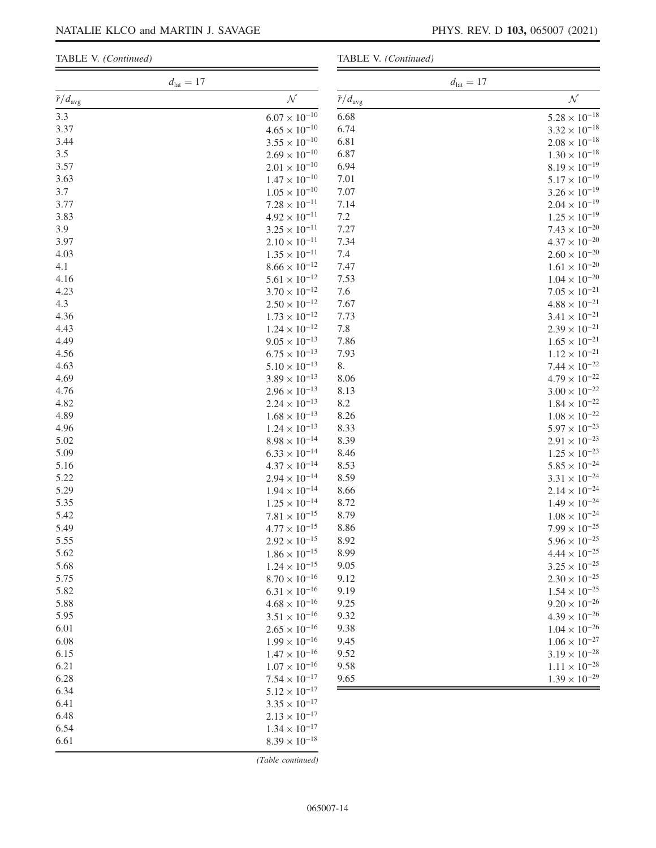|  | TABLE V. (Continued) |
|--|----------------------|
|--|----------------------|

| $d_{\text{lat}} = 17$      |                        |                            | $d_{\text{lat}} = 17$  |
|----------------------------|------------------------|----------------------------|------------------------|
| $\tilde{r}/d_{\text{avg}}$ | ${\cal N}$             | $\tilde{r}/d_{\text{avg}}$ | ${\cal N}$             |
| 3.3                        | $6.07 \times 10^{-10}$ | 6.68                       | $5.28 \times 10^{-18}$ |
| 3.37                       | $4.65 \times 10^{-10}$ | 6.74                       | $3.32 \times 10^{-18}$ |
| 3.44                       | $3.55 \times 10^{-10}$ | 6.81                       | $2.08\times10^{-18}$   |
| 3.5                        | $2.69 \times 10^{-10}$ | 6.87                       | $1.30 \times 10^{-18}$ |
| 3.57                       | $2.01\times10^{-10}$   | 6.94                       | $8.19 \times 10^{-19}$ |
| 3.63                       | $1.47 \times 10^{-10}$ | 7.01                       | $5.17 \times 10^{-19}$ |
| 3.7                        | $1.05 \times 10^{-10}$ | 7.07                       | $3.26 \times 10^{-19}$ |
| 3.77                       | $7.28 \times 10^{-11}$ | 7.14                       | $2.04 \times 10^{-19}$ |
| 3.83                       | $4.92 \times 10^{-11}$ | 7.2                        | $1.25 \times 10^{-19}$ |
| 3.9                        | $3.25 \times 10^{-11}$ | 7.27                       | $7.43 \times 10^{-20}$ |
| 3.97                       | $2.10 \times 10^{-11}$ | 7.34                       | $4.37 \times 10^{-20}$ |
| 4.03                       | $1.35 \times 10^{-11}$ | 7.4                        | $2.60 \times 10^{-20}$ |
| 4.1                        | $8.66 \times 10^{-12}$ | 7.47                       | $1.61\times10^{-20}$   |
| 4.16                       | $5.61 \times 10^{-12}$ | 7.53                       | $1.04 \times 10^{-20}$ |
| 4.23                       | $3.70 \times 10^{-12}$ | 7.6                        | $7.05\times10^{-21}$   |
| 4.3                        | $2.50 \times 10^{-12}$ | 7.67                       | $4.88\times10^{-21}$   |
| 4.36                       | $1.73 \times 10^{-12}$ | 7.73                       | $3.41 \times 10^{-21}$ |
| 4.43                       | $1.24 \times 10^{-12}$ | 7.8                        | $2.39 \times 10^{-21}$ |
| 4.49                       | $9.05 \times 10^{-13}$ | 7.86                       | $1.65 \times 10^{-21}$ |
| 4.56                       | $6.75 \times 10^{-13}$ | 7.93                       | $1.12\times10^{-21}$   |
| 4.63                       | $5.10 \times 10^{-13}$ | 8.                         | $7.44 \times 10^{-22}$ |
| 4.69                       | $3.89 \times 10^{-13}$ | 8.06                       | $4.79 \times 10^{-22}$ |
| 4.76                       | $2.96 \times 10^{-13}$ | 8.13                       | $3.00 \times 10^{-22}$ |
| 4.82                       | $2.24 \times 10^{-13}$ | 8.2                        | $1.84 \times 10^{-22}$ |
| 4.89                       | $1.68 \times 10^{-13}$ | 8.26                       | $1.08\times10^{-22}$   |
| 4.96                       | $1.24 \times 10^{-13}$ | 8.33                       | $5.97 \times 10^{-23}$ |
| 5.02                       | $8.98\times10^{-14}$   | 8.39                       | $2.91\times10^{-23}$   |
| 5.09                       | $6.33 \times 10^{-14}$ | 8.46                       | $1.25 \times 10^{-23}$ |
| 5.16                       | $4.37 \times 10^{-14}$ | 8.53                       | $5.85\times10^{-24}$   |
| 5.22                       | $2.94 \times 10^{-14}$ | 8.59                       | $3.31 \times 10^{-24}$ |
| 5.29                       | $1.94 \times 10^{-14}$ | 8.66                       | $2.14\times10^{-24}$   |
| 5.35                       | $1.25 \times 10^{-14}$ | 8.72                       | $1.49\times10^{-24}$   |
| 5.42                       | $7.81 \times 10^{-15}$ | 8.79                       | $1.08 \times 10^{-24}$ |
| 5.49                       | $4.77 \times 10^{-15}$ | 8.86                       | $7.99 \times 10^{-25}$ |
| 5.55                       | $2.92 \times 10^{-15}$ | 8.92                       | $5.96\times10^{-25}$   |
| 5.62                       | $1.86 \times 10^{-15}$ | 8.99                       | $4.44\times10^{-25}$   |
| 5.68                       | $1.24\times10^{-15}$   | 9.05                       | $3.25\times10^{-25}$   |
| 5.75                       | $8.70 \times 10^{-16}$ | 9.12                       | $2.30\times10^{-25}$   |
| 5.82                       | $6.31 \times 10^{-16}$ | 9.19                       | $1.54 \times 10^{-25}$ |
| 5.88                       | $4.68 \times 10^{-16}$ | 9.25                       | $9.20\times10^{-26}$   |
| 5.95                       | $3.51\times10^{-16}$   | 9.32                       | $4.39 \times 10^{-26}$ |
| 6.01                       | $2.65\times10^{-16}$   | 9.38                       | $1.04\times10^{-26}$   |
| 6.08                       | $1.99 \times 10^{-16}$ | 9.45                       | $1.06\times10^{-27}$   |
| 6.15                       | $1.47\times10^{-16}$   | 9.52                       | $3.19 \times 10^{-28}$ |
| 6.21                       | $1.07 \times 10^{-16}$ | 9.58                       | $1.11\times10^{-28}$   |
| 6.28                       | $7.54 \times 10^{-17}$ | 9.65                       | $1.39 \times 10^{-29}$ |
| 6.34                       | $5.12 \times 10^{-17}$ |                            |                        |
| 6.41                       | $3.35 \times 10^{-17}$ |                            |                        |
| 6.48                       |                        |                            |                        |
|                            | $2.13 \times 10^{-17}$ |                            |                        |
| 6.54                       | $1.34 \times 10^{-17}$ |                            |                        |
| 6.61                       | $8.39 \times 10^{-18}$ |                            |                        |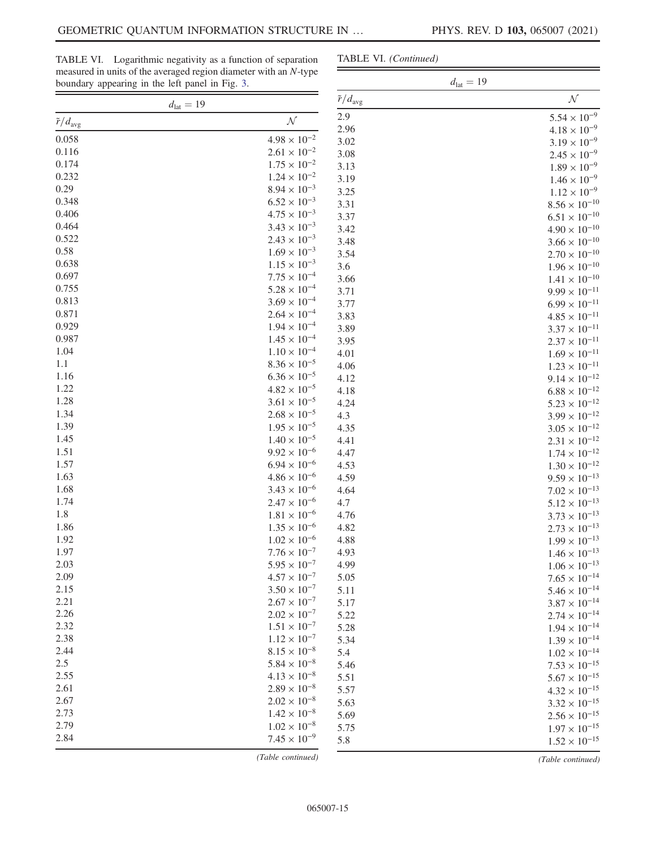TABLE VI. Logarithmic negativity as a function of separation measured in units of the averaged region diameter with an N-type boundary appearing in the left panel in Fig. [3](#page-3-0).

# TABLE VI. (Continued)

| boundary appearing in the left panel in Fig. 3. |                                                | $d_{\rm lat}=19$           |                                                  |
|-------------------------------------------------|------------------------------------------------|----------------------------|--------------------------------------------------|
|                                                 | $d_{\text{lat}} = 19$                          | $\tilde{r}/d_{\text{avg}}$ | ${\cal N}$                                       |
| $\tilde{r}/d_{\text{avg}}$                      | ${\cal N}$                                     | 2.9                        | $5.54 \times 10^{-9}$                            |
| 0.058                                           | $4.98 \times 10^{-2}$                          | 2.96                       | $4.18 \times 10^{-9}$                            |
|                                                 |                                                | 3.02                       | $3.19 \times 10^{-9}$                            |
| 0.116                                           | $2.61 \times 10^{-2}$                          | 3.08                       | $2.45\times10^{-9}$                              |
| 0.174                                           | $1.75 \times 10^{-2}$                          | 3.13                       | $1.89\times10^{-9}$                              |
| 0.232                                           | $1.24 \times 10^{-2}$                          | 3.19                       | $1.46 \times 10^{-9}$                            |
| 0.29                                            | $8.94 \times 10^{-3}$                          | 3.25                       | $1.12\times10^{-9}$                              |
| 0.348                                           | $6.52 \times 10^{-3}$                          | 3.31                       | $8.56 \times 10^{-10}$                           |
| 0.406<br>0.464                                  | $4.75 \times 10^{-3}$                          | 3.37                       | $6.51 \times 10^{-10}$                           |
| 0.522                                           | $3.43 \times 10^{-3}$                          | 3.42                       | $4.90 \times 10^{-10}$                           |
| 0.58                                            | $2.43 \times 10^{-3}$                          | 3.48                       | $3.66 \times 10^{-10}$                           |
| 0.638                                           | $1.69 \times 10^{-3}$<br>$1.15 \times 10^{-3}$ | 3.54                       | $2.70 \times 10^{-10}$                           |
| 0.697                                           | $7.75 \times 10^{-4}$                          | 3.6                        | $1.96 \times 10^{-10}$                           |
| 0.755                                           | $5.28 \times 10^{-4}$                          | 3.66                       | $1.41\times10^{-10}$                             |
| 0.813                                           | $3.69 \times 10^{-4}$                          | 3.71                       | $9.99\times10^{-11}$                             |
| 0.871                                           | $2.64 \times 10^{-4}$                          | 3.77                       | $6.99\times10^{-11}$                             |
| 0.929                                           | $1.94 \times 10^{-4}$                          | 3.83                       | $4.85\times10^{-11}$                             |
| 0.987                                           | $1.45 \times 10^{-4}$                          | 3.89                       | $3.37 \times 10^{-11}$                           |
| 1.04                                            | $1.10 \times 10^{-4}$                          | 3.95                       | $2.37\times10^{-11}$                             |
| 1.1                                             | $8.36 \times 10^{-5}$                          | 4.01                       | $1.69\times10^{-11}$                             |
| 1.16                                            | $6.36 \times 10^{-5}$                          | 4.06                       | $1.23\times10^{-11}$                             |
| 1.22                                            | $4.82 \times 10^{-5}$                          | 4.12                       | $9.14\times10^{-12}$                             |
| 1.28                                            | $3.61 \times 10^{-5}$                          | 4.18                       | $6.88 \times 10^{-12}$                           |
| 1.34                                            | $2.68 \times 10^{-5}$                          | 4.24                       | $5.23 \times 10^{-12}$                           |
| 1.39                                            | $1.95 \times 10^{-5}$                          | 4.3                        | $3.99 \times 10^{-12}$                           |
| 1.45                                            | $1.40 \times 10^{-5}$                          | 4.35                       | $3.05 \times 10^{-12}$                           |
| 1.51                                            | $9.92 \times 10^{-6}$                          | 4.41                       | $2.31 \times 10^{-12}$                           |
| 1.57                                            | $6.94 \times 10^{-6}$                          | 4.47                       | $1.74\times10^{-12}$                             |
| 1.63                                            | $4.86 \times 10^{-6}$                          | 4.53<br>4.59               | $1.30 \times 10^{-12}$                           |
| 1.68                                            | $3.43 \times 10^{-6}$                          | 4.64                       | $9.59 \times 10^{-13}$                           |
| 1.74                                            | $2.47 \times 10^{-6}$                          | 4.7                        | $7.02 \times 10^{-13}$                           |
| 1.8                                             | $1.81\times10^{-6}$                            | 4.76                       | $5.12 \times 10^{-13}$<br>$3.73 \times 10^{-13}$ |
| 1.86                                            | $1.35\times10^{-6}$                            | 4.82                       | $2.73\times10^{-13}$                             |
| 1.92                                            | $1.02 \times 10^{-6}$                          | 4.88                       | $1.99 \times 10^{-13}$                           |
| 1.97                                            | $7.76 \times 10^{-7}$                          | 4.93                       | $1.46 \times 10^{-13}$                           |
| 2.03                                            | $5.95 \times 10^{-7}$                          | 4.99                       | $1.06 \times 10^{-13}$                           |
| 2.09                                            | $4.57 \times 10^{-7}$                          | 5.05                       | $7.65 \times 10^{-14}$                           |
| 2.15                                            | $3.50 \times 10^{-7}$                          | 5.11                       | $5.46 \times 10^{-14}$                           |
| 2.21                                            | $2.67 \times 10^{-7}$                          | 5.17                       | $3.87 \times 10^{-14}$                           |
| 2.26                                            | $2.02\times10^{-7}$                            | 5.22                       | $2.74 \times 10^{-14}$                           |
| 2.32                                            | $1.51 \times 10^{-7}$                          | 5.28                       | $1.94 \times 10^{-14}$                           |
| 2.38                                            | $1.12 \times 10^{-7}$                          | 5.34                       | $1.39 \times 10^{-14}$                           |
| 2.44                                            | $8.15 \times 10^{-8}$                          | 5.4                        | $1.02 \times 10^{-14}$                           |
| 2.5                                             | $5.84 \times 10^{-8}$                          | 5.46                       | $7.53 \times 10^{-15}$                           |
| 2.55                                            | $4.13 \times 10^{-8}$                          | 5.51                       | $5.67 \times 10^{-15}$                           |
| 2.61                                            | $2.89 \times 10^{-8}$                          | 5.57                       | $4.32 \times 10^{-15}$                           |
| 2.67                                            | $2.02 \times 10^{-8}$                          | 5.63                       | $3.32 \times 10^{-15}$                           |
| 2.73                                            | $1.42 \times 10^{-8}$                          | 5.69                       | $2.56 \times 10^{-15}$                           |
| 2.79                                            | $1.02\times10^{-8}$                            | 5.75                       | $1.97 \times 10^{-15}$                           |
| 2.84                                            | $7.45 \times 10^{-9}$                          | 5.8                        | $1.52 \times 10^{-15}$                           |
|                                                 |                                                |                            |                                                  |

(Table continued)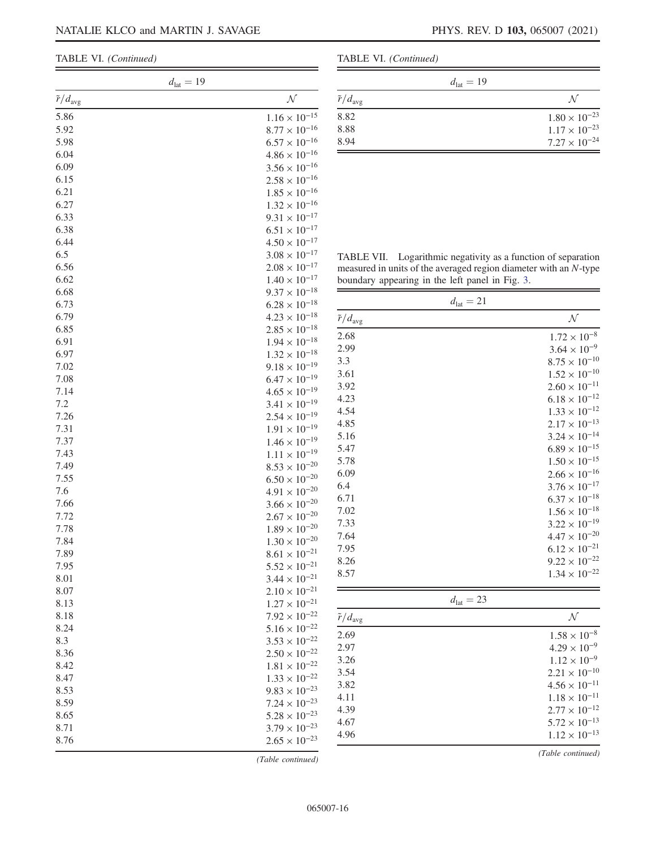TABLE VI. (Continued)

| $d_{\text{lat}} = 19$      |                        |
|----------------------------|------------------------|
| $\tilde{r}/d_{\text{avg}}$ | ${\cal N}$             |
| 5.86                       | $1.16 \times 10^{-15}$ |
| 5.92                       | $8.77 \times 10^{-16}$ |
| 5.98                       | $6.57 \times 10^{-16}$ |
| 6.04                       | $4.86 \times 10^{-16}$ |
| 6.09                       | $3.56 \times 10^{-16}$ |
| 6.15                       | $2.58 \times 10^{-16}$ |
| 6.21                       | $1.85 \times 10^{-16}$ |
| 6.27                       | $1.32 \times 10^{-16}$ |
| 6.33                       | $9.31 \times 10^{-17}$ |
| 6.38                       | $6.51 \times 10^{-17}$ |
| 6.44                       | $4.50 \times 10^{-17}$ |
| 6.5                        | $3.08 \times 10^{-17}$ |
| 6.56                       | $2.08 \times 10^{-17}$ |
| 6.62                       | $1.40 \times 10^{-17}$ |
| 6.68                       | $9.37 \times 10^{-18}$ |
| 6.73                       | $6.28 \times 10^{-18}$ |
|                            |                        |
| 6.79                       | $4.23 \times 10^{-18}$ |
| 6.85                       | $2.85 \times 10^{-18}$ |
| 6.91                       | $1.94 \times 10^{-18}$ |
| 6.97                       | $1.32 \times 10^{-18}$ |
| 7.02                       | $9.18 \times 10^{-19}$ |
| 7.08                       | $6.47 \times 10^{-19}$ |
| 7.14                       | $4.65 \times 10^{-19}$ |
| 7.2                        | $3.41 \times 10^{-19}$ |
| 7.26                       | $2.54 \times 10^{-19}$ |
| 7.31                       | $1.91 \times 10^{-19}$ |
| 7.37                       | $1.46 \times 10^{-19}$ |
| 7.43                       | $1.11 \times 10^{-19}$ |
| 7.49                       | $8.53 \times 10^{-20}$ |
| 7.55                       | $6.50 \times 10^{-20}$ |
| 7.6                        | $4.91 \times 10^{-20}$ |
| 7.66                       | $3.66 \times 10^{-20}$ |
| 7.72                       | $2.67 \times 10^{-20}$ |
| 7.78                       | $1.89 \times 10^{-20}$ |
| 7.84                       | $1.30 \times 10^{-20}$ |
| 7.89                       | $8.61 \times 10^{-21}$ |
| 7.95                       | $5.52 \times 10^{-21}$ |
| 8.01                       | $3.44 \times 10^{-21}$ |
| 8.07                       | $2.10 \times 10^{-21}$ |
| 8.13                       | $1.27 \times 10^{-21}$ |
| 8.18                       | $7.92 \times 10^{-22}$ |
| 8.24                       | $5.16 \times 10^{-22}$ |
| 8.3                        | $3.53 \times 10^{-22}$ |
| 8.36                       | $2.50 \times 10^{-22}$ |
| 8.42                       | $1.81 \times 10^{-22}$ |
| 8.47                       | $1.33 \times 10^{-22}$ |
| 8.53                       | $9.83 \times 10^{-23}$ |
| 8.59                       | $7.24 \times 10^{-23}$ |
| 8.65                       | $5.28 \times 10^{-23}$ |
| 8.71                       | $3.79 \times 10^{-23}$ |
| 8.76                       | $2.65 \times 10^{-23}$ |
|                            |                        |

TABLE VI. (Continued)

|                            | $d_{\text{lat}} = 19$  |
|----------------------------|------------------------|
| $\tilde{r}/d_{\text{avg}}$ | N                      |
| 8.82                       | $1.80 \times 10^{-23}$ |
| 8.88                       | $1.17 \times 10^{-23}$ |
| 8.94                       | $7.27 \times 10^{-24}$ |

TABLE VII. Logarithmic negativity as a function of separation measured in units of the averaged region diameter with an N-type boundary appearing in the left panel in Fig. [3](#page-3-0).

| $d_{\text{lat}} = 21$      |                        |  |  |
|----------------------------|------------------------|--|--|
| $\tilde{r}/d_{\text{avg}}$ | ${\cal N}$             |  |  |
| 2.68                       | $1.72 \times 10^{-8}$  |  |  |
| 2.99                       | $3.64 \times 10^{-9}$  |  |  |
| 3.3                        | $8.75 \times 10^{-10}$ |  |  |
| 3.61                       | $1.52 \times 10^{-10}$ |  |  |
| 3.92                       | $2.60 \times 10^{-11}$ |  |  |
| 4.23                       | $6.18 \times 10^{-12}$ |  |  |
| 4.54                       | $1.33 \times 10^{-12}$ |  |  |
| 4.85                       | $2.17 \times 10^{-13}$ |  |  |
| 5.16                       | $3.24 \times 10^{-14}$ |  |  |
| 5.47                       | $6.89 \times 10^{-15}$ |  |  |
| 5.78                       | $1.50 \times 10^{-15}$ |  |  |
| 6.09                       | $2.66 \times 10^{-16}$ |  |  |
| 6.4                        | $3.76 \times 10^{-17}$ |  |  |
| 6.71                       | $6.37 \times 10^{-18}$ |  |  |
| 7.02                       | $1.56 \times 10^{-18}$ |  |  |
| 7.33                       | $3.22 \times 10^{-19}$ |  |  |
| 7.64                       | $4.47 \times 10^{-20}$ |  |  |
| 7.95                       | $6.12 \times 10^{-21}$ |  |  |
| 8.26                       | $9.22 \times 10^{-22}$ |  |  |
| 8.57                       | $1.34 \times 10^{-22}$ |  |  |

| ×<br> |
|-------|
|-------|

| $\tilde{r}/d_{\text{avg}}$ | $\mathcal N$           |
|----------------------------|------------------------|
| 2.69                       | $1.58 \times 10^{-8}$  |
| 2.97                       | $4.29 \times 10^{-9}$  |
| 3.26                       | $1.12 \times 10^{-9}$  |
| 3.54                       | $2.21 \times 10^{-10}$ |
| 3.82                       | $4.56 \times 10^{-11}$ |
| 4.11                       | $1.18 \times 10^{-11}$ |
| 4.39                       | $2.77 \times 10^{-12}$ |
| 4.67                       | $5.72 \times 10^{-13}$ |
| 4.96                       | $1.12 \times 10^{-13}$ |
|                            |                        |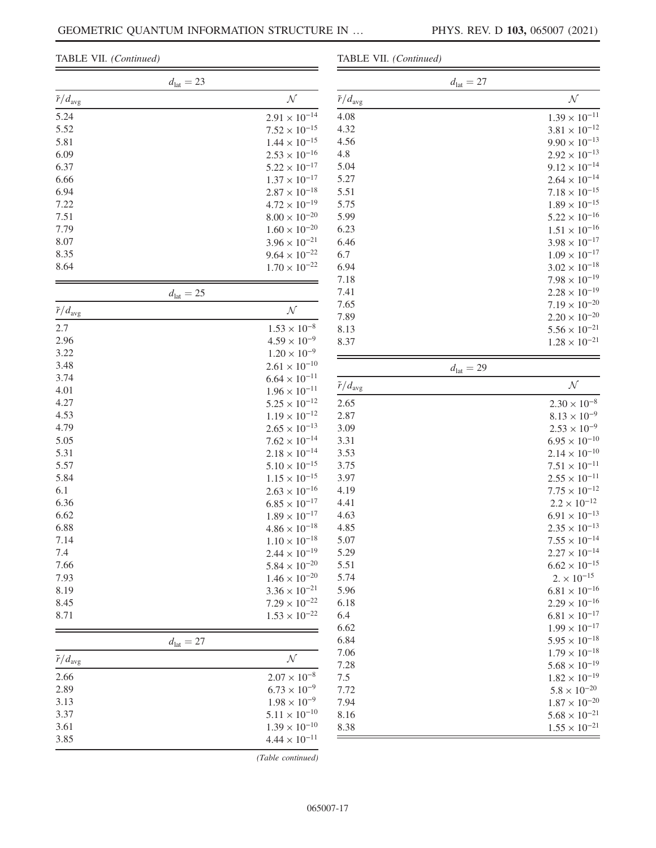TABLE VII. (Continued)

|  |  | TABLE VII. (Continued) |
|--|--|------------------------|
|--|--|------------------------|

|                            | $d_{\text{lat}} = 23$ |                        |                            |
|----------------------------|-----------------------|------------------------|----------------------------|
| $\tilde{r}/d_{\text{avg}}$ |                       | ${\cal N}$             | $\tilde{r}/d_{\text{avg}}$ |
| 5.24                       |                       | $2.91 \times 10^{-14}$ | 4.08                       |
| 5.52                       |                       | $7.52 \times 10^{-15}$ | 4.32                       |
| 5.81                       |                       | $1.44 \times 10^{-15}$ | 4.56                       |
| 6.09                       |                       | $2.53 \times 10^{-16}$ | 4.8                        |
| 6.37                       |                       | $5.22 \times 10^{-17}$ | 5.04                       |
| 6.66                       |                       | $1.37 \times 10^{-17}$ | 5.27                       |
| 6.94                       |                       | $2.87 \times 10^{-18}$ | 5.51                       |
| 7.22                       |                       | $4.72 \times 10^{-19}$ | 5.75                       |
| 7.51                       |                       | $8.00 \times 10^{-20}$ | 5.99                       |
| 7.79                       |                       | $1.60 \times 10^{-20}$ | 6.23                       |
| 8.07                       |                       | $3.96 \times 10^{-21}$ | 6.46                       |
| 8.35                       |                       | $9.64 \times 10^{-22}$ | 6.7                        |
| 8.64                       |                       | $1.70 \times 10^{-22}$ | 6.94                       |
|                            |                       |                        | 7.18                       |
|                            | $d_{\text{lat}} = 25$ |                        | 7.41                       |
|                            |                       |                        | 7.65                       |
| $\tilde{r}/d_{\text{avg}}$ |                       | ${\cal N}$             | 7.89                       |
| 2.7                        |                       | $1.53 \times 10^{-8}$  | 8.13                       |
| 2.96                       |                       | $4.59 \times 10^{-9}$  | 8.37                       |
| 3.22                       |                       | $1.20 \times 10^{-9}$  |                            |
| 3.48                       |                       | $2.61 \times 10^{-10}$ |                            |
| 3.74                       |                       | $6.64 \times 10^{-11}$ |                            |
| 4.01                       |                       | $1.96 \times 10^{-11}$ | $\tilde{r}/d_{\text{avg}}$ |
| 4.27                       |                       | $5.25 \times 10^{-12}$ | 2.65                       |
| 4.53                       |                       | $1.19 \times 10^{-12}$ | 2.87                       |
| 4.79                       |                       | $2.65 \times 10^{-13}$ | 3.09                       |
| 5.05                       |                       |                        |                            |
|                            |                       | $7.62 \times 10^{-14}$ | 3.31                       |
| 5.31                       |                       | $2.18 \times 10^{-14}$ | 3.53                       |
| 5.57                       |                       | $5.10 \times 10^{-15}$ | 3.75                       |
| 5.84                       |                       | $1.15 \times 10^{-15}$ | 3.97                       |
| 6.1                        |                       | $2.63 \times 10^{-16}$ | 4.19                       |
| 6.36                       |                       | $6.85 \times 10^{-17}$ | 4.41                       |
| 6.62                       |                       | $1.89 \times 10^{-17}$ | 4.63                       |
| 6.88                       |                       | $4.86 \times 10^{-18}$ | 4.85                       |
| 7.14                       |                       | $1.10 \times 10^{-18}$ | 5.07                       |
| 7.4                        |                       | $2.44 \times 10^{-19}$ | 5.29                       |
| 7.66                       |                       | $5.84 \times 10^{-20}$ | 5.51                       |
| 7.93                       |                       | $1.46 \times 10^{-20}$ | 5.74                       |
| 8.19                       |                       | $3.36 \times 10^{-21}$ | 5.96                       |
| 8.45                       |                       | $7.29 \times 10^{-22}$ | 6.18                       |
| 8.71                       |                       | $1.53 \times 10^{-22}$ | 6.4                        |
|                            |                       |                        | 6.62                       |
|                            | $d_{\text{lat}} = 27$ |                        | 6.84                       |
| $\tilde{r}/d_{\text{avg}}$ |                       | ${\cal N}$             | 7.06                       |
|                            |                       |                        | 7.28                       |
| 2.66                       |                       | $2.07 \times 10^{-8}$  | 7.5                        |
| 2.89                       |                       | $6.73 \times 10^{-9}$  | 7.72                       |
| 3.13                       |                       | $1.98 \times 10^{-9}$  | 7.94                       |
| 3.37                       |                       | $5.11 \times 10^{-10}$ | 8.16                       |
| 3.61                       |                       | $1.39 \times 10^{-10}$ | 8.38                       |
| 3.85                       |                       | $4.44 \times 10^{-11}$ |                            |

|                            | $d_{\text{lat}} = 27$ |                        |
|----------------------------|-----------------------|------------------------|
| $\tilde{r}/d_{\text{avg}}$ |                       | ${\cal N}$             |
| 4.08                       |                       | $1.39 \times 10^{-11}$ |
| 4.32                       |                       | $3.81 \times 10^{-12}$ |
| 4.56                       |                       | $9.90 \times 10^{-13}$ |
| 4.8                        |                       | $2.92 \times 10^{-13}$ |
| 5.04                       |                       | $9.12 \times 10^{-14}$ |
| 5.27                       |                       | $2.64 \times 10^{-14}$ |
| 5.51                       |                       | $7.18 \times 10^{-15}$ |
| 5.75                       |                       | $1.89 \times 10^{-15}$ |
| 5.99                       |                       | $5.22 \times 10^{-16}$ |
| 6.23                       |                       | $1.51 \times 10^{-16}$ |
| 6.46                       |                       | $3.98\times10^{-17}$   |
| 6.7                        |                       | $1.09\times10^{-17}$   |
| 6.94                       |                       | $3.02 \times 10^{-18}$ |
|                            |                       |                        |
| 7.18                       |                       | $7.98 \times 10^{-19}$ |
| 7.41                       |                       | $2.28 \times 10^{-19}$ |
| 7.65                       |                       | $7.19 \times 10^{-20}$ |
| 7.89                       |                       | $2.20 \times 10^{-20}$ |
| 8.13                       |                       | $5.56 \times 10^{-21}$ |
| 8.37                       |                       | $1.28 \times 10^{-21}$ |
|                            | $d_{\text{lat}} = 29$ |                        |
| $\tilde{r}/d_{\text{avg}}$ |                       | ${\cal N}$             |
| 2.65                       |                       | $2.30 \times 10^{-8}$  |
| 2.87                       |                       | $8.13 \times 10^{-9}$  |
| 3.09                       |                       | $2.53 \times 10^{-9}$  |
| 3.31                       |                       | $6.95 \times 10^{-10}$ |
| 3.53                       |                       | $2.14 \times 10^{-10}$ |
| 3.75                       |                       | $7.51 \times 10^{-11}$ |
| 3.97                       |                       | $2.55 \times 10^{-11}$ |
| 4.19                       |                       | $7.75 \times 10^{-12}$ |
| 4.41                       |                       | $2.2 \times 10^{-12}$  |
| 4.63                       |                       | $6.91 \times 10^{-13}$ |
| 4.85                       |                       | $2.35 \times 10^{-13}$ |
| 5.07                       |                       | $7.55 \times 10^{-14}$ |
| 5.29                       |                       | $2.27 \times 10^{-14}$ |
| 5.51                       |                       | $6.62 \times 10^{-15}$ |
| 5.74                       |                       | $2. \times 10^{-15}$   |
| 5.96                       |                       | $6.81 \times 10^{-16}$ |
| 6.18                       |                       | $2.29 \times 10^{-16}$ |
| 6.4                        |                       | $6.81 \times 10^{-17}$ |
| 6.62                       |                       | $1.99 \times 10^{-17}$ |
| 6.84                       |                       | $5.95\times10^{-18}$   |
| 7.06                       |                       | $1.79 \times 10^{-18}$ |
| 7.28                       |                       | $5.68 \times 10^{-19}$ |
| 7.5                        |                       | $1.82 \times 10^{-19}$ |
| 7.72                       |                       | $5.8 \times 10^{-20}$  |
| 7.94                       |                       | $1.87 \times 10^{-20}$ |
| 8.16                       |                       | $5.68 \times 10^{-21}$ |
| 8.38                       |                       | $1.55 \times 10^{-21}$ |
|                            |                       |                        |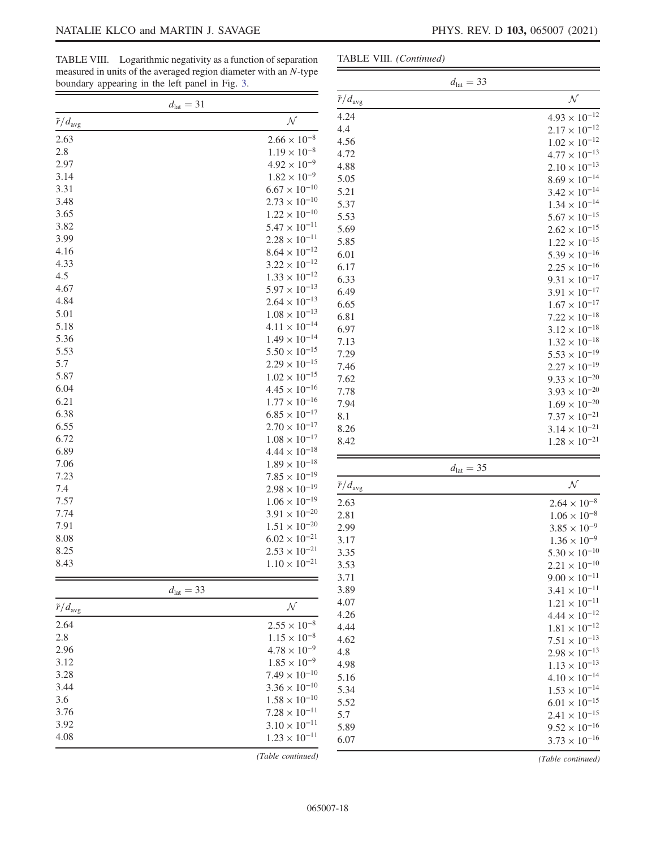$4.93 \times 10^{-12}$  $2.17 \times 10^{-12}$  $1.02\times 10^{-12}$  $4.77 \times 10^{-13}$  $2.10 \times 10^{-13}$  $8.69 \times 10^{-14}$  $3.42\times10^{-14}$  $1.34 \times 10^{-14}$  $5.67\times10^{-15}$  $2.62\times 10^{-15}$  $1.22 \times 10^{-15}$  $5.39 \times 10^{-16}$  $2.25\times 10^{-16}$  $9.31 \times 10^{-17}$  $3.91\times 10^{-17}$  $1.67\times 10^{-17}$  $7.22 \times 10^{-18}$  $3.12\times10^{-18}$  $1.32\times 10^{-18}$  $5.53 \times 10^{-19}$  $2.27\times 10^{-19}$  $9.33\times 10^{-20}$  $3.93\times 10^{-20}$  $1.69 \times 10^{-20}$  $7.37\times10^{-21}$  $3.14 \times 10^{-21}$  $1.28\times 10^{-21}$ 

 $2.64 \times 10^{-8}$  $1.06 \times 10^{-8}$  $3.85 \times 10^{-9}$  $1.36 \times 10^{-9}$  $5.30\times10^{-10}$  $2.21 \times 10^{-10}$  $9.00\times 10^{-11}$  $3.41\times10^{-11}$  $1.21 \times 10^{-11}$  $4.44\times 10^{-12}$  $1.81 \times 10^{-12}$  $7.51 \times 10^{-13}$  $2.98\times 10^{-13}$  $1.13\times 10^{-13}$  $4.10\times 10^{-14}$  $1.53 \times 10^{-14}$  $6.01\times10^{-15}$  $2.41 \times 10^{-15}$  $9.52 \times 10^{-16}$  $3.73 \times 10^{-16}$ (Table continued)

 $d_{\text{lat}} = 33$ 

TABLE VIII. Logarithmic negativity as a function of separation measured in units of the averaged region diameter with an N-type boundary appearing in the left panel in Fig. [3](#page-3-0).

TABLE VIII. (Continued)

Ξ

|                            | $d_{\rm lat}=31$                                 | $\tilde{r}/d_{\text{avg}}$ | $\cal N$              |
|----------------------------|--------------------------------------------------|----------------------------|-----------------------|
| $\tilde{r}/d_{\text{avg}}$ | ${\cal N}$                                       | 4.24                       | $4.93 \times$         |
| 2.63                       | $2.66 \times 10^{-8}$                            | 4.4                        | $2.17 \times$         |
| $2.8\,$                    | $1.19 \times 10^{-8}$                            | 4.56                       | $1.02 \times$         |
| 2.97                       | $4.92 \times 10^{-9}$                            | 4.72                       | $4.77 \times$         |
| 3.14                       | $1.82 \times 10^{-9}$                            | 4.88                       | $2.10 \times$         |
| 3.31                       | $6.67 \times 10^{-10}$                           | 5.05                       | $8.69 \times$         |
| 3.48                       | $2.73 \times 10^{-10}$                           | 5.21                       | $3.42 \times$         |
| 3.65                       | $1.22 \times 10^{-10}$                           | 5.37                       | $1.34 \times$         |
| 3.82                       | $5.47 \times 10^{-11}$                           | 5.53                       | $5.67 \times$         |
| 3.99                       | $2.28 \times 10^{-11}$                           | 5.69                       | $2.62 \times$         |
| 4.16                       | $8.64 \times 10^{-12}$                           | 5.85                       | $1.22 \times$         |
| 4.33                       | $3.22 \times 10^{-12}$                           | 6.01                       | $5.39\times$          |
|                            | $1.33 \times 10^{-12}$                           | 6.17                       | $2.25$ $\times$       |
| 4.5<br>4.67                | $5.97 \times 10^{-13}$                           | 6.33                       | $9.31 \times$         |
| 4.84                       |                                                  | 6.49                       | $3.91\times$          |
|                            | $2.64 \times 10^{-13}$                           | 6.65                       | $1.67 \times$         |
| 5.01                       | $1.08 \times 10^{-13}$                           | 6.81                       | $7.22 \times$         |
| 5.18                       | $4.11 \times 10^{-14}$                           | 6.97                       | $3.12\times$          |
| 5.36                       | $1.49 \times 10^{-14}$                           | 7.13                       | $1.32 \times$         |
| 5.53                       | $5.50 \times 10^{-15}$                           | 7.29                       | $5.53\times$          |
| 5.7                        | $2.29 \times 10^{-15}$                           | 7.46                       | $2.27\times$          |
| 5.87                       | $1.02 \times 10^{-15}$                           | 7.62                       | $9.33 \times$         |
| 6.04                       | $4.45 \times 10^{-16}$                           | 7.78                       | $3.93 \times$         |
| 6.21                       | $1.77 \times 10^{-16}$                           | 7.94                       | $1.69 \times$         |
| 6.38                       | $6.85 \times 10^{-17}$                           | 8.1                        | $7.37$ $\times$       |
| 6.55                       | $2.70 \times 10^{-17}$                           | 8.26                       | $3.14\times$          |
| 6.72                       | $1.08 \times 10^{-17}$                           | 8.42                       | $1.28 \times$         |
| 6.89                       | $4.44 \times 10^{-18}$                           |                            |                       |
| 7.06                       | $1.89 \times 10^{-18}$                           |                            | $d_{\text{lat}} = 35$ |
| 7.23                       | $7.85 \times 10^{-19}$                           | $\tilde{r}/d_{\text{avg}}$ | $\mathcal N$          |
| 7.4                        | $2.98 \times 10^{-19}$                           |                            |                       |
| 7.57                       | $1.06 \times 10^{-19}$                           | 2.63                       | $2.64 \times$         |
| 7.74                       | $3.91 \times 10^{-20}$                           | 2.81                       | $1.06 \times$         |
| 7.91                       | $1.51 \times 10^{-20}$<br>$6.02 \times 10^{-21}$ | 2.99                       | $3.85 \times$         |
| 8.08                       |                                                  | 3.17                       | $1.36 \times$         |
| 8.25                       | $2.53 \times 10^{-21}$                           | 3.35                       | $5.30\times$          |
| 8.43                       | $1.10 \times 10^{-21}$                           | 3.53                       | $2.21$ $\times$       |
|                            |                                                  | 3.71                       | $9.00\times$          |
|                            | $d_{\text{lat}} = 33$                            | 3.89                       | $3.41 \times$         |
| $\tilde{r}/d_{\text{avg}}$ | ${\cal N}$                                       | 4.07                       | $1.21 \times$         |
| 2.64                       | $2.55 \times 10^{-8}$                            | 4.26                       | $4.44\times$          |
| 2.8                        | $1.15 \times 10^{-8}$                            | 4.44                       | $1.81\, \times$       |
| 2.96                       | $4.78 \times 10^{-9}$                            | 4.62                       | $7.51$ $\times$       |
| 3.12                       | $1.85 \times 10^{-9}$                            | 4.8                        | $2.98 \times$         |
| 3.28                       | $7.49 \times 10^{-10}$                           | 4.98                       | $1.13 \times$         |
| 3.44                       | $3.36 \times 10^{-10}$                           | 5.16                       | $4.10\times$          |
| 3.6                        | $1.58 \times 10^{-10}$                           | 5.34                       | $1.53 \times$         |
| 3.76                       | $7.28 \times 10^{-11}$                           | 5.52                       | $6.01 \times$         |
| 3.92                       | $3.10 \times 10^{-11}$                           | 5.7                        | $2.41$ $\times$       |
| 4.08                       | $1.23 \times 10^{-11}$                           | 5.89                       | $9.52 \times$         |
|                            |                                                  | 6.07                       | $3.73 \times$         |
|                            | (Table continued)                                |                            | $(Table \; con$       |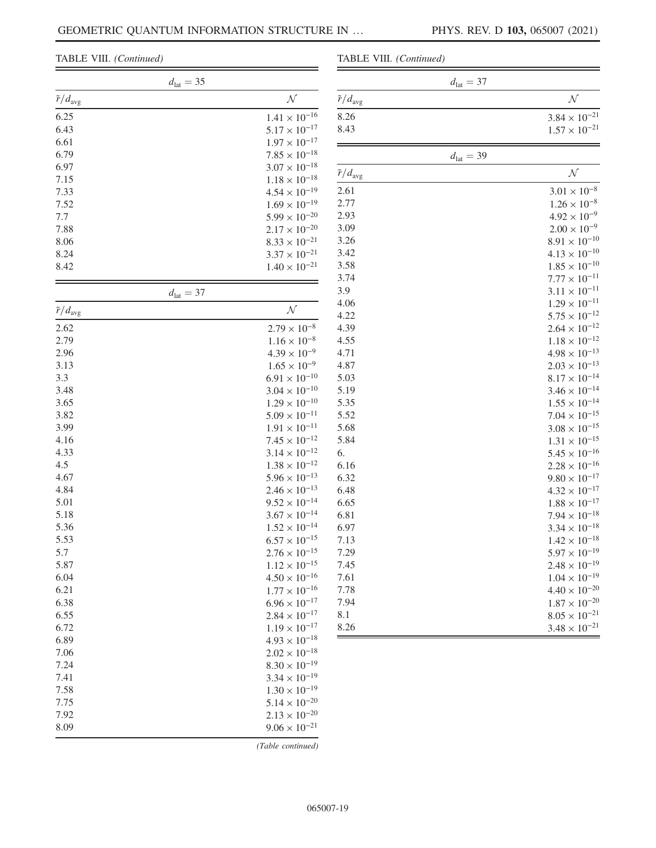#### TABLE VIII. (Continued)

| $d_{\text{lat}} = 35$      |                                |                            |
|----------------------------|--------------------------------|----------------------------|
| $\tilde{r}/d_{\text{avg}}$ | ${\cal N}$                     | $\tilde{r}/d_{\text{avg}}$ |
| 6.25                       | $1.41 \times 10^{-16}$<br>8.26 |                            |
| 6.43                       | $5.17 \times 10^{-17}$<br>8.43 |                            |
| 6.61                       | $1.97 \times 10^{-17}$         |                            |
| 6.79                       | $7.85 \times 10^{-18}$         |                            |
| 6.97                       | $3.07 \times 10^{-18}$         |                            |
| 7.15                       | $1.18 \times 10^{-18}$         | $\tilde{r}/d_{\text{avg}}$ |
| 7.33                       | 2.61<br>$4.54 \times 10^{-19}$ |                            |
| 7.52                       | 2.77<br>$1.69 \times 10^{-19}$ |                            |
| 7.7                        | 2.93<br>$5.99 \times 10^{-20}$ |                            |
| 7.88                       | 3.09<br>$2.17 \times 10^{-20}$ |                            |
| 8.06                       | 3.26<br>$8.33 \times 10^{-21}$ |                            |
| 8.24                       | 3.42<br>$3.37 \times 10^{-21}$ |                            |
| 8.42                       | 3.58<br>$1.40 \times 10^{-21}$ |                            |
|                            | 3.74                           |                            |
| $d_{\text{lat}} = 37$      | 3.9                            |                            |
|                            | 4.06                           |                            |
| $\tilde{r}/d_{\text{avg}}$ | ${\cal N}$<br>4.22             |                            |
| 2.62                       | $2.79 \times 10^{-8}$<br>4.39  |                            |
| 2.79                       | $1.16 \times 10^{-8}$<br>4.55  |                            |
| 2.96                       | $4.39 \times 10^{-9}$<br>4.71  |                            |
| 3.13                       | $1.65 \times 10^{-9}$<br>4.87  |                            |
| 3.3                        | $6.91 \times 10^{-10}$<br>5.03 |                            |
| 3.48                       | $3.04 \times 10^{-10}$<br>5.19 |                            |
| 3.65                       | $1.29 \times 10^{-10}$<br>5.35 |                            |
| 3.82                       | $5.09 \times 10^{-11}$<br>5.52 |                            |
| 3.99                       | $1.91 \times 10^{-11}$<br>5.68 |                            |
| 4.16                       | $7.45 \times 10^{-12}$<br>5.84 |                            |
| 4.33                       | $3.14 \times 10^{-12}$<br>6.   |                            |
| 4.5                        | $1.38 \times 10^{-12}$         |                            |
| 4.67                       | 6.16<br>$5.96 \times 10^{-13}$ |                            |
| 4.84                       | 6.32<br>$2.46 \times 10^{-13}$ |                            |
|                            | 6.48                           |                            |
| 5.01                       | $9.52 \times 10^{-14}$<br>6.65 |                            |
| 5.18                       | $3.67 \times 10^{-14}$<br>6.81 |                            |
| 5.36                       | $1.52 \times 10^{-14}$<br>6.97 |                            |
| 5.53                       | $6.57\times10^{-15}$<br>7.13   |                            |
| 5.7                        | $2.76 \times 10^{-15}$<br>7.29 |                            |
| 5.87                       | $1.12 \times 10^{-15}$<br>7.45 |                            |
| 6.04                       | $4.50 \times 10^{-16}$<br>7.61 |                            |
| 6.21                       | $1.77 \times 10^{-16}$<br>7.78 |                            |
| 6.38                       | $6.96 \times 10^{-17}$<br>7.94 |                            |
| 6.55                       | $2.84 \times 10^{-17}$<br>8.1  |                            |
| 6.72                       | $1.19 \times 10^{-17}$<br>8.26 |                            |
| 6.89                       | $4.93 \times 10^{-18}$         |                            |
| 7.06                       | $2.02\times10^{-18}$           |                            |
| 7.24                       | $8.30 \times 10^{-19}$         |                            |
| 7.41                       | $3.34 \times 10^{-19}$         |                            |
| 7.58                       | $1.30 \times 10^{-19}$         |                            |
| 7.75                       | $5.14 \times 10^{-20}$         |                            |
| 7.92                       | $2.13 \times 10^{-20}$         |                            |
| 8.09                       | $9.06 \times 10^{-21}$         |                            |
|                            |                                |                            |

| TABLE VIII. (Continued)    |                        |
|----------------------------|------------------------|
|                            | $d_{\text{lat}} = 37$  |
| $\tilde{r}/d_{\text{avg}}$ | ${\cal N}$             |
| 8.26                       | $3.84 \times 10^{-21}$ |
| 8.43                       | $1.57 \times 10^{-21}$ |
|                            | $d_{\text{lat}} = 39$  |
| $\tilde{r}/d_{\text{avg}}$ | ${\cal N}$             |
| 2.61                       | $3.01 \times 10^{-8}$  |
| 2.77                       | $1.26 \times 10^{-8}$  |
| 2.93                       | $4.92 \times 10^{-9}$  |
| 3.09                       | $2.00 \times 10^{-9}$  |
| 3.26                       | $8.91 \times 10^{-10}$ |
| 3.42                       | $4.13 \times 10^{-10}$ |
| 3.58                       | $1.85 \times 10^{-10}$ |
| 3.74                       | $7.77 \times 10^{-11}$ |
| 3.9                        | $3.11 \times 10^{-11}$ |
| 4.06                       | $1.29 \times 10^{-11}$ |
| 4.22                       | $5.75 \times 10^{-12}$ |
| 4.39                       | $2.64 \times 10^{-12}$ |
| 4.55                       | $1.18 \times 10^{-12}$ |
| 4.71                       | $4.98 \times 10^{-13}$ |
| 4.87                       | $2.03 \times 10^{-13}$ |
| 5.03                       | $8.17 \times 10^{-14}$ |
| 5.19                       | $3.46 \times 10^{-14}$ |
| 5.35                       | $1.55 \times 10^{-14}$ |
| 5.52                       | $7.04 \times 10^{-15}$ |
| 5.68                       | $3.08 \times 10^{-15}$ |
| 5.84                       | $1.31 \times 10^{-15}$ |
| 6.                         | $5.45 \times 10^{-16}$ |
| 6.16                       | $2.28 \times 10^{-16}$ |
| 6.32                       | $9.80 \times 10^{-17}$ |
| 6.48                       | $4.32 \times 10^{-17}$ |
| 6.65                       | $1.88 \times 10^{-17}$ |
| 6.81                       | $7.94 \times 10^{-18}$ |
| 6.97                       | $3.34 \times 10^{-18}$ |
| 7.13                       | $1.42 \times 10^{-18}$ |
| 7.29                       | $5.97 \times 10^{-19}$ |
| 7.45                       | $2.48 \times 10^{-19}$ |
| 7.61                       | $1.04 \times 10^{-19}$ |
| 7.78                       | $4.40 \times 10^{-20}$ |
| 7.94                       | $1.87 \times 10^{-20}$ |
| 8.1                        | $8.05 \times 10^{-21}$ |

 $3.48 \times 10^{-21}$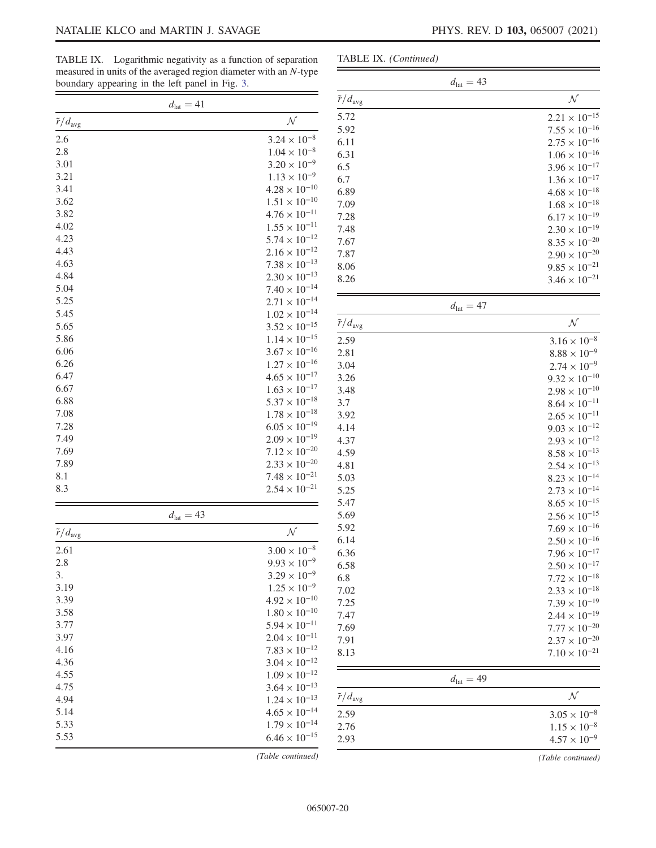TABLE IX. Logarithmic negativity as a function of separation measured in units of the averaged region diameter with an N-type

| TABLE IX. (Continued) |  |
|-----------------------|--|
|-----------------------|--|

|                            | boundary appearing in the left panel in Fig. 3. |                        |                            |
|----------------------------|-------------------------------------------------|------------------------|----------------------------|
|                            | $d_{\text{lat}} = 41$                           |                        | $\tilde{r}/d_{\text{avg}}$ |
| $\tilde{r}/d_{\text{avg}}$ |                                                 | ${\cal N}$             | 5.72                       |
| 2.6                        |                                                 | $3.24 \times 10^{-8}$  | 5.92<br>6.11               |
| 2.8                        |                                                 | $1.04 \times 10^{-8}$  |                            |
| 3.01                       |                                                 | $3.20 \times 10^{-9}$  | 6.31                       |
| 3.21                       |                                                 | $1.13 \times 10^{-9}$  | 6.5                        |
| 3.41                       |                                                 | $4.28 \times 10^{-10}$ | 6.7                        |
| 3.62                       |                                                 | $1.51 \times 10^{-10}$ | 6.89                       |
| 3.82                       |                                                 | $4.76 \times 10^{-11}$ | 7.09                       |
| 4.02                       |                                                 | $1.55 \times 10^{-11}$ | 7.28                       |
| 4.23                       |                                                 | $5.74 \times 10^{-12}$ | 7.48                       |
| 4.43                       |                                                 | $2.16 \times 10^{-12}$ | 7.67                       |
| 4.63                       |                                                 |                        | 7.87                       |
| 4.84                       |                                                 | $7.38 \times 10^{-13}$ | 8.06                       |
|                            |                                                 | $2.30 \times 10^{-13}$ | 8.26                       |
| 5.04                       |                                                 | $7.40 \times 10^{-14}$ |                            |
| 5.25                       |                                                 | $2.71 \times 10^{-14}$ |                            |
| 5.45                       |                                                 | $1.02 \times 10^{-14}$ | $\tilde{r}/d_{\text{avg}}$ |
| 5.65                       |                                                 | $3.52 \times 10^{-15}$ |                            |
| 5.86                       |                                                 | $1.14 \times 10^{-15}$ | 2.59                       |
| 6.06                       |                                                 | $3.67 \times 10^{-16}$ | 2.81                       |
| 6.26                       |                                                 | $1.27 \times 10^{-16}$ | 3.04                       |
| 6.47                       |                                                 | $4.65 \times 10^{-17}$ | 3.26                       |
| 6.67                       |                                                 | $1.63 \times 10^{-17}$ | 3.48                       |
| 6.88                       |                                                 | $5.37 \times 10^{-18}$ | 3.7                        |
| 7.08                       |                                                 | $1.78\times10^{-18}$   | 3.92                       |
| 7.28                       |                                                 | $6.05 \times 10^{-19}$ | 4.14                       |
| 7.49                       |                                                 | $2.09 \times 10^{-19}$ | 4.37                       |
| 7.69                       |                                                 | $7.12 \times 10^{-20}$ | 4.59                       |
| 7.89                       |                                                 | $2.33 \times 10^{-20}$ | 4.81                       |
| 8.1                        |                                                 | $7.48 \times 10^{-21}$ | 5.03                       |
| 8.3                        |                                                 | $2.54 \times 10^{-21}$ | 5.25                       |
|                            |                                                 |                        | 5.47                       |
|                            | $d_{\text{lat}} = 43$                           |                        | 5.69                       |
| $\tilde{r}/d_{\text{avg}}$ |                                                 | ${\cal N}$             | 5.92                       |
| 2.61                       |                                                 | $3.00 \times 10^{-8}$  | 6.14                       |
| 2.8                        |                                                 | $9.93 \times 10^{-9}$  | 6.36                       |
| 3.                         |                                                 | $3.29 \times 10^{-9}$  | 6.58                       |
| 3.19                       |                                                 | $1.25 \times 10^{-9}$  | 6.8                        |
| 3.39                       |                                                 | $4.92 \times 10^{-10}$ | 7.02                       |
| 3.58                       |                                                 | $1.80 \times 10^{-10}$ | 7.25                       |
| 3.77                       |                                                 | $5.94 \times 10^{-11}$ | 7.47                       |
| 3.97                       |                                                 | $2.04 \times 10^{-11}$ | 7.69                       |
| 4.16                       |                                                 | $7.83 \times 10^{-12}$ | 7.91                       |
|                            |                                                 |                        | 8.13                       |
| 4.36                       |                                                 | $3.04 \times 10^{-12}$ |                            |
| 4.55                       |                                                 | $1.09 \times 10^{-12}$ |                            |
| 4.75                       |                                                 | $3.64 \times 10^{-13}$ | $\tilde{r}/d_{\text{avg}}$ |
| 4.94                       |                                                 | $1.24 \times 10^{-13}$ |                            |
| 5.14                       |                                                 | $4.65 \times 10^{-14}$ | 2.59                       |
| 5.33                       |                                                 | $1.79 \times 10^{-14}$ | 2.76                       |
| 5.53                       |                                                 | $6.46 \times 10^{-15}$ | 2.93                       |
|                            |                                                 | (Table continued)      |                            |

|                            | $d_{\text{lat}} = 43$ |                        |
|----------------------------|-----------------------|------------------------|
| $\tilde{r}/d_{\text{avg}}$ |                       | ${\cal N}$             |
| 5.72                       |                       | $2.21 \times 10^{-15}$ |
| 5.92                       |                       | $7.55 \times 10^{-16}$ |
| 6.11                       |                       | $2.75 \times 10^{-16}$ |
| 6.31                       |                       | $1.06 \times 10^{-16}$ |
| 6.5                        |                       | $3.96 \times 10^{-17}$ |
| 6.7                        |                       | $1.36 \times 10^{-17}$ |
| 6.89                       |                       | $4.68 \times 10^{-18}$ |
| 7.09                       |                       | $1.68 \times 10^{-18}$ |
| 7.28                       |                       | $6.17 \times 10^{-19}$ |
| 7.48                       |                       | $2.30 \times 10^{-19}$ |
| 7.67                       |                       | $8.35 \times 10^{-20}$ |
| 7.87                       |                       | $2.90 \times 10^{-20}$ |
| 8.06                       |                       | $9.85 \times 10^{-21}$ |
| 8.26                       |                       | $3.46 \times 10^{-21}$ |
|                            | $d_{\rm lat}=47$      |                        |
| $\tilde{r}/d_{\text{avg}}$ |                       | ${\cal N}$             |
| 2.59                       |                       | $3.16 \times 10^{-8}$  |
| 2.81                       |                       | $8.88 \times 10^{-9}$  |
| 3.04                       |                       | $2.74 \times 10^{-9}$  |
| 3.26                       |                       | $9.32 \times 10^{-10}$ |
| 3.48                       |                       | $2.98 \times 10^{-10}$ |
| 3.7                        |                       | $8.64 \times 10^{-11}$ |
| 3.92                       |                       | $2.65 \times 10^{-11}$ |
| 4.14                       |                       | $9.03 \times 10^{-12}$ |
| 4.37                       |                       | $2.93 \times 10^{-12}$ |
| 4.59                       |                       | $8.58 \times 10^{-13}$ |
| 4.81                       |                       | $2.54 \times 10^{-13}$ |
| 5.03                       |                       | $8.23 \times 10^{-14}$ |
| 5.25                       |                       | $2.73 \times 10^{-14}$ |
| 5.47                       |                       | $8.65 \times 10^{-15}$ |
| 5.69                       |                       | $2.56 \times 10^{-15}$ |
| 5.92                       |                       | $7.69 \times 10^{-16}$ |
| 6.14                       |                       | $2.50 \times 10^{-16}$ |
| 6.36                       |                       | $7.96 \times 10^{-17}$ |
| 6.58                       |                       | $2.50 \times 10^{-17}$ |
| 6.8                        |                       | $7.72 \times 10^{-18}$ |
| 7.02                       |                       | $2.33 \times 10^{-18}$ |
| 7.25                       |                       | $7.39 \times 10^{-19}$ |
| 7.47                       |                       | $2.44 \times 10^{-19}$ |
| 7.69                       |                       | $7.77 \times 10^{-20}$ |
| 7.91                       |                       | $2.37 \times 10^{-20}$ |
| 8.13                       |                       | $7.10 \times 10^{-21}$ |
|                            | $d_{\text{lat}} = 49$ |                        |

|                            | $d_{\text{lat}} = 49$ |
|----------------------------|-----------------------|
| $\tilde{r}/d_{\text{avg}}$ |                       |
| 2.59                       | $3.05 \times 10^{-8}$ |
| 2.76                       | $1.15 \times 10^{-8}$ |
| 2.93                       | $4.57 \times 10^{-9}$ |
|                            |                       |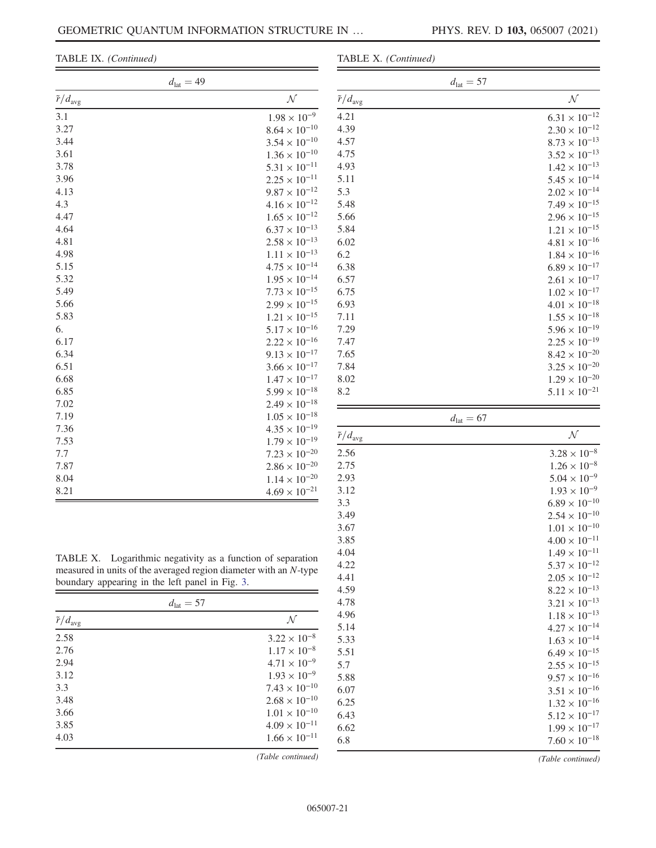TABLE IX. (Continued)

|  | TABLE X. (Continued) |
|--|----------------------|
|--|----------------------|

| $d_{\text{lat}} = 49$      |                        |
|----------------------------|------------------------|
| $\tilde{r}/d_{\text{avg}}$ | ${\cal N}$             |
| 3.1                        | $1.98 \times 10^{-9}$  |
| 3.27                       | $8.64 \times 10^{-10}$ |
| 3.44                       | $3.54 \times 10^{-10}$ |
| 3.61                       | $1.36 \times 10^{-10}$ |
| 3.78                       | $5.31\times10^{-11}$   |
| 3.96                       | $2.25 \times 10^{-11}$ |
| 4.13                       | $9.87 \times 10^{-12}$ |
| 4.3                        | $4.16 \times 10^{-12}$ |
| 4.47                       | $1.65 \times 10^{-12}$ |
| 4.64                       | $6.37 \times 10^{-13}$ |
| 4.81                       | $2.58 \times 10^{-13}$ |
| 4.98                       | $1.11 \times 10^{-13}$ |
| 5.15                       | $4.75 \times 10^{-14}$ |
| 5.32                       | $1.95 \times 10^{-14}$ |
| 5.49                       | $7.73 \times 10^{-15}$ |
| 5.66                       | $2.99 \times 10^{-15}$ |
| 5.83                       | $1.21 \times 10^{-15}$ |
| 6.                         | $5.17 \times 10^{-16}$ |
| 6.17                       | $2.22 \times 10^{-16}$ |
| 6.34                       | $9.13 \times 10^{-17}$ |
| 6.51                       | $3.66 \times 10^{-17}$ |
| 6.68                       | $1.47 \times 10^{-17}$ |
| 6.85                       | $5.99 \times 10^{-18}$ |
| 7.02                       | $2.49 \times 10^{-18}$ |
| 7.19                       | $1.05 \times 10^{-18}$ |
| 7.36                       | $4.35 \times 10^{-19}$ |
| 7.53                       | $1.79 \times 10^{-19}$ |
| 7.7                        | $7.23 \times 10^{-20}$ |
| 7.87                       | $2.86 \times 10^{-20}$ |
| 8.04                       | $1.14 \times 10^{-20}$ |
| 8.21                       | $4.69 \times 10^{-21}$ |

|                            | $d_{\text{lat}} = 57$  |
|----------------------------|------------------------|
| $\tilde{r}/d_{\text{avg}}$ | $\cal N$               |
| 4.21                       | $6.31 \times 10^{-12}$ |
| 4.39                       | $2.30 \times 10^{-12}$ |
| 4.57                       | $8.73 \times 10^{-13}$ |
| 4.75                       | $3.52 \times 10^{-13}$ |
| 4.93                       | $1.42 \times 10^{-13}$ |
| 5.11                       | $5.45 \times 10^{-14}$ |
| 5.3                        | $2.02 \times 10^{-14}$ |
| 5.48                       | $7.49 \times 10^{-15}$ |
| 5.66                       | $2.96 \times 10^{-15}$ |
| 5.84                       | $1.21 \times 10^{-15}$ |
| 6.02                       | $4.81 \times 10^{-16}$ |
| 6.2                        | $1.84 \times 10^{-16}$ |
| 6.38                       | $6.89 \times 10^{-17}$ |
| 6.57                       | $2.61 \times 10^{-17}$ |
| 6.75                       | $1.02 \times 10^{-17}$ |
| 6.93                       | $4.01 \times 10^{-18}$ |
| 7.11                       | $1.55 \times 10^{-18}$ |
| 7.29                       | $5.96 \times 10^{-19}$ |
| 7.47                       | $2.25 \times 10^{-19}$ |
| 7.65                       | $8.42 \times 10^{-20}$ |
| 7.84                       | $3.25 \times 10^{-20}$ |
| 8.02                       | $1.29 \times 10^{-20}$ |
| 8.2                        | $5.11 \times 10^{-21}$ |

| $\tilde{r}/d_{\text{avg}}$ | ${\cal N}$             |
|----------------------------|------------------------|
| 2.56                       | $3.28 \times 10^{-8}$  |
| 2.75                       | $1.26 \times 10^{-8}$  |
| 2.93                       | $5.04 \times 10^{-9}$  |
| 3.12                       | $1.93 \times 10^{-9}$  |
| 3.3                        | $6.89 \times 10^{-10}$ |
| 3.49                       | $2.54 \times 10^{-10}$ |
| 3.67                       | $1.01 \times 10^{-10}$ |
| 3.85                       | $4.00 \times 10^{-11}$ |
| 4.04                       | $1.49 \times 10^{-11}$ |
| 4.22                       | $5.37 \times 10^{-12}$ |
| 4.41                       | $2.05 \times 10^{-12}$ |
| 4.59                       | $8.22 \times 10^{-13}$ |
| 4.78                       | $3.21 \times 10^{-13}$ |
| 4.96                       | $1.18 \times 10^{-13}$ |
| 5.14                       | $4.27 \times 10^{-14}$ |
| 5.33                       | $1.63 \times 10^{-14}$ |
| 5.51                       | $6.49 \times 10^{-15}$ |
| 5.7                        | $2.55 \times 10^{-15}$ |
| 5.88                       | $9.57 \times 10^{-16}$ |
| 6.07                       | $3.51 \times 10^{-16}$ |
| 6.25                       | $1.32 \times 10^{-16}$ |
| 6.43                       | $5.12 \times 10^{-17}$ |
| 6.62                       | $1.99 \times 10^{-17}$ |
| 6.8                        | $7.60 \times 10^{-18}$ |

TABLE X. Logarithmic negativity as a function of separation measured in units of the averaged region diameter with an N-type boundary appearing in the left panel in Fig. [3](#page-3-0).

| $d_{\text{lat}} = 57$      |                        |
|----------------------------|------------------------|
| $\tilde{r}/d_{\text{avg}}$ | N                      |
| 2.58                       | $3.22 \times 10^{-8}$  |
| 2.76                       | $1.17 \times 10^{-8}$  |
| 2.94                       | $4.71 \times 10^{-9}$  |
| 3.12                       | $1.93 \times 10^{-9}$  |
| 3.3                        | $7.43 \times 10^{-10}$ |
| 3.48                       | $2.68 \times 10^{-10}$ |
| 3.66                       | $1.01 \times 10^{-10}$ |
| 3.85                       | $4.09 \times 10^{-11}$ |
| 4.03                       | $1.66 \times 10^{-11}$ |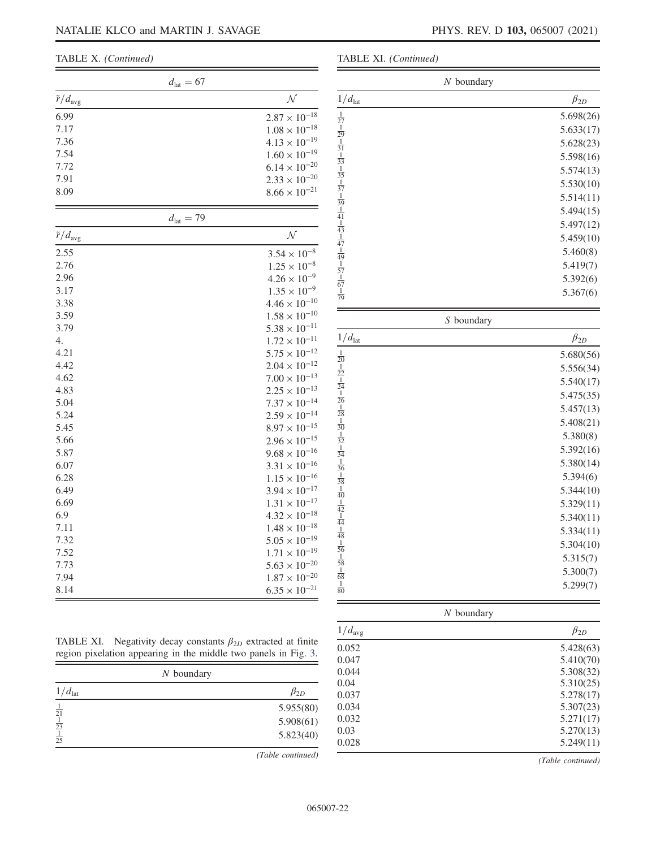| $d_{\text{lat}} = 67$      |                        |
|----------------------------|------------------------|
| $\tilde{r}/d_{\text{avg}}$ | N                      |
| 6.99                       | $2.87 \times 10^{-18}$ |
| 7.17                       | $1.08 \times 10^{-18}$ |
| 7.36                       | $4.13 \times 10^{-19}$ |
| 7.54                       | $1.60 \times 10^{-19}$ |
| 7.72                       | $6.14 \times 10^{-20}$ |
| 7.91                       | $2.33 \times 10^{-20}$ |
| 8.09                       | $8.66 \times 10^{-21}$ |
| $d_{\text{lat}} = 79$      |                        |
| $\tilde{r}/d_{\text{avg}}$ | $\mathcal N$           |
| 2.55                       | $3.54 \times 10^{-8}$  |
| 2.76                       | $1.25 \times 10^{-8}$  |
| 2.96                       | $4.26 \times 10^{-9}$  |
| 3.17                       | $1.35 \times 10^{-9}$  |
| 3.38                       | $4.46 \times 10^{-10}$ |
| 3.59                       | $1.58 \times 10^{-10}$ |
| 3.79                       | $5.38 \times 10^{-11}$ |
| 4.                         | $1.72 \times 10^{-11}$ |
| 4.21                       | $5.75 \times 10^{-12}$ |
| 4.42                       | $2.04 \times 10^{-12}$ |
| 4.62                       | $7.00 \times 10^{-13}$ |
| 4.83                       | $2.25 \times 10^{-13}$ |
| 5.04                       | $7.37 \times 10^{-14}$ |
| 5.24                       | $2.59 \times 10^{-14}$ |
| 5.45                       | $8.97 \times 10^{-15}$ |
| 5.66                       | $2.96 \times 10^{-15}$ |
| 5.87                       | $9.68 \times 10^{-16}$ |
| 6.07                       | $3.31 \times 10^{-16}$ |
| 6.28                       | $1.15 \times 10^{-16}$ |
| 6.49                       | $3.94 \times 10^{-17}$ |
| 6.69                       | $1.31 \times 10^{-17}$ |
| 6.9                        | $4.32 \times 10^{-18}$ |
| 7.11                       | $1.48 \times 10^{-18}$ |
| 7.32                       | $5.05 \times 10^{-19}$ |
| 7.52                       | $1.71 \times 10^{-19}$ |
| 7.73                       | $5.63 \times 10^{-20}$ |
| 7.94                       | $1.87 \times 10^{-20}$ |
| 8.14                       | $6.35 \times 10^{-21}$ |

TABLE XI. (Continued)

| $N$ boundary                                                                                                                                                                                                                                                               |              |
|----------------------------------------------------------------------------------------------------------------------------------------------------------------------------------------------------------------------------------------------------------------------------|--------------|
| $1/d_{\text{lat}}$                                                                                                                                                                                                                                                         | $\beta_{2D}$ |
|                                                                                                                                                                                                                                                                            | 5.698(26)    |
|                                                                                                                                                                                                                                                                            | 5.633(17)    |
|                                                                                                                                                                                                                                                                            | 5.628(23)    |
|                                                                                                                                                                                                                                                                            | 5.598(16)    |
|                                                                                                                                                                                                                                                                            | 5.574(13)    |
|                                                                                                                                                                                                                                                                            | 5.530(10)    |
|                                                                                                                                                                                                                                                                            | 5.514(11)    |
|                                                                                                                                                                                                                                                                            | 5.494(15)    |
|                                                                                                                                                                                                                                                                            | 5.497(12)    |
|                                                                                                                                                                                                                                                                            | 5.459(10)    |
|                                                                                                                                                                                                                                                                            | 5.460(8)     |
|                                                                                                                                                                                                                                                                            | 5.419(7)     |
|                                                                                                                                                                                                                                                                            | 5.392(6)     |
| $\frac{1}{27} \frac{1}{29} \frac{1}{1} \frac{1}{31} \frac{1}{1} \frac{33}{1} \frac{1}{35} \frac{1}{1} \frac{1}{37} \frac{1}{1} \frac{40}{1} \frac{1}{44} \frac{1}{1} \frac{47}{1} \frac{1}{49} \frac{1}{1} \frac{1}{57} \frac{1}{1} \frac{1}{67} \frac{1}{1} \frac{1}{79}$ | 5.367(6)     |
|                                                                                                                                                                                                                                                                            |              |

| S boundary                                                                                                                                                                                                                                                                                                                                                                     |              |
|--------------------------------------------------------------------------------------------------------------------------------------------------------------------------------------------------------------------------------------------------------------------------------------------------------------------------------------------------------------------------------|--------------|
| $1/d_{\text{lat}}$                                                                                                                                                                                                                                                                                                                                                             | $\beta_{2D}$ |
|                                                                                                                                                                                                                                                                                                                                                                                | 5.680(56)    |
|                                                                                                                                                                                                                                                                                                                                                                                | 5.556(34)    |
|                                                                                                                                                                                                                                                                                                                                                                                | 5.540(17)    |
|                                                                                                                                                                                                                                                                                                                                                                                | 5.475(35)    |
|                                                                                                                                                                                                                                                                                                                                                                                | 5.457(13)    |
|                                                                                                                                                                                                                                                                                                                                                                                | 5.408(21)    |
|                                                                                                                                                                                                                                                                                                                                                                                | 5.380(8)     |
|                                                                                                                                                                                                                                                                                                                                                                                | 5.392(16)    |
|                                                                                                                                                                                                                                                                                                                                                                                | 5.380(14)    |
|                                                                                                                                                                                                                                                                                                                                                                                | 5.394(6)     |
|                                                                                                                                                                                                                                                                                                                                                                                | 5.344(10)    |
|                                                                                                                                                                                                                                                                                                                                                                                | 5.329(11)    |
|                                                                                                                                                                                                                                                                                                                                                                                | 5.340(11)    |
|                                                                                                                                                                                                                                                                                                                                                                                | 5.334(11)    |
|                                                                                                                                                                                                                                                                                                                                                                                | 5.304(10)    |
|                                                                                                                                                                                                                                                                                                                                                                                | 5.315(7)     |
|                                                                                                                                                                                                                                                                                                                                                                                | 5.300(7)     |
| $\frac{1}{20} \frac{1}{22} \frac{1}{1} \frac{24}{1} \frac{1}{26} \frac{1}{1} \frac{28}{1} \frac{1}{30} \frac{1}{1} \frac{3}{32} \frac{1}{1} \frac{1}{36} \frac{1}{1} \frac{1}{38} \frac{1}{1} \frac{40}{1} \frac{1}{40} \frac{1}{1} \frac{1}{44} \frac{1}{1} \frac{1}{48} \frac{1}{1} \frac{1}{56} \frac{1}{1} \frac{1}{58} \frac{1}{1} \frac{1}{88} \frac{1}{1} \frac{1}{80}$ | 5.299(7)     |

| $N$ boundary |  |
|--------------|--|
|--------------|--|

| $1/d_{\text{avg}}$ | $\beta_{2D}$ |
|--------------------|--------------|
| 0.052              | 5.428(63)    |
| 0.047              | 5.410(70)    |
| 0.044              | 5.308(32)    |
| 0.04               | 5.310(25)    |
| 0.037              | 5.278(17)    |
| 0.034              | 5.307(23)    |
| 0.032              | 5.271(17)    |
| 0.03               | 5.270(13)    |
| 0.028              | 5.249(11)    |

| TABLE XI. Negativity decay constants $\beta_{2D}$ extracted at finite |
|-----------------------------------------------------------------------|
| region pixelation appearing in the middle two panels in Fig. 3.       |

| $N$ boundary       |              |
|--------------------|--------------|
| $1/d_{\text{lat}}$ | $\beta_{2D}$ |
| $\frac{1}{21}$     | 5.955(80)    |
| $\frac{1}{23}$     | 5.908(61)    |
| $\frac{1}{25}$     | 5.823(40)    |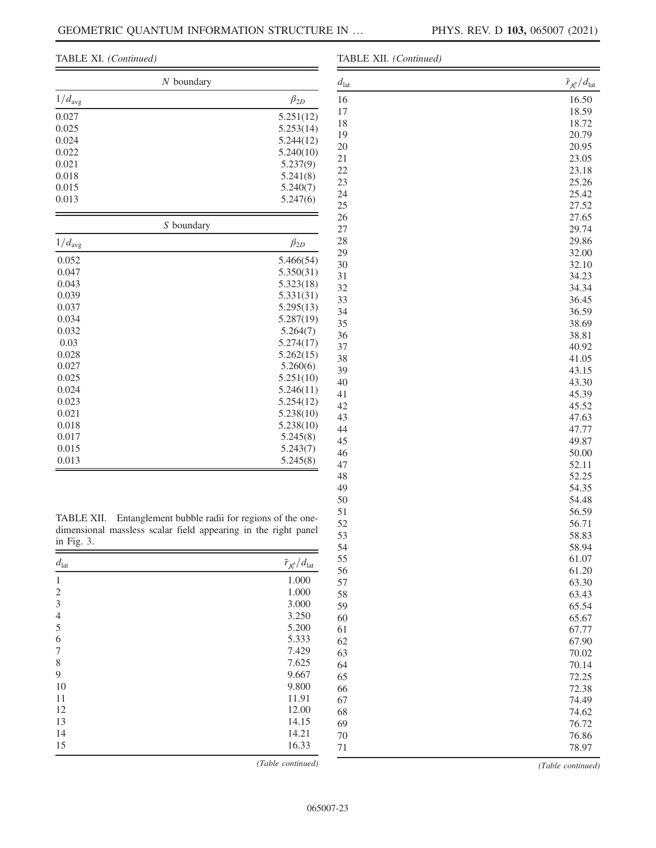#### TABLE XI. (Continued)

| $N$ boundary |  |
|--------------|--|
| $\beta_{2D}$ |  |
| 5.251(12)    |  |
| 5.253(14)    |  |
| 5.244(12)    |  |
| 5.240(10)    |  |
| 5.237(9)     |  |
| 5.241(8)     |  |
| 5.240(7)     |  |
| 5.247(6)     |  |
|              |  |

| S boundary         |              |
|--------------------|--------------|
| $1/d_{\text{avg}}$ | $\beta_{2D}$ |
| 0.052              | 5.466(54)    |
| 0.047              | 5.350(31)    |
| 0.043              | 5.323(18)    |
| 0.039              | 5.331(31)    |
| 0.037              | 5.295(13)    |
| 0.034              | 5.287(19)    |
| 0.032              | 5.264(7)     |
| 0.03               | 5.274(17)    |
| 0.028              | 5.262(15)    |
| 0.027              | 5.260(6)     |
| 0.025              | 5.251(10)    |
| 0.024              | 5.246(11)    |
| 0.023              | 5.254(12)    |
| 0.021              | 5.238(10)    |
| 0.018              | 5.238(10)    |
| 0.017              | 5.245(8)     |
| 0.015              | 5.243(7)     |
| 0.013              | 5.245(8)     |

TABLE XII. Entanglement bubble radii for regions of the onedimensional massless scalar field appearing in the right panel in Fig. [3.](#page-3-0)

| $d_{\text{lat}}$ | $\tilde{r}_{\mathcal{N}}/d_{\text{lat}}$ |
|------------------|------------------------------------------|
| 1                | 1.000                                    |
| $\overline{2}$   | 1.000                                    |
| 3                | 3.000                                    |
| $\overline{4}$   | 3.250                                    |
| 5                | 5.200                                    |
| 6                | 5.333                                    |
| 7                | 7.429                                    |
| 8                | 7.625                                    |
| 9                | 9.667                                    |
| 10               | 9.800                                    |
| 11               | 11.91                                    |
| 12               | 12.00                                    |
| 13               | 14.15                                    |
| 14               | 14.21                                    |
| 15               | 16.33                                    |

(Table continued)

| TABLE XII. (Continued) |                                        |  |
|------------------------|----------------------------------------|--|
| $d_{\rm lat}$          | $\tilde{r}_{\mathcal{N}}/d_\text{lat}$ |  |
| 16                     | 16.50                                  |  |
| 17                     | 18.59                                  |  |
| 18                     | 18.72                                  |  |
| 19                     | 20.79                                  |  |
| 20                     | 20.95                                  |  |
| 21                     | 23.05                                  |  |
| 22                     | 23.18                                  |  |
| 23                     | 25.26                                  |  |
| 24                     | 25.42                                  |  |
| 25                     | 27.52                                  |  |
| 26                     | 27.65                                  |  |
| $27\,$                 | 29.74                                  |  |
| 28                     | 29.86                                  |  |
| 29                     | 32.00                                  |  |
| 30                     | 32.10                                  |  |
| 31                     | 34.23                                  |  |
| 32                     | 34.34                                  |  |
| 33                     | 36.45                                  |  |
| 34                     | 36.59                                  |  |
| 35                     | 38.69                                  |  |
| 36                     | 38.81                                  |  |
| 37                     | 40.92                                  |  |
| 38                     | 41.05                                  |  |
| 39                     | 43.15                                  |  |
| 40                     | 43.30                                  |  |
| 41                     | 45.39                                  |  |
| 42                     | 45.52                                  |  |
| 43                     | 47.63                                  |  |
| 44                     | 47.77                                  |  |
| 45                     | 49.87                                  |  |
| 46                     | 50.00                                  |  |
| 47                     | 52.11                                  |  |
| 48                     | 52.25                                  |  |
| 49                     | 54.35                                  |  |
| 50                     | 54.48                                  |  |
| 51                     | 56.59                                  |  |
| 52                     | 56.71                                  |  |
| 53                     | 58.83                                  |  |
| 54                     | 58.94                                  |  |
| 55                     | 61.07                                  |  |
| 56                     | 61.20                                  |  |
| 57                     | 63.30                                  |  |
| 58                     | 63.43                                  |  |
| 59                     | 65.54                                  |  |
| 60                     | 65.67                                  |  |
| 61                     | 67.77                                  |  |
| 62                     | 67.90                                  |  |
| 63                     | 70.02                                  |  |
| 64                     | 70.14                                  |  |
| 65                     | 72.25                                  |  |
| 66                     | 72.38                                  |  |
| 67                     | 74.49                                  |  |
| 68                     | 74.62                                  |  |
| 69                     | 76.72                                  |  |
| 70                     | 76.86                                  |  |
| 71                     | 78.97                                  |  |
|                        |                                        |  |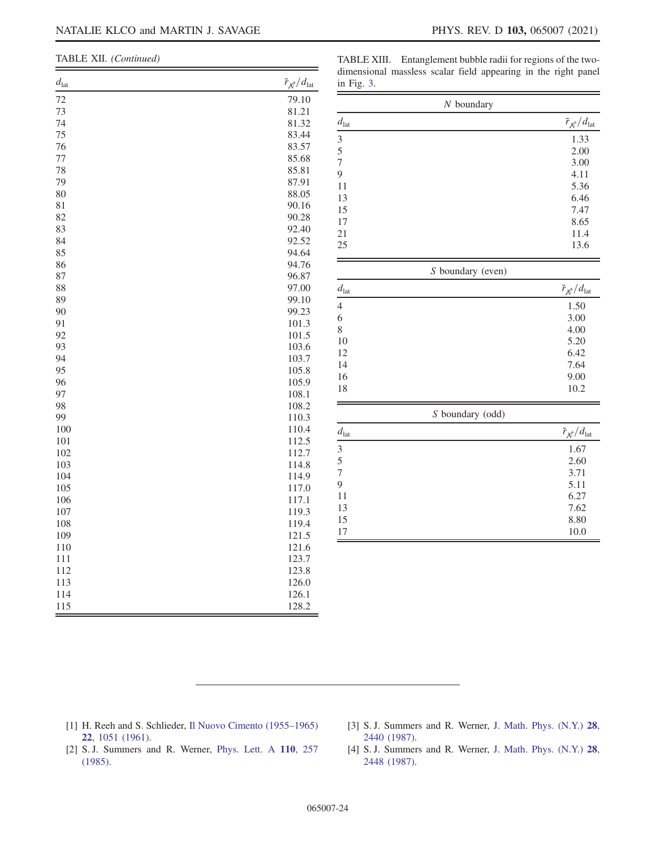| TABLE XII. (Continued) |
|------------------------|
|                        |

TABLE XIII. Entanglement bubble radii for regions of the twodimensional massless scalar field appearing in the right panel in Fig. [3.](#page-3-0)

| $d_{\rm lat}$ | $\tilde{r}_{\mathcal{N}}/d_\text{lat}$<br>in Fig. 3. | лт<br>O<br>л.                          |  |
|---------------|------------------------------------------------------|----------------------------------------|--|
| 72<br>73      | 79.10<br>81.21                                       | $N$ boundary                           |  |
| 74            | $d_{\rm lat}$<br>81.32                               | $\tilde{r}_{\mathcal{N}}/d_\text{lat}$ |  |
| 75            | 83.44                                                |                                        |  |
| 76            | 3<br>83.57                                           | 1.33                                   |  |
| 77            | 5<br>85.68                                           | 2.00                                   |  |
| 78            | $\boldsymbol{7}$<br>85.81                            | 3.00                                   |  |
| 79            | $\overline{9}$<br>87.91                              | 4.11                                   |  |
| 80            | 11<br>88.05                                          | 5.36                                   |  |
| 81            | 13<br>90.16                                          | 6.46                                   |  |
| 82            | 15<br>90.28                                          | 7.47                                   |  |
| 83            | 17<br>92.40                                          | 8.65                                   |  |
| 84            | 21<br>92.52                                          | 11.4                                   |  |
| 85            | 25<br>94.64                                          | 13.6                                   |  |
| 86            | 94.76                                                |                                        |  |
| 87            | 96.87                                                | S boundary (even)                      |  |
| 88            | 97.00<br>$d_{\rm lat}$                               | $\tilde{r}_{\mathcal{N}}/d_\text{lat}$ |  |
| 89            | 99.10                                                |                                        |  |
| 90            | $\overline{4}$<br>99.23                              | 1.50                                   |  |
| 91            | 6<br>101.3                                           | 3.00                                   |  |
| 92            | $8\,$<br>101.5                                       | 4.00                                   |  |
| 93            | 10<br>103.6                                          | 5.20                                   |  |
| 94            | 12<br>103.7                                          | 6.42                                   |  |
| 95            | 14<br>105.8                                          | 7.64                                   |  |
| 96            | 16<br>105.9                                          | 9.00                                   |  |
| 97            | 18<br>108.1                                          | $10.2\,$                               |  |
| 98            | 108.2                                                |                                        |  |
| 99            | 110.3                                                | S boundary (odd)                       |  |
| 100           | 110.4<br>$d_{\rm lat}$                               | $\tilde{r}_{\mathcal{N}}/d_\text{lat}$ |  |
| 101           | 112.5                                                | 1.67                                   |  |
| 102           | $\mathfrak{Z}$<br>112.7                              |                                        |  |
| 103           | 5<br>1148                                            | 2.60                                   |  |

| 77  | 85.68 |
|-----|-------|
| 78  | 85.81 |
| 79  | 87.91 |
| 80  | 88.05 |
| 81  | 90.16 |
| 82  | 90.28 |
| 83  | 92.40 |
| 84  | 92.52 |
| 85  | 94.64 |
| 86  | 94.76 |
| 87  | 96.87 |
| 88  | 97.00 |
| 89  | 99.10 |
| 90  | 99.23 |
| 91  | 101.3 |
| 92  | 101.5 |
| 93  | 103.6 |
| 94  | 103.7 |
| 95  | 105.8 |
| 96  | 105.9 |
| 97  | 108.1 |
| 98  | 108.2 |
| 99  | 110.3 |
| 100 | 110.4 |
| 101 | 112.5 |
| 102 | 112.7 |
| 103 | 114.8 |
| 104 | 114.9 |
| 105 | 117.0 |
| 106 | 117.1 |
| 107 | 119.3 |
| 108 | 119.4 |
| 109 | 121.5 |
| 110 | 121.6 |
| 111 | 123.7 |
| 112 | 123.8 |
| 113 | 126.0 |
| 114 | 126.1 |
| 115 | 128.2 |
|     |       |

- <span id="page-23-0"></span>[1] H. Reeh and S. Schlieder, [Il Nuovo Cimento \(1955](https://doi.org/10.1007/BF02787889)–1965) 22[, 1051 \(1961\)](https://doi.org/10.1007/BF02787889).
- [3] S. J. Summers and R. Werner, [J. Math. Phys. \(N.Y.\)](https://doi.org/10.1063/1.527733) 28, [2440 \(1987\).](https://doi.org/10.1063/1.527733)

7 3.71 9 5.11 11 6.27 13 7.62 15 8.80 17 10.0

- [2] S. J. Summers and R. Werner, [Phys. Lett. A](https://doi.org/10.1016/0375-9601(85)90093-3) 110, 257 [\(1985\).](https://doi.org/10.1016/0375-9601(85)90093-3)
- [4] S. J. Summers and R. Werner, [J. Math. Phys. \(N.Y.\)](https://doi.org/10.1063/1.527734) 28, [2448 \(1987\).](https://doi.org/10.1063/1.527734)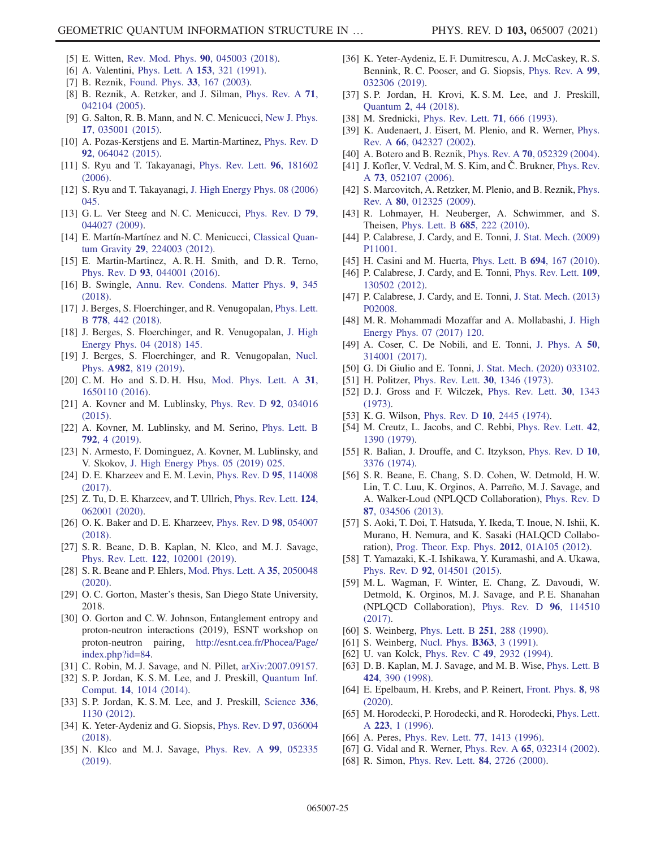- [5] E. Witten, [Rev. Mod. Phys.](https://doi.org/10.1103/RevModPhys.90.045003) 90, 045003 (2018).
- <span id="page-24-0"></span>[6] A. Valentini, *[Phys. Lett. A](https://doi.org/10.1016/0375-9601(91)90952-5)* **153**, 321 (1991).
- [7] B. Reznik, [Found. Phys.](https://doi.org/10.1023/A:1022875910744) 33, 167 (2003).
- [8] B. Reznik, A. Retzker, and J. Silman, [Phys. Rev. A](https://doi.org/10.1103/PhysRevA.71.042104) 71, [042104 \(2005\).](https://doi.org/10.1103/PhysRevA.71.042104)
- [9] G. Salton, R. B. Mann, and N. C. Menicucci, [New J. Phys.](https://doi.org/10.1088/1367-2630/17/3/035001) 17[, 035001 \(2015\).](https://doi.org/10.1088/1367-2630/17/3/035001)
- <span id="page-24-18"></span>[10] A. Pozas-Kerstjens and E. Martin-Martinez, [Phys. Rev. D](https://doi.org/10.1103/PhysRevD.92.064042) 92[, 064042 \(2015\).](https://doi.org/10.1103/PhysRevD.92.064042)
- <span id="page-24-1"></span>[11] S. Ryu and T. Takayanagi, [Phys. Rev. Lett.](https://doi.org/10.1103/PhysRevLett.96.181602) **96**, 181602 [\(2006\).](https://doi.org/10.1103/PhysRevLett.96.181602)
- [12] S. Ryu and T. Takayanagi, [J. High Energy Phys. 08 \(2006\)](https://doi.org/10.1088/1126-6708/2006/08/045) [045.](https://doi.org/10.1088/1126-6708/2006/08/045)
- [13] G. L. Ver Steeg and N. C. Menicucci, [Phys. Rev. D](https://doi.org/10.1103/PhysRevD.79.044027) 79, [044027 \(2009\).](https://doi.org/10.1103/PhysRevD.79.044027)
- [14] E. Martín-Martínez and N. C. Menicucci, [Classical Quan](https://doi.org/10.1088/0264-9381/29/22/224003)tum Gravity 29[, 224003 \(2012\).](https://doi.org/10.1088/0264-9381/29/22/224003)
- [15] E. Martin-Martinez, A. R. H. Smith, and D. R. Terno, Phys. Rev. D 93[, 044001 \(2016\)](https://doi.org/10.1103/PhysRevD.93.044001).
- [16] B. Swingle, [Annu. Rev. Condens. Matter Phys.](https://doi.org/10.1146/annurev-conmatphys-033117-054219) 9, 345 [\(2018\).](https://doi.org/10.1146/annurev-conmatphys-033117-054219)
- <span id="page-24-2"></span>[17] J. Berges, S. Floerchinger, and R. Venugopalan, [Phys. Lett.](https://doi.org/10.1016/j.physletb.2018.01.068) B 778[, 442 \(2018\).](https://doi.org/10.1016/j.physletb.2018.01.068)
- [18] J. Berges, S. Floerchinger, and R. Venugopalan, [J. High](https://doi.org/10.1007/JHEP04(2018)145) [Energy Phys. 04 \(2018\) 145.](https://doi.org/10.1007/JHEP04(2018)145)
- [19] J. Berges, S. Floerchinger, and R. Venugopalan, [Nucl.](https://doi.org/10.1016/j.nuclphysa.2018.12.008) Phys. A982[, 819 \(2019\)](https://doi.org/10.1016/j.nuclphysa.2018.12.008).
- <span id="page-24-3"></span>[20] C. M. Ho and S. D. H. Hsu, [Mod. Phys. Lett. A](https://doi.org/10.1142/S0217732316501108) 31, [1650110 \(2016\)](https://doi.org/10.1142/S0217732316501108).
- [21] A. Kovner and M. Lublinsky, [Phys. Rev. D](https://doi.org/10.1103/PhysRevD.92.034016) **92**, 034016 [\(2015\).](https://doi.org/10.1103/PhysRevD.92.034016)
- [22] A. Kovner, M. Lublinsky, and M. Serino, [Phys. Lett. B](https://doi.org/10.1016/j.physletb.2018.10.043) 792[, 4 \(2019\).](https://doi.org/10.1016/j.physletb.2018.10.043)
- [23] N. Armesto, F. Dominguez, A. Kovner, M. Lublinsky, and V. Skokov, [J. High Energy Phys. 05 \(2019\) 025.](https://doi.org/10.1007/JHEP05(2019)025)
- <span id="page-24-4"></span>[24] D. E. Kharzeev and E. M. Levin, [Phys. Rev. D](https://doi.org/10.1103/PhysRevD.95.114008) 95, 114008 [\(2017\).](https://doi.org/10.1103/PhysRevD.95.114008)
- [25] Z. Tu, D. E. Kharzeev, and T. Ullrich, [Phys. Rev. Lett.](https://doi.org/10.1103/PhysRevLett.124.062001) 124, [062001 \(2020\).](https://doi.org/10.1103/PhysRevLett.124.062001)
- <span id="page-24-5"></span>[26] O. K. Baker and D. E. Kharzeev, [Phys. Rev. D](https://doi.org/10.1103/PhysRevD.98.054007) 98, 054007 [\(2018\).](https://doi.org/10.1103/PhysRevD.98.054007)
- <span id="page-24-6"></span>[27] S. R. Beane, D. B. Kaplan, N. Klco, and M. J. Savage, Phys. Rev. Lett. 122[, 102001 \(2019\).](https://doi.org/10.1103/PhysRevLett.122.102001)
- [28] S. R. Beane and P. Ehlers, [Mod. Phys. Lett. A](https://doi.org/10.1142/S0217732320500480) 35, 2050048 [\(2020\).](https://doi.org/10.1142/S0217732320500480)
- <span id="page-24-7"></span>[29] O. C. Gorton, Master's thesis, San Diego State University, 2018.
- [30] O. Gorton and C. W. Johnson, Entanglement entropy and proton-neutron interactions (2019), ESNT workshop on proton-neutron pairing, [http://esnt.cea.fr/Phocea/Page/](http://esnt.cea.fr/Phocea/Page/index.php?id=84) [index.php?id=84](http://esnt.cea.fr/Phocea/Page/index.php?id=84).
- <span id="page-24-8"></span>[31] C. Robin, M. J. Savage, and N. Pillet, [arXiv:2007.09157.](https://arXiv.org/abs/2007.09157)
- [32] S. P. Jordan, K. S. M. Lee, and J. Preskill, [Quantum Inf.](https://doi.org/10.26421/qic14.11-12) Comput. 14[, 1014 \(2014\)](https://doi.org/10.26421/qic14.11-12).
- [33] S. P. Jordan, K. S. M. Lee, and J. Preskill, [Science](https://doi.org/10.1126/science.1217069) 336, [1130 \(2012\).](https://doi.org/10.1126/science.1217069)
- [34] K. Yeter-Aydeniz and G. Siopsis, [Phys. Rev. D](https://doi.org/10.1103/PhysRevD.97.036004) 97, 036004 [\(2018\).](https://doi.org/10.1103/PhysRevD.97.036004)
- [35] N. Klco and M. J. Savage, [Phys. Rev. A](https://doi.org/10.1103/PhysRevA.99.052335) 99, 052335 [\(2019\).](https://doi.org/10.1103/PhysRevA.99.052335)
- [36] K. Yeter-Aydeniz, E. F. Dumitrescu, A. J. McCaskey, R. S. Bennink, R. C. Pooser, and G. Siopsis, [Phys. Rev. A](https://doi.org/10.1103/PhysRevA.99.032306) 99, [032306 \(2019\).](https://doi.org/10.1103/PhysRevA.99.032306)
- <span id="page-24-9"></span>[37] S. P. Jordan, H. Krovi, K. S. M. Lee, and J. Preskill, Quantum 2[, 44 \(2018\)](https://doi.org/10.22331/q-2018-01-08-44).
- <span id="page-24-10"></span>[38] M. Srednicki, [Phys. Rev. Lett.](https://doi.org/10.1103/PhysRevLett.71.666) **71**, 666 (1993).
- <span id="page-24-17"></span>[39] K. Audenaert, J. Eisert, M. Plenio, and R. Werner, [Phys.](https://doi.org/10.1103/PhysRevA.66.042327) Rev. A 66[, 042327 \(2002\)](https://doi.org/10.1103/PhysRevA.66.042327).
- [40] A. Botero and B. Reznik, Phys. Rev. A 70[, 052329 \(2004\).](https://doi.org/10.1103/PhysRevA.70.052329)
- [41] J. Kofler, V. Vedral, M. S. Kim, and C. Brukner, [Phys. Rev.](https://doi.org/10.1103/PhysRevA.73.052107) A 73[, 052107 \(2006\).](https://doi.org/10.1103/PhysRevA.73.052107)
- <span id="page-24-19"></span>[42] S. Marcovitch, A. Retzker, M. Plenio, and B. Reznik, *[Phys.](https://doi.org/10.1103/PhysRevA.80.012325)* Rev. A 80[, 012325 \(2009\)](https://doi.org/10.1103/PhysRevA.80.012325).
- [43] R. Lohmayer, H. Neuberger, A. Schwimmer, and S. Theisen, [Phys. Lett. B](https://doi.org/10.1016/j.physletb.2010.01.053) 685, 222 (2010).
- [44] P. Calabrese, J. Cardy, and E. Tonni, [J. Stat. Mech. \(2009\)](https://doi.org/10.1088/1742-5468/2009/11/P11001) [P11001.](https://doi.org/10.1088/1742-5468/2009/11/P11001)
- [45] H. Casini and M. Huerta, [Phys. Lett. B](https://doi.org/10.1016/j.physletb.2010.09.054) 694, 167 (2010).
- [46] P. Calabrese, J. Cardy, and E. Tonni, [Phys. Rev. Lett.](https://doi.org/10.1103/PhysRevLett.109.130502) 109, [130502 \(2012\).](https://doi.org/10.1103/PhysRevLett.109.130502)
- [47] P. Calabrese, J. Cardy, and E. Tonni, [J. Stat. Mech. \(2013\)](https://doi.org/10.1088/1742-5468/2013/02/P02008) [P02008.](https://doi.org/10.1088/1742-5468/2013/02/P02008)
- [48] M. R. Mohammadi Mozaffar and A. Mollabashi, [J. High](https://doi.org/10.1007/JHEP07(2017)120) [Energy Phys. 07 \(2017\) 120.](https://doi.org/10.1007/JHEP07(2017)120)
- [49] A. Coser, C. De Nobili, and E. Tonni, [J. Phys. A](https://doi.org/10.1088/1751-8121/aa7902) 50, [314001 \(2017\).](https://doi.org/10.1088/1751-8121/aa7902)
- <span id="page-24-11"></span>[50] G. Di Giulio and E. Tonni, [J. Stat. Mech. \(2020\) 033102.](https://doi.org/10.1088/1742-5468/ab7129)
- [51] H. Politzer, [Phys. Rev. Lett.](https://doi.org/10.1103/PhysRevLett.30.1346) **30**, 1346 (1973).
- [52] D. J. Gross and F. Wilczek, [Phys. Rev. Lett.](https://doi.org/10.1103/PhysRevLett.30.1343) 30, 1343 [\(1973\).](https://doi.org/10.1103/PhysRevLett.30.1343)
- [53] K. G. Wilson, Phys. Rev. D 10[, 2445 \(1974\).](https://doi.org/10.1103/PhysRevD.10.2445)
- [54] M. Creutz, L. Jacobs, and C. Rebbi, [Phys. Rev. Lett.](https://doi.org/10.1103/PhysRevLett.42.1390) 42, [1390 \(1979\).](https://doi.org/10.1103/PhysRevLett.42.1390)
- [55] R. Balian, J. Drouffe, and C. Itzykson, [Phys. Rev. D](https://doi.org/10.1103/PhysRevD.10.3376) 10, [3376 \(1974\).](https://doi.org/10.1103/PhysRevD.10.3376)
- <span id="page-24-12"></span>[56] S. R. Beane, E. Chang, S. D. Cohen, W. Detmold, H. W. Lin, T. C. Luu, K. Orginos, A. Parreño, M. J. Savage, and A. Walker-Loud (NPLQCD Collaboration), [Phys. Rev. D](https://doi.org/10.1103/PhysRevD.87.034506) 87[, 034506 \(2013\).](https://doi.org/10.1103/PhysRevD.87.034506)
- [57] S. Aoki, T. Doi, T. Hatsuda, Y. Ikeda, T. Inoue, N. Ishii, K. Murano, H. Nemura, and K. Sasaki (HALQCD Collaboration), [Prog. Theor. Exp. Phys.](https://doi.org/10.1093/ptep/pts010) 2012, 01A105 (2012).
- [58] T. Yamazaki, K.-I. Ishikawa, Y. Kuramashi, and A. Ukawa, Phys. Rev. D 92[, 014501 \(2015\)](https://doi.org/10.1103/PhysRevD.92.014501).
- [59] M. L. Wagman, F. Winter, E. Chang, Z. Davoudi, W. Detmold, K. Orginos, M. J. Savage, and P. E. Shanahan (NPLQCD Collaboration), [Phys. Rev. D](https://doi.org/10.1103/PhysRevD.96.114510) 96, 114510 [\(2017\).](https://doi.org/10.1103/PhysRevD.96.114510)
- <span id="page-24-13"></span>[60] S. Weinberg, [Phys. Lett. B](https://doi.org/10.1016/0370-2693(90)90938-3) 251, 288 (1990).
- [61] S. Weinberg, [Nucl. Phys.](https://doi.org/10.1016/0550-3213(91)90231-L) **B363**, 3 (1991).
- <span id="page-24-20"></span>[62] U. van Kolck, Phys. Rev. C **49**[, 2932 \(1994\)](https://doi.org/10.1103/PhysRevC.49.2932).
- [63] D. B. Kaplan, M. J. Savage, and M. B. Wise, [Phys. Lett. B](https://doi.org/10.1016/S0370-2693(98)00210-X) 424[, 390 \(1998\)](https://doi.org/10.1016/S0370-2693(98)00210-X).
- [64] E. Epelbaum, H. Krebs, and P. Reinert, [Front. Phys.](https://doi.org/10.3389/fphy.2020.00098) 8, 98 [\(2020\).](https://doi.org/10.3389/fphy.2020.00098)
- <span id="page-24-14"></span>[65] M. Horodecki, P. Horodecki, and R. Horodecki, [Phys. Lett.](https://doi.org/10.1016/S0375-9601(96)00706-2) A 223[, 1 \(1996\).](https://doi.org/10.1016/S0375-9601(96)00706-2)
- <span id="page-24-16"></span>[66] A. Peres, *[Phys. Rev. Lett.](https://doi.org/10.1103/PhysRevLett.77.1413)* **77**, 1413 (1996).
- <span id="page-24-15"></span>[67] G. Vidal and R. Werner, Phys. Rev. A 65[, 032314 \(2002\).](https://doi.org/10.1103/PhysRevA.65.032314)
- [68] R. Simon, [Phys. Rev. Lett.](https://doi.org/10.1103/PhysRevLett.84.2726) **84**, 2726 (2000).